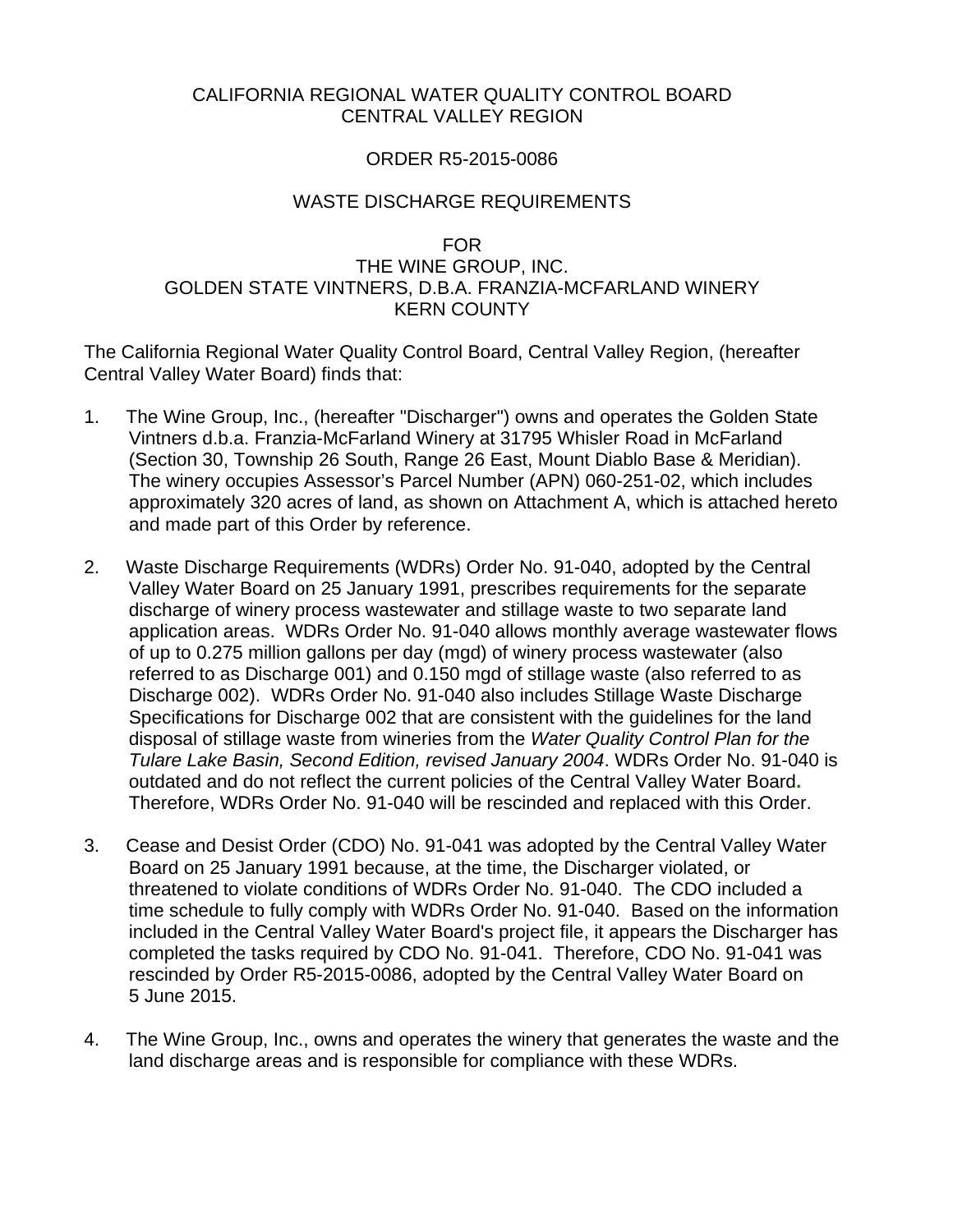# CALIFORNIA REGIONAL WATER QUALITY CONTROL BOARD CENTRAL VALLEY REGION

#### ORDER R5-2015-0086

#### WASTE DISCHARGE REQUIREMENTS

# FOR

# THE WINE GROUP, INC. GOLDEN STATE VINTNERS, D.B.A. FRANZIA-MCFARLAND WINERY KERN COUNTY

The California Regional Water Quality Control Board, Central Valley Region, (hereafter Central Valley Water Board) finds that:

- 1. The Wine Group, Inc., (hereafter "Discharger") owns and operates the Golden State Vintners d.b.a. Franzia-McFarland Winery at 31795 Whisler Road in McFarland (Section 30, Township 26 South, Range 26 East, Mount Diablo Base & Meridian). The winery occupies Assessor's Parcel Number (APN) 060-251-02, which includes approximately 320 acres of land, as shown on Attachment A, which is attached hereto and made part of this Order by reference.
- 2. Waste Discharge Requirements (WDRs) Order No. 91-040, adopted by the Central Valley Water Board on 25 January 1991, prescribes requirements for the separate discharge of winery process wastewater and stillage waste to two separate land application areas. WDRs Order No. 91-040 allows monthly average wastewater flows of up to 0.275 million gallons per day (mgd) of winery process wastewater (also referred to as Discharge 001) and 0.150 mgd of stillage waste (also referred to as Discharge 002). WDRs Order No. 91-040 also includes Stillage Waste Discharge Specifications for Discharge 002 that are consistent with the guidelines for the land disposal of stillage waste from wineries from the *Water Quality Control Plan for the Tulare Lake Basin, Second Edition, revised January 2004*. WDRs Order No. 91-040 is outdated and do not reflect the current policies of the Central Valley Water Board**.** Therefore, WDRs Order No. 91-040 will be rescinded and replaced with this Order.
- 3. Cease and Desist Order (CDO) No. 91-041 was adopted by the Central Valley Water Board on 25 January 1991 because, at the time, the Discharger violated, or threatened to violate conditions of WDRs Order No. 91-040. The CDO included a time schedule to fully comply with WDRs Order No. 91-040. Based on the information included in the Central Valley Water Board's project file, it appears the Discharger has completed the tasks required by CDO No. 91-041. Therefore, CDO No. 91-041 was rescinded by Order R5-2015-0086, adopted by the Central Valley Water Board on 5 June 2015.
- 4. The Wine Group, Inc., owns and operates the winery that generates the waste and the land discharge areas and is responsible for compliance with these WDRs.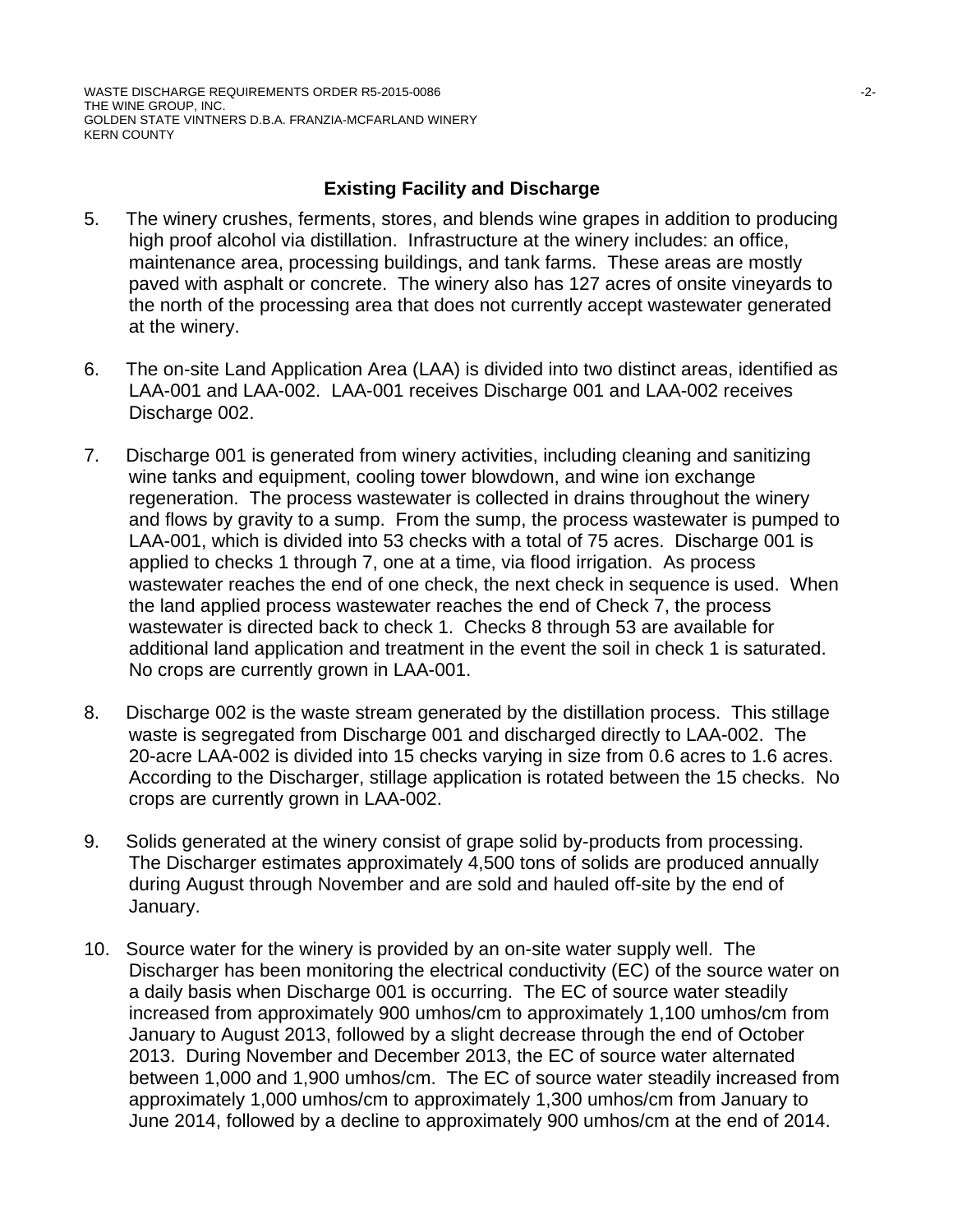WASTE DISCHARGE REQUIREMENTS ORDER R5-2015-0086 -2- THE WINE GROUP, INC. GOLDEN STATE VINTNERS D.B.A. FRANZIA-MCFARLAND WINERY KERN COUNTY

# **Existing Facility and Discharge**

- 5. The winery crushes, ferments, stores, and blends wine grapes in addition to producing high proof alcohol via distillation. Infrastructure at the winery includes: an office, maintenance area, processing buildings, and tank farms. These areas are mostly paved with asphalt or concrete. The winery also has 127 acres of onsite vineyards to the north of the processing area that does not currently accept wastewater generated at the winery.
- 6. The on-site Land Application Area (LAA) is divided into two distinct areas, identified as LAA-001 and LAA-002. LAA-001 receives Discharge 001 and LAA-002 receives Discharge 002.
- 7. Discharge 001 is generated from winery activities, including cleaning and sanitizing wine tanks and equipment, cooling tower blowdown, and wine ion exchange regeneration. The process wastewater is collected in drains throughout the winery and flows by gravity to a sump. From the sump, the process wastewater is pumped to LAA-001, which is divided into 53 checks with a total of 75 acres. Discharge 001 is applied to checks 1 through 7, one at a time, via flood irrigation. As process wastewater reaches the end of one check, the next check in sequence is used. When the land applied process wastewater reaches the end of Check 7, the process wastewater is directed back to check 1. Checks 8 through 53 are available for additional land application and treatment in the event the soil in check 1 is saturated. No crops are currently grown in LAA-001.
- 8. Discharge 002 is the waste stream generated by the distillation process. This stillage waste is segregated from Discharge 001 and discharged directly to LAA-002. The 20-acre LAA-002 is divided into 15 checks varying in size from 0.6 acres to 1.6 acres. According to the Discharger, stillage application is rotated between the 15 checks. No crops are currently grown in LAA-002.
- 9. Solids generated at the winery consist of grape solid by-products from processing. The Discharger estimates approximately 4,500 tons of solids are produced annually during August through November and are sold and hauled off-site by the end of January.
- 10. Source water for the winery is provided by an on-site water supply well. The Discharger has been monitoring the electrical conductivity (EC) of the source water on a daily basis when Discharge 001 is occurring. The EC of source water steadily increased from approximately 900 umhos/cm to approximately 1,100 umhos/cm from January to August 2013, followed by a slight decrease through the end of October 2013. During November and December 2013, the EC of source water alternated between 1,000 and 1,900 umhos/cm. The EC of source water steadily increased from approximately 1,000 umhos/cm to approximately 1,300 umhos/cm from January to June 2014, followed by a decline to approximately 900 umhos/cm at the end of 2014.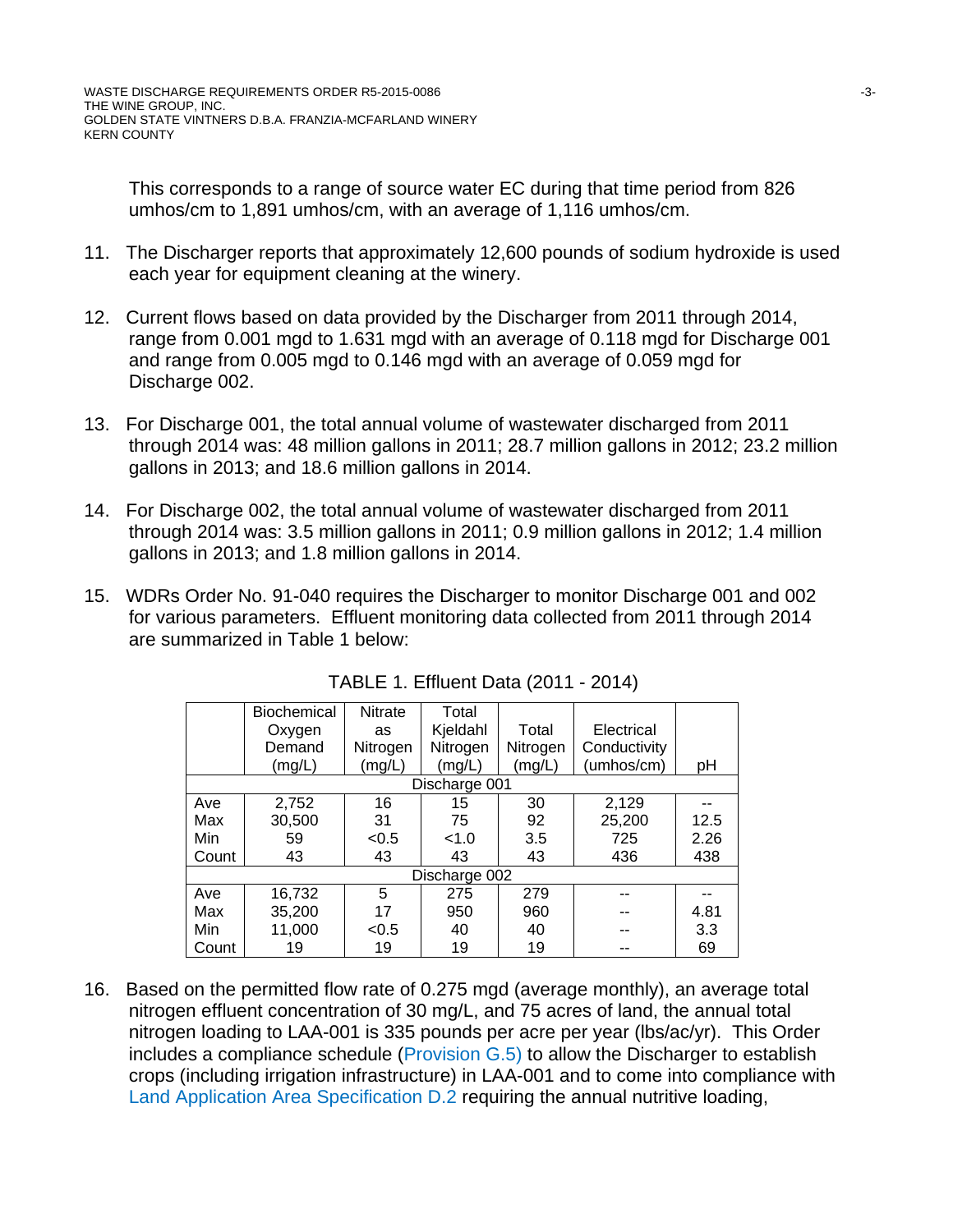This corresponds to a range of source water EC during that time period from 826 umhos/cm to 1,891 umhos/cm, with an average of 1,116 umhos/cm.

- 11. The Discharger reports that approximately 12,600 pounds of sodium hydroxide is used each year for equipment cleaning at the winery.
- 12. Current flows based on data provided by the Discharger from 2011 through 2014, range from 0.001 mgd to 1.631 mgd with an average of 0.118 mgd for Discharge 001 and range from 0.005 mgd to 0.146 mgd with an average of 0.059 mgd for Discharge 002.
- 13. For Discharge 001, the total annual volume of wastewater discharged from 2011 through 2014 was: 48 million gallons in 2011; 28.7 million gallons in 2012; 23.2 million gallons in 2013; and 18.6 million gallons in 2014.
- 14. For Discharge 002, the total annual volume of wastewater discharged from 2011 through 2014 was: 3.5 million gallons in 2011; 0.9 million gallons in 2012; 1.4 million gallons in 2013; and 1.8 million gallons in 2014.
- 15. WDRs Order No. 91-040 requires the Discharger to monitor Discharge 001 and 002 for various parameters. Effluent monitoring data collected from 2011 through 2014 are summarized in Table 1 below:

|       | Biochemical | <b>Nitrate</b> | Total         |          |              |      |
|-------|-------------|----------------|---------------|----------|--------------|------|
|       | Oxygen      | as             | Kjeldahl      | Total    | Electrical   |      |
|       | Demand      | Nitrogen       | Nitrogen      | Nitrogen | Conductivity |      |
|       | (mg/L)      | (mg/L)         | (mg/L)        | (mg/L)   | (umhos/cm)   | pH   |
|       |             |                | Discharge 001 |          |              |      |
| Ave   | 2,752       | 16             | 15            | 30       | 2,129        |      |
| Max   | 30,500      | 31             | 75            | 92       | 25,200       | 12.5 |
| Min   | 59          | < 0.5          | < 1.0         | 3.5      | 725          | 2.26 |
| Count | 43          | 43             | 43            | 43       | 436          | 438  |
|       |             |                | Discharge 002 |          |              |      |
| Ave   | 16,732      | 5              | 275           | 279      |              |      |
| Max   | 35,200      | 17             | 950           | 960      |              | 4.81 |
| Min   | 11,000      | < 0.5          | 40            | 40       |              | 3.3  |
| Count | 19          | 19             | 19            | 19       |              | 69   |

TABLE 1. Effluent Data (2011 - 2014)

16. Based on the permitted flow rate of 0.275 mgd (average monthly), an average total nitrogen effluent concentration of 30 mg/L, and 75 acres of land, the annual total nitrogen loading to LAA-001 is 335 pounds per acre per year (lbs/ac/yr). This Order includes a compliance schedule (Provision G.5) to allow the Discharger to establish crops (including irrigation infrastructure) in LAA-001 and to come into compliance with Land Application Area Specification D.2 requiring the annual nutritive loading,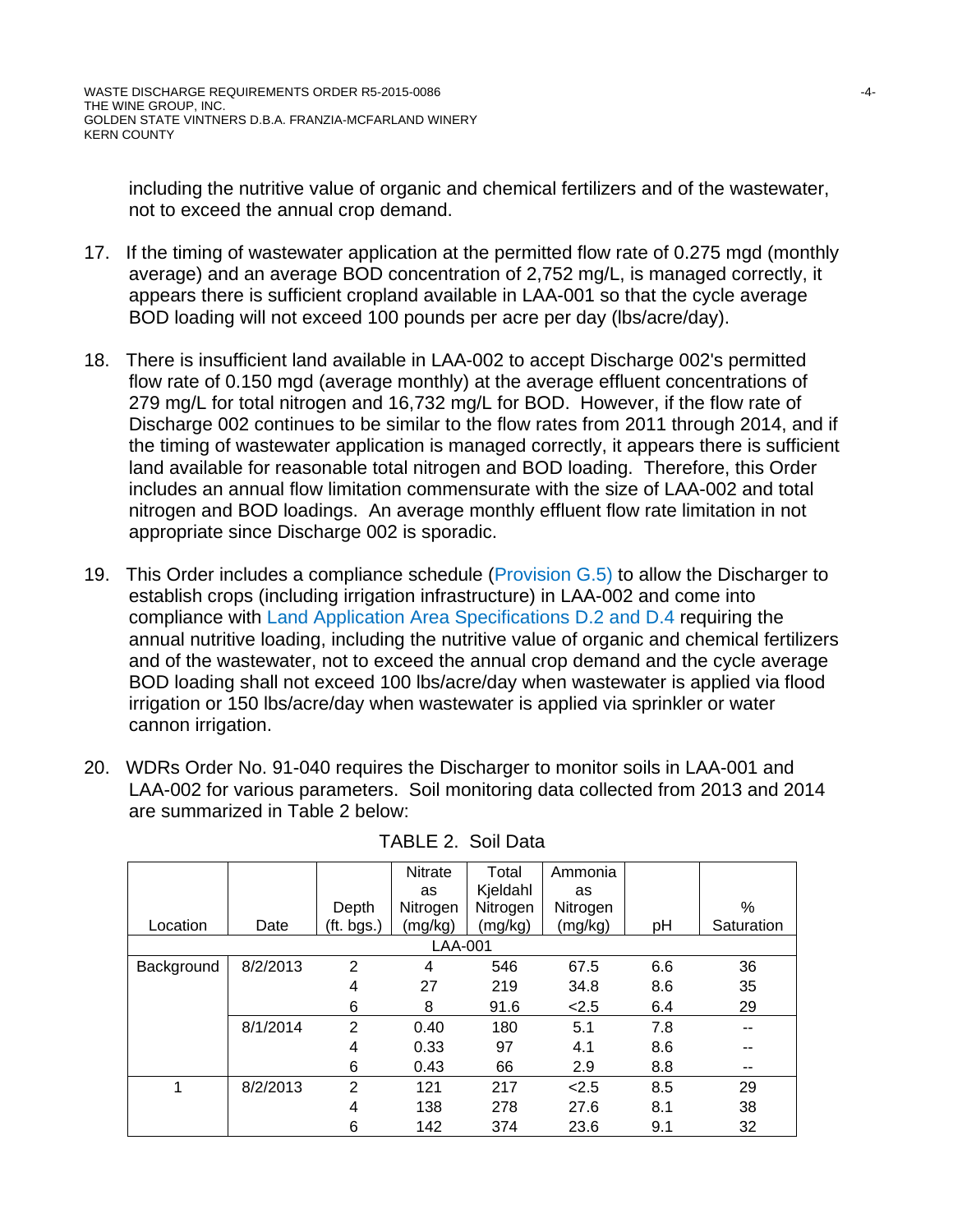including the nutritive value of organic and chemical fertilizers and of the wastewater, not to exceed the annual crop demand.

- 17. If the timing of wastewater application at the permitted flow rate of 0.275 mgd (monthly average) and an average BOD concentration of 2,752 mg/L, is managed correctly, it appears there is sufficient cropland available in LAA-001 so that the cycle average BOD loading will not exceed 100 pounds per acre per day (lbs/acre/day).
- 18. There is insufficient land available in LAA-002 to accept Discharge 002's permitted flow rate of 0.150 mgd (average monthly) at the average effluent concentrations of 279 mg/L for total nitrogen and 16,732 mg/L for BOD. However, if the flow rate of Discharge 002 continues to be similar to the flow rates from 2011 through 2014, and if the timing of wastewater application is managed correctly, it appears there is sufficient land available for reasonable total nitrogen and BOD loading. Therefore, this Order includes an annual flow limitation commensurate with the size of LAA-002 and total nitrogen and BOD loadings. An average monthly effluent flow rate limitation in not appropriate since Discharge 002 is sporadic.
- 19. This Order includes a compliance schedule (Provision G.5) to allow the Discharger to establish crops (including irrigation infrastructure) in LAA-002 and come into compliance with Land Application Area Specifications D.2 and D.4 requiring the annual nutritive loading, including the nutritive value of organic and chemical fertilizers and of the wastewater, not to exceed the annual crop demand and the cycle average BOD loading shall not exceed 100 lbs/acre/day when wastewater is applied via flood irrigation or 150 lbs/acre/day when wastewater is applied via sprinkler or water cannon irrigation.
- 20. WDRs Order No. 91-040 requires the Discharger to monitor soils in LAA-001 and LAA-002 for various parameters. Soil monitoring data collected from 2013 and 2014 are summarized in Table 2 below:

|            |          |            | <b>Nitrate</b> | Total    | Ammonia  |     |            |
|------------|----------|------------|----------------|----------|----------|-----|------------|
|            |          |            | as             | Kjeldahl | as       |     |            |
|            |          | Depth      | Nitrogen       | Nitrogen | Nitrogen |     | %          |
| Location   | Date     | (ft. bgs.) | (mg/kg)        | (mg/kg)  | (mg/kg)  | pH  | Saturation |
|            |          |            | LAA-001        |          |          |     |            |
| Background | 8/2/2013 | 2          | 4              | 546      | 67.5     | 6.6 | 36         |
|            |          | 4          | 27             | 219      | 34.8     | 8.6 | 35         |
|            |          | 6          | 8              | 91.6     | 2.5      | 6.4 | 29         |
|            | 8/1/2014 | 2          | 0.40           | 180      | 5.1      | 7.8 | --         |
|            |          | 4          | 0.33           | 97       | 4.1      | 8.6 | --         |
|            |          | 6          | 0.43           | 66       | 2.9      | 8.8 | --         |
|            | 8/2/2013 | 2          | 121            | 217      | 2.5      | 8.5 | 29         |
|            |          | 4          | 138            | 278      | 27.6     | 8.1 | 38         |
|            |          | 6          | 142            | 374      | 23.6     | 9.1 | 32         |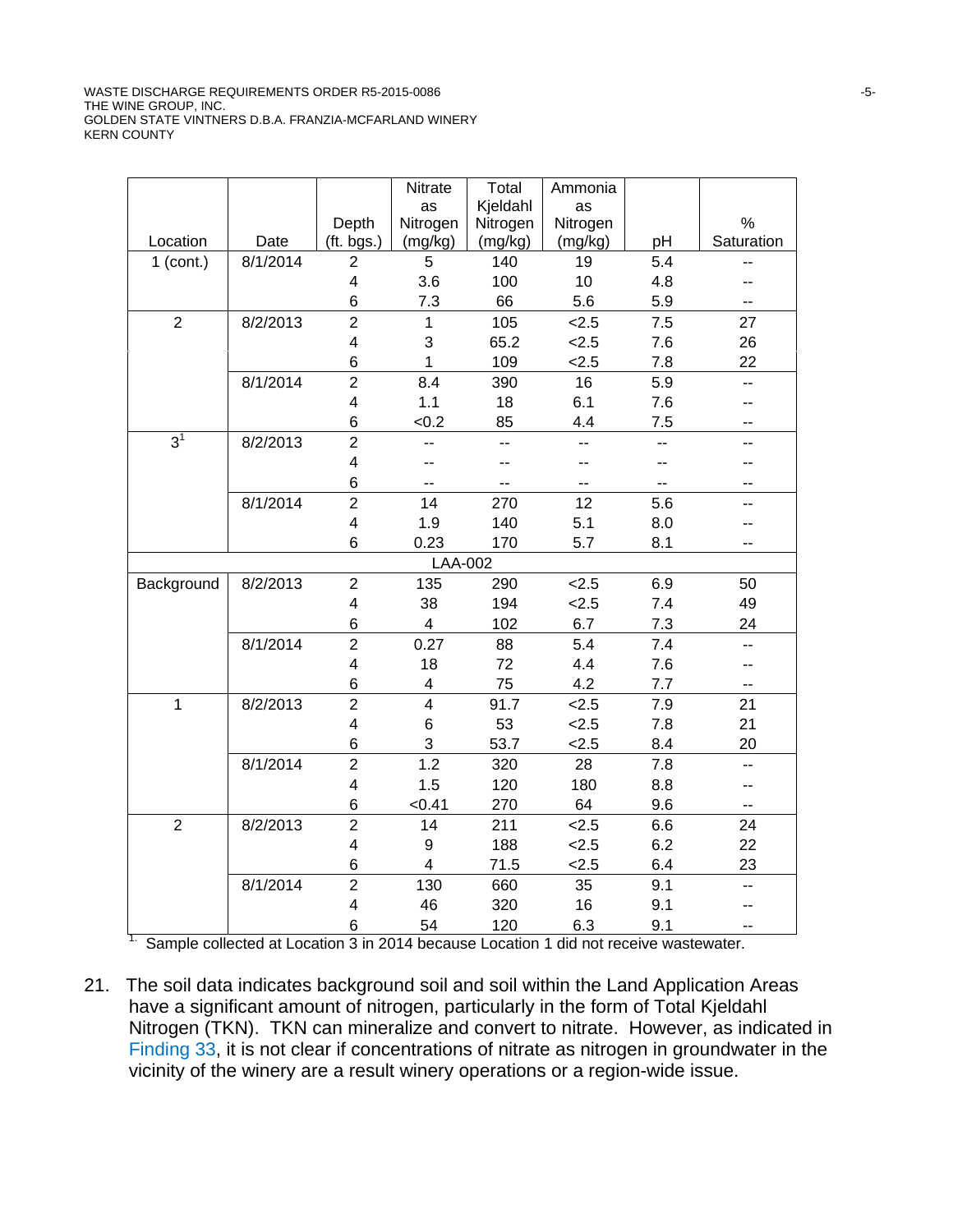WASTE DISCHARGE REQUIREMENTS ORDER R5-2015-0086 -5-THE WINE GROUP, INC. GOLDEN STATE VINTNERS D.B.A. FRANZIA-MCFARLAND WINERY KERN COUNTY

|                |          |                               | Nitrate                 | Total      | Ammonia   |            |                          |
|----------------|----------|-------------------------------|-------------------------|------------|-----------|------------|--------------------------|
|                |          |                               | as                      | Kjeldahl   | as        |            |                          |
|                |          | Depth                         | Nitrogen                | Nitrogen   | Nitrogen  |            | $\%$                     |
| Location       | Date     | (ft. bgs.)                    | (mg/kg)                 | (mg/kg)    | (mg/kg)   | pH         | Saturation               |
| $1$ (cont.)    | 8/1/2014 | $\overline{2}$                | 5                       | 140        | 19        | 5.4        | --                       |
|                |          | 4                             | 3.6                     | 100        | 10        | 4.8        |                          |
|                |          | 6                             | 7.3                     | 66         | 5.6       | 5.9        | --                       |
| $\overline{2}$ | 8/2/2013 | $\overline{2}$                | $\mathbf{1}$            | 105        | 2.5       | 7.5        | 27                       |
|                |          | $\overline{\mathbf{4}}$       | 3                       | 65.2       | 2.5       | 7.6        | 26                       |
|                |          | 6                             | 1                       | 109        | 2.5       | 7.8        | 22                       |
|                | 8/1/2014 | $\overline{2}$                | 8.4                     | 390        | 16        | 5.9        | --                       |
|                |          | $\overline{\mathbf{4}}$       | $1.1$                   | 18         | 6.1       | 7.6        | $-$                      |
|                |          | 6                             | < 0.2                   | 85         | 4.4       | 7.5        | --                       |
| $3^1$          | 8/2/2013 | $\overline{2}$                | --                      | --         | --        | ц,         | --                       |
|                |          | $\overline{\mathbf{4}}$       | --                      |            |           | $-$        | --                       |
|                |          | 6                             | --                      |            |           | --         | --                       |
|                | 8/1/2014 | $\overline{2}$                | 14                      | 270        | 12        | 5.6        | --                       |
|                |          | $\overline{\mathbf{4}}$       | 1.9                     | 140        | 5.1       | 8.0        |                          |
|                |          | 6                             | 0.23                    | 170        | 5.7       | 8.1        | --                       |
|                |          |                               | LAA-002                 |            |           |            |                          |
| Background     | 8/2/2013 | $\overline{2}$                | 135                     | 290        | 2.5       | 6.9        | 50                       |
|                |          | 4                             | 38                      | 194        | 2.5       | 7.4        | 49                       |
|                |          | 6                             | 4                       | 102        | 6.7       | 7.3        | 24                       |
|                | 8/1/2014 | $\overline{2}$                | 0.27                    | 88         | 5.4       | 7.4        | $\overline{\phantom{a}}$ |
|                |          | $\overline{4}$                | 18                      | 72         | 4.4       | 7.6        | --                       |
|                |          | 6                             | 4                       | 75         | 4.2       | 7.7        | -−                       |
| $\mathbf{1}$   | 8/2/2013 | $\overline{2}$                | $\overline{\mathbf{4}}$ | 91.7       | 2.5       | 7.9        | 21                       |
|                |          | $\overline{\mathbf{4}}$       | 6                       | 53         | 2.5       | 7.8        | 21                       |
|                |          | 6                             | 3                       | 53.7       | 2.5       | 8.4        | 20                       |
|                | 8/1/2014 | $\overline{2}$                | 1.2                     | 320        | 28        | 7.8        | --                       |
|                |          | $\overline{\mathbf{4}}$       | 1.5                     | 120        | 180       | 8.8        | --                       |
|                |          | 6                             | < 0.41                  | 270        | 64        | 9.6        | --                       |
| $\overline{2}$ | 8/2/2013 | $\overline{2}$                | 14                      | 211        | 2.5       | 6.6        | 24                       |
|                |          | $\overline{\mathbf{4}}$       | 9                       | 188        | 2.5       | 6.2        | 22                       |
|                |          | 6                             | 4                       | 71.5       | 2.5       | 6.4        | 23                       |
|                | 8/1/2014 | $\overline{2}$                | 130                     | 660        | 35        | 9.1        | uu.                      |
|                |          |                               |                         |            |           |            |                          |
|                |          |                               |                         |            |           |            | $\overline{a}$           |
|                |          | $\overline{\mathcal{A}}$<br>6 | 46<br>54                | 320<br>120 | 16<br>6.3 | 9.1<br>9.1 |                          |

<sup>1.</sup> Sample collected at Location 3 in 2014 because Location 1 did not receive wastewater.

21. The soil data indicates background soil and soil within the Land Application Areas have a significant amount of nitrogen, particularly in the form of Total Kjeldahl Nitrogen (TKN). TKN can mineralize and convert to nitrate. However, as indicated in Finding 33, it is not clear if concentrations of nitrate as nitrogen in groundwater in the vicinity of the winery are a result winery operations or a region-wide issue.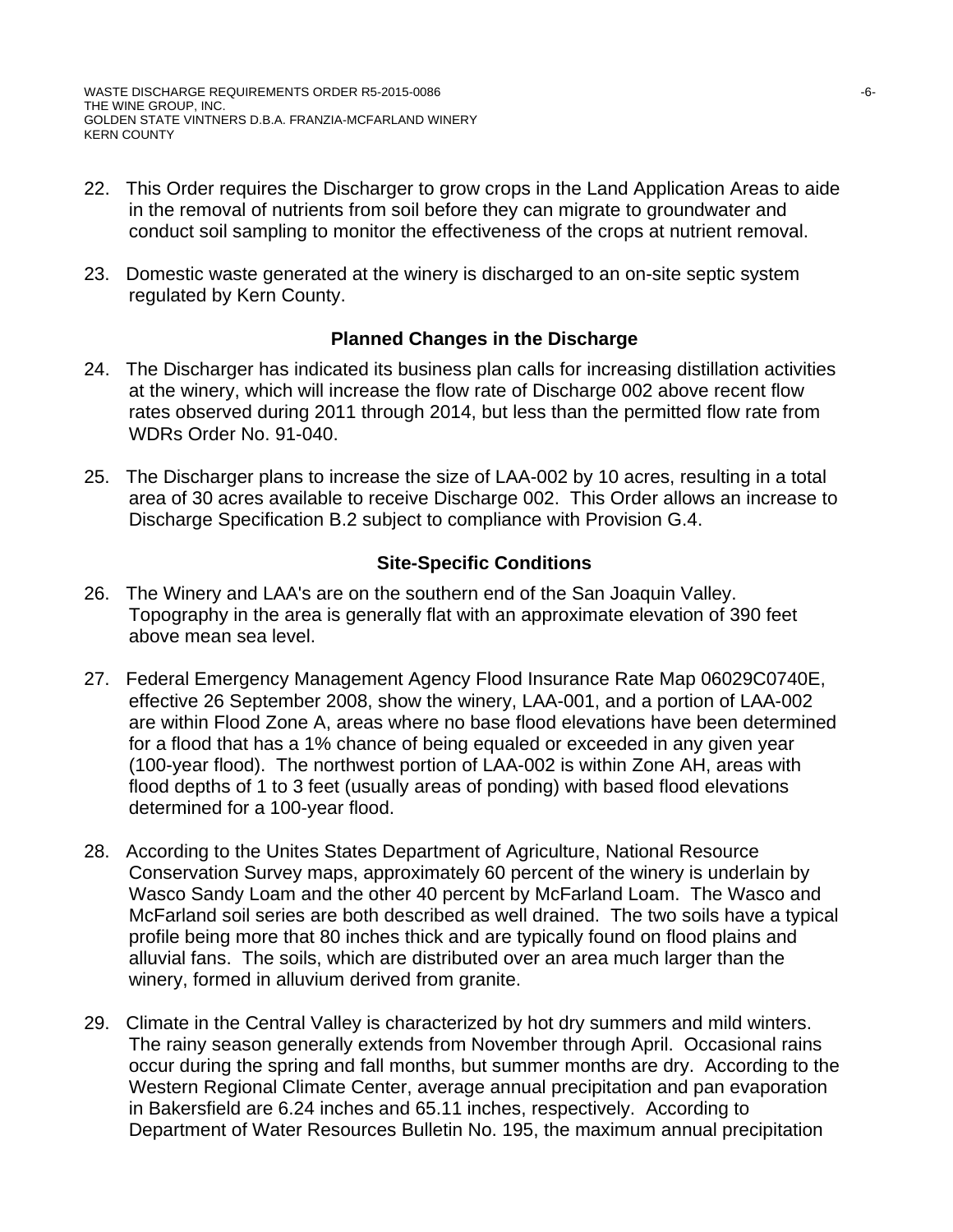- 22. This Order requires the Discharger to grow crops in the Land Application Areas to aide in the removal of nutrients from soil before they can migrate to groundwater and conduct soil sampling to monitor the effectiveness of the crops at nutrient removal.
- 23. Domestic waste generated at the winery is discharged to an on-site septic system regulated by Kern County.

# **Planned Changes in the Discharge**

- 24. The Discharger has indicated its business plan calls for increasing distillation activities at the winery, which will increase the flow rate of Discharge 002 above recent flow rates observed during 2011 through 2014, but less than the permitted flow rate from WDRs Order No. 91-040.
- 25. The Discharger plans to increase the size of LAA-002 by 10 acres, resulting in a total area of 30 acres available to receive Discharge 002. This Order allows an increase to Discharge Specification B.2 subject to compliance with Provision G.4.

# **Site-Specific Conditions**

- 26. The Winery and LAA's are on the southern end of the San Joaquin Valley. Topography in the area is generally flat with an approximate elevation of 390 feet above mean sea level.
- 27. Federal Emergency Management Agency Flood Insurance Rate Map 06029C0740E, effective 26 September 2008, show the winery, LAA-001, and a portion of LAA-002 are within Flood Zone A, areas where no base flood elevations have been determined for a flood that has a 1% chance of being equaled or exceeded in any given year (100-year flood). The northwest portion of LAA-002 is within Zone AH, areas with flood depths of 1 to 3 feet (usually areas of ponding) with based flood elevations determined for a 100-year flood.
- 28. According to the Unites States Department of Agriculture, National Resource Conservation Survey maps, approximately 60 percent of the winery is underlain by Wasco Sandy Loam and the other 40 percent by McFarland Loam. The Wasco and McFarland soil series are both described as well drained. The two soils have a typical profile being more that 80 inches thick and are typically found on flood plains and alluvial fans. The soils, which are distributed over an area much larger than the winery, formed in alluvium derived from granite.
- 29. Climate in the Central Valley is characterized by hot dry summers and mild winters. The rainy season generally extends from November through April. Occasional rains occur during the spring and fall months, but summer months are dry. According to the Western Regional Climate Center, average annual precipitation and pan evaporation in Bakersfield are 6.24 inches and 65.11 inches, respectively. According to Department of Water Resources Bulletin No. 195, the maximum annual precipitation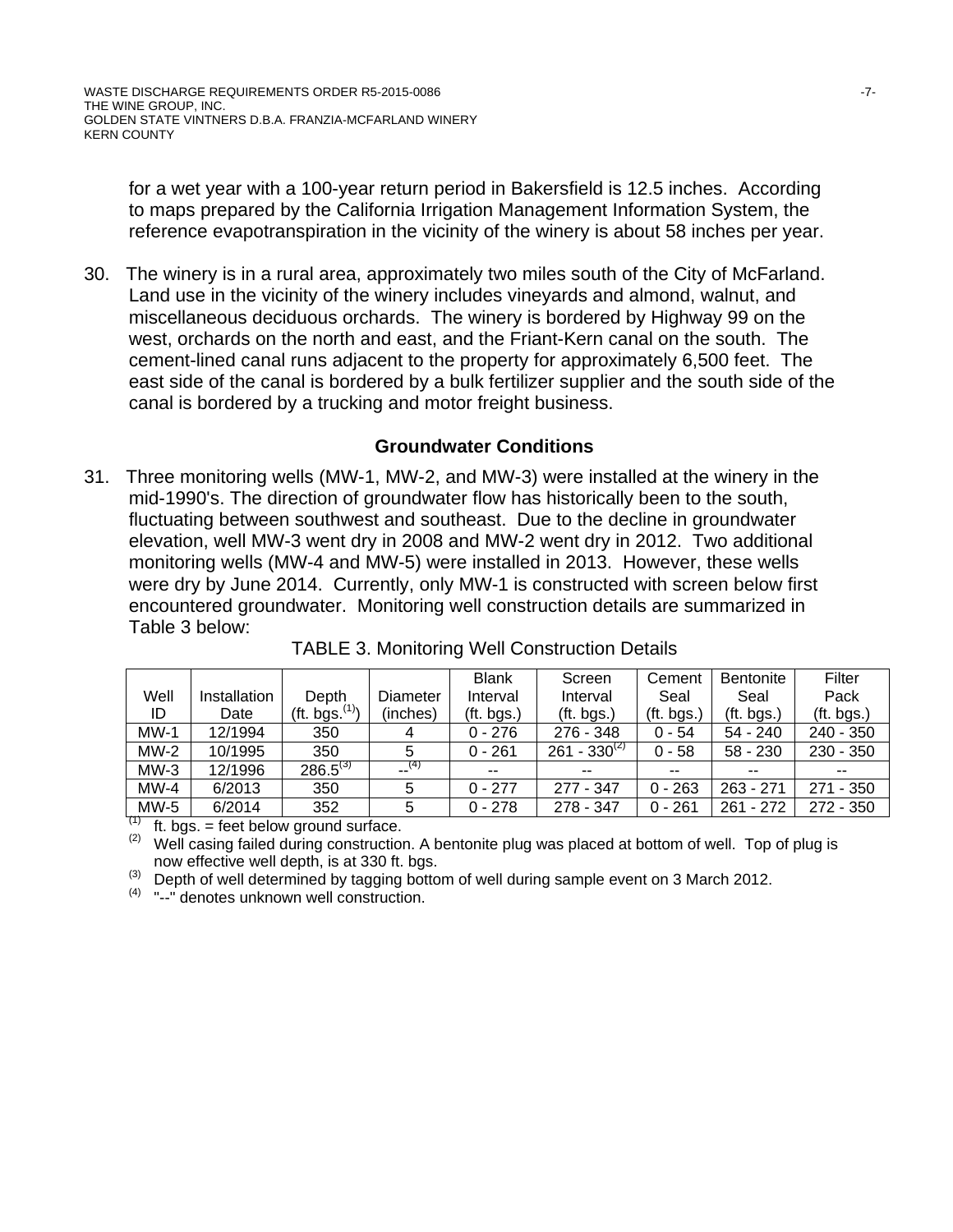for a wet year with a 100-year return period in Bakersfield is 12.5 inches. According to maps prepared by the California Irrigation Management Information System, the reference evapotranspiration in the vicinity of the winery is about 58 inches per year.

30. The winery is in a rural area, approximately two miles south of the City of McFarland. Land use in the vicinity of the winery includes vineyards and almond, walnut, and miscellaneous deciduous orchards. The winery is bordered by Highway 99 on the west, orchards on the north and east, and the Friant-Kern canal on the south. The cement-lined canal runs adjacent to the property for approximately 6,500 feet. The east side of the canal is bordered by a bulk fertilizer supplier and the south side of the canal is bordered by a trucking and motor freight business.

# **Groundwater Conditions**

31. Three monitoring wells (MW-1, MW-2, and MW-3) were installed at the winery in the mid-1990's. The direction of groundwater flow has historically been to the south, fluctuating between southwest and southeast. Due to the decline in groundwater elevation, well MW-3 went dry in 2008 and MW-2 went dry in 2012. Two additional monitoring wells (MW-4 and MW-5) were installed in 2013. However, these wells were dry by June 2014. Currently, only MW-1 is constructed with screen below first encountered groundwater. Monitoring well construction details are summarized in Table 3 below:

|        |              |                            |                | <b>Blank</b> | Screen            | Cement     | <b>Bentonite</b> | Filter      |
|--------|--------------|----------------------------|----------------|--------------|-------------------|------------|------------------|-------------|
| Well   | Installation | Depth                      | Diameter       | Interval     | Interval          | Seal       | Seal             | Pack        |
| ID     | Date         | (ft. bgs. <sup>(1)</sup> ) | (inches)       | (ft. bgs.)   | (ft. bgs.)        | (ft. bgs.) | (ft. bgs.)       | (ft. bgs.)  |
| $MW-1$ | 12/1994      | 350                        | 4              | $0 - 276$    | $276 - 348$       | $0 - 54$   | $54 - 240$       | $240 - 350$ |
| $MW-2$ | 10/1995      | 350                        | 5              | $0 - 261$    | $261 - 330^{(2)}$ | $0 - 58$   | $58 - 230$       | $230 - 350$ |
| $MW-3$ | 12/1996      | $286.5^{(3)}$              | $\sqrt{3}$ (4) | $- -$        | $- -$             | $- -$      | --               |             |
| $MW-4$ | 6/2013       | 350                        |                | $0 - 277$    | 277 - 347         | $0 - 263$  | $263 - 271$      | 271 - 350   |
| $MW-5$ | 6/2014       | 352                        | 5              | $0 - 278$    | 278 - 347         | $0 - 261$  | $261 - 272$      | $272 - 350$ |

TABLE 3. Monitoring Well Construction Details

(1) ft. bgs. = feet below ground surface.<br>(2) Well casing failed during construction. A bentonite plug was placed at bottom of well. Top of plug is

now effective well depth, is at 330 ft. bgs.<br>
(3) Depth of well determined by tagging bottom of well during sample event on 3 March 2012.

(4) "--" denotes unknown well construction.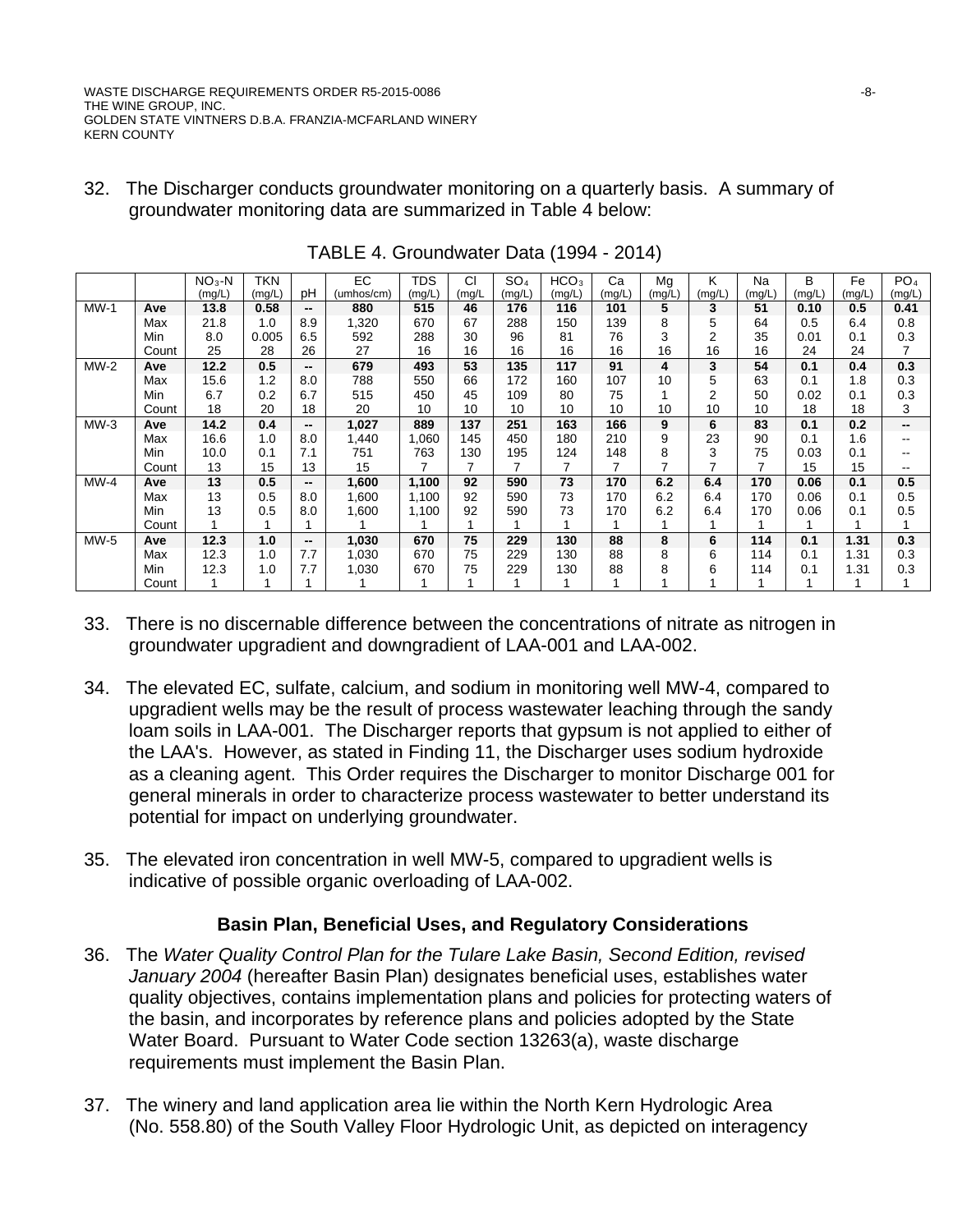WASTE DISCHARGE REQUIREMENTS ORDER R5-2015-0086 -8- THE WINE GROUP, INC. GOLDEN STATE VINTNERS D.B.A. FRANZIA-MCFARLAND WINERY KERN COUNTY

32. The Discharger conducts groundwater monitoring on a quarterly basis. A summary of groundwater monitoring data are summarized in Table 4 below:

|        |       | $NO3-N$ | <b>TKN</b> |                          | EC         | <b>TDS</b> | CI     | SO <sub>4</sub> | HCO <sub>3</sub> | Ca                       | Mg     | Κ      | Na     | B      | Fe     | PO <sub>4</sub> |
|--------|-------|---------|------------|--------------------------|------------|------------|--------|-----------------|------------------|--------------------------|--------|--------|--------|--------|--------|-----------------|
|        |       | (mg/L)  | (mg/L)     | рH                       | (umhos/cm) | (mg/L)     | (mg/L) | (mg/L)          | (mg/L)           | (mg/L)                   | (mg/L) | (mg/L) | (mg/L) | (mg/L) | (mg/L) | (mg/L)          |
| $MW-1$ | Ave   | 13.8    | 0.58       | --                       | 880        | 515        | 46     | 176             | 116              | 101                      | 5      | 3      | 51     | 0.10   | 0.5    | 0.41            |
|        | Max   | 21.8    | 1.0        | 8.9                      | 1,320      | 670        | 67     | 288             | 150              | 139                      | 8      | 5      | 64     | 0.5    | 6.4    | 0.8             |
|        | Min   | 8.0     | 0.005      | 6.5                      | 592        | 288        | 30     | 96              | 81               | 76                       | 3      | 2      | 35     | 0.01   | 0.1    | 0.3             |
|        | Count | 25      | 28         | 26                       | 27         | 16         | 16     | 16              | 16               | 16                       | 16     | 16     | 16     | 24     | 24     |                 |
| $MW-2$ | Ave   | 12.2    | 0.5        | --                       | 679        | 493        | 53     | 135             | 117              | 91                       | 4      | 3      | 54     | 0.1    | 0.4    | 0.3             |
|        | Max   | 15.6    | 1.2        | 8.0                      | 788        | 550        | 66     | 172             | 160              | 107                      | 10     | 5      | 63     | 0.1    | 1.8    | 0.3             |
|        | Min   | 6.7     | 0.2        | 6.7                      | 515        | 450        | 45     | 109             | 80               | 75                       |        | 2      | 50     | 0.02   | 0.1    | 0.3             |
|        | Count | 18      | 20         | 18                       | 20         | 10         | 10     | 10              | 10               | 10                       | 10     | 10     | 10     | 18     | 18     | 3               |
| $MW-3$ | Ave   | 14.2    | 0.4        | $\overline{\phantom{a}}$ | 1,027      | 889        | 137    | 251             | 163              | 166                      | 9      | 6      | 83     | 0.1    | 0.2    | --              |
|        | Max   | 16.6    | 1.0        | 8.0                      | 1,440      | 1,060      | 145    | 450             | 180              | 210                      | 9      | 23     | 90     | 0.1    | 1.6    | --              |
|        | Min   | 10.0    | 0.1        | 7.1                      | 751        | 763        | 130    | 195             | 124              | 148                      | 8      | 3      | 75     | 0.03   | 0.1    |                 |
|        | Count | 13      | 15         | 13                       | 15         | 7          |        |                 | 7                | $\overline{\phantom{a}}$ | ⇁      | ⇁      | 7      | 15     | 15     |                 |
| $MW-4$ | Ave   | 13      | 0.5        | $\overline{\phantom{a}}$ | 1,600      | 1,100      | 92     | 590             | 73               | 170                      | 6.2    | 6.4    | 170    | 0.06   | 0.1    | 0.5             |
|        | Max   | 13      | 0.5        | 8.0                      | 1,600      | 1,100      | 92     | 590             | 73               | 170                      | 6.2    | 6.4    | 170    | 0.06   | 0.1    | 0.5             |
|        | Min   | 13      | 0.5        | 8.0                      | 1,600      | 1,100      | 92     | 590             | 73               | 170                      | 6.2    | 6.4    | 170    | 0.06   | 0.1    | 0.5             |
|        | Count |         |            |                          |            |            |        |                 |                  |                          |        |        |        |        | 1      |                 |
| $MW-5$ | Ave   | 12.3    | 1.0        | --                       | 1,030      | 670        | 75     | 229             | 130              | 88                       | 8      | 6      | 114    | 0.1    | 1.31   | 0.3             |
|        | Max   | 12.3    | 1.0        | 7.7                      | 1,030      | 670        | 75     | 229             | 130              | 88                       | 8      | 6      | 114    | 0.1    | 1.31   | 0.3             |
|        | Min   | 12.3    | 1.0        | 7.7                      | 1,030      | 670        | 75     | 229             | 130              | 88                       | 8      | 6      | 114    | 0.1    | 1.31   | 0.3             |
|        | Count |         |            |                          |            |            |        |                 |                  |                          |        |        |        |        |        |                 |

TABLE 4. Groundwater Data (1994 - 2014)

- 33. There is no discernable difference between the concentrations of nitrate as nitrogen in groundwater upgradient and downgradient of LAA-001 and LAA-002.
- 34. The elevated EC, sulfate, calcium, and sodium in monitoring well MW-4, compared to upgradient wells may be the result of process wastewater leaching through the sandy loam soils in LAA-001. The Discharger reports that gypsum is not applied to either of the LAA's. However, as stated in Finding 11, the Discharger uses sodium hydroxide as a cleaning agent. This Order requires the Discharger to monitor Discharge 001 for general minerals in order to characterize process wastewater to better understand its potential for impact on underlying groundwater.
- 35. The elevated iron concentration in well MW-5, compared to upgradient wells is indicative of possible organic overloading of LAA-002.

# **Basin Plan, Beneficial Uses, and Regulatory Considerations**

- 36. The *Water Quality Control Plan for the Tulare Lake Basin, Second Edition, revised January 2004* (hereafter Basin Plan) designates beneficial uses, establishes water quality objectives, contains implementation plans and policies for protecting waters of the basin, and incorporates by reference plans and policies adopted by the State Water Board. Pursuant to Water Code section 13263(a), waste discharge requirements must implement the Basin Plan.
- 37. The winery and land application area lie within the North Kern Hydrologic Area (No. 558.80) of the South Valley Floor Hydrologic Unit, as depicted on interagency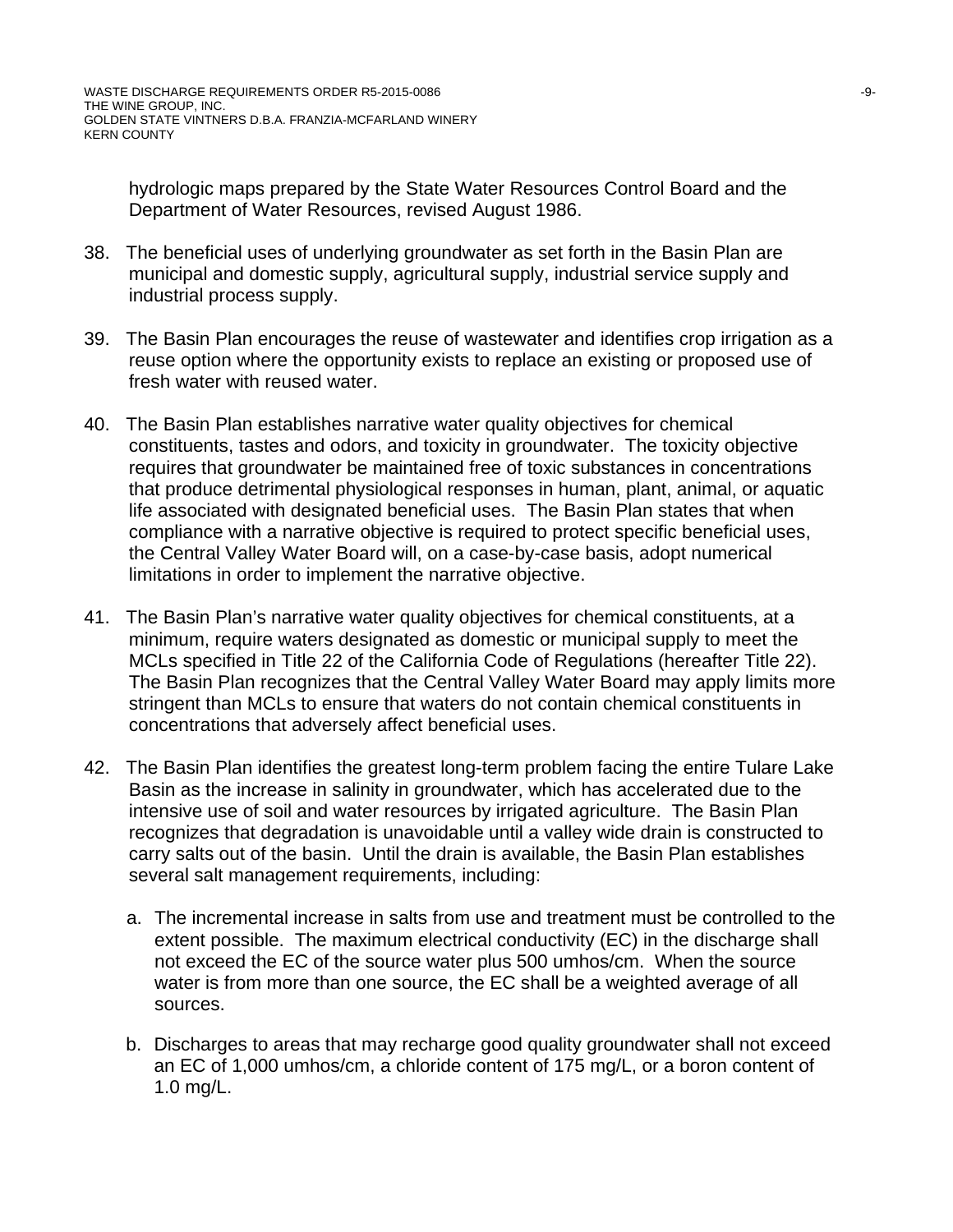hydrologic maps prepared by the State Water Resources Control Board and the Department of Water Resources, revised August 1986.

- 38. The beneficial uses of underlying groundwater as set forth in the Basin Plan are municipal and domestic supply, agricultural supply, industrial service supply and industrial process supply.
- 39. The Basin Plan encourages the reuse of wastewater and identifies crop irrigation as a reuse option where the opportunity exists to replace an existing or proposed use of fresh water with reused water.
- 40. The Basin Plan establishes narrative water quality objectives for chemical constituents, tastes and odors, and toxicity in groundwater. The toxicity objective requires that groundwater be maintained free of toxic substances in concentrations that produce detrimental physiological responses in human, plant, animal, or aquatic life associated with designated beneficial uses. The Basin Plan states that when compliance with a narrative objective is required to protect specific beneficial uses, the Central Valley Water Board will, on a case-by-case basis, adopt numerical limitations in order to implement the narrative objective.
- 41. The Basin Plan's narrative water quality objectives for chemical constituents, at a minimum, require waters designated as domestic or municipal supply to meet the MCLs specified in Title 22 of the California Code of Regulations (hereafter Title 22). The Basin Plan recognizes that the Central Valley Water Board may apply limits more stringent than MCLs to ensure that waters do not contain chemical constituents in concentrations that adversely affect beneficial uses.
- 42. The Basin Plan identifies the greatest long-term problem facing the entire Tulare Lake Basin as the increase in salinity in groundwater, which has accelerated due to the intensive use of soil and water resources by irrigated agriculture. The Basin Plan recognizes that degradation is unavoidable until a valley wide drain is constructed to carry salts out of the basin. Until the drain is available, the Basin Plan establishes several salt management requirements, including:
	- a. The incremental increase in salts from use and treatment must be controlled to the extent possible. The maximum electrical conductivity (EC) in the discharge shall not exceed the EC of the source water plus 500 umhos/cm. When the source water is from more than one source, the EC shall be a weighted average of all sources.
	- b. Discharges to areas that may recharge good quality groundwater shall not exceed an EC of 1,000 umhos/cm, a chloride content of 175 mg/L, or a boron content of 1.0 mg/L.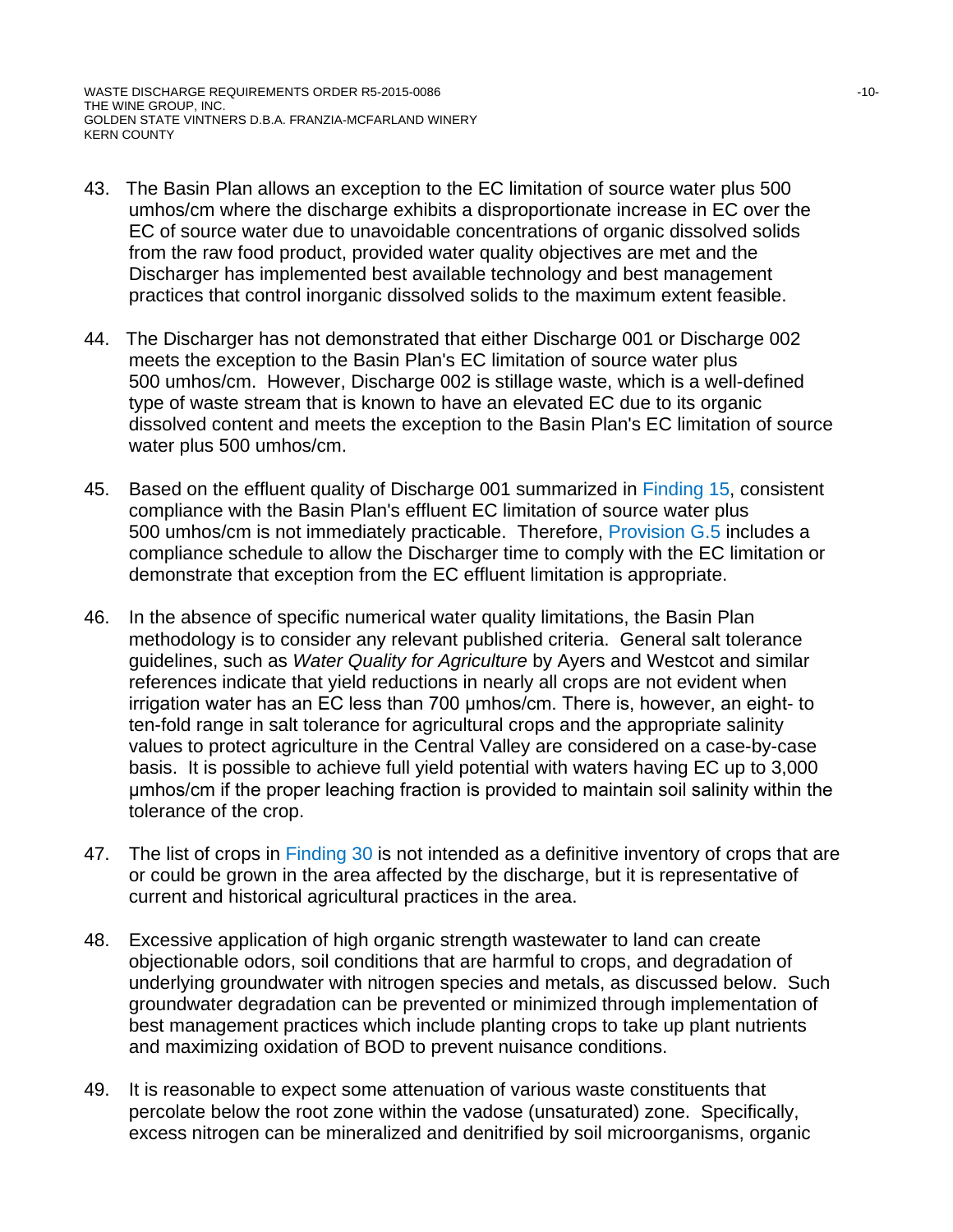WASTE DISCHARGE REQUIREMENTS ORDER R5-2015-0086 40 and the state of the state of the state of the state of the state of the state of the state of the state of the state of the state of the state of the state of the state o THE WINE GROUP, INC. GOLDEN STATE VINTNERS D.B.A. FRANZIA-MCFARLAND WINERY KERN COUNTY

- 43. The Basin Plan allows an exception to the EC limitation of source water plus 500 umhos/cm where the discharge exhibits a disproportionate increase in EC over the EC of source water due to unavoidable concentrations of organic dissolved solids from the raw food product, provided water quality objectives are met and the Discharger has implemented best available technology and best management practices that control inorganic dissolved solids to the maximum extent feasible.
- 44. The Discharger has not demonstrated that either Discharge 001 or Discharge 002 meets the exception to the Basin Plan's EC limitation of source water plus 500 umhos/cm. However, Discharge 002 is stillage waste, which is a well-defined type of waste stream that is known to have an elevated EC due to its organic dissolved content and meets the exception to the Basin Plan's EC limitation of source water plus 500 umhos/cm.
- 45. Based on the effluent quality of Discharge 001 summarized in Finding 15, consistent compliance with the Basin Plan's effluent EC limitation of source water plus 500 umhos/cm is not immediately practicable. Therefore, Provision G.5 includes a compliance schedule to allow the Discharger time to comply with the EC limitation or demonstrate that exception from the EC effluent limitation is appropriate.
- 46. In the absence of specific numerical water quality limitations, the Basin Plan methodology is to consider any relevant published criteria. General salt tolerance guidelines, such as *Water Quality for Agriculture* by Ayers and Westcot and similar references indicate that yield reductions in nearly all crops are not evident when irrigation water has an EC less than 700 μmhos/cm. There is, however, an eight- to ten-fold range in salt tolerance for agricultural crops and the appropriate salinity values to protect agriculture in the Central Valley are considered on a case-by-case basis. It is possible to achieve full yield potential with waters having EC up to 3,000 μmhos/cm if the proper leaching fraction is provided to maintain soil salinity within the tolerance of the crop.
- 47. The list of crops in Finding 30 is not intended as a definitive inventory of crops that are or could be grown in the area affected by the discharge, but it is representative of current and historical agricultural practices in the area.
- 48. Excessive application of high organic strength wastewater to land can create objectionable odors, soil conditions that are harmful to crops, and degradation of underlying groundwater with nitrogen species and metals, as discussed below. Such groundwater degradation can be prevented or minimized through implementation of best management practices which include planting crops to take up plant nutrients and maximizing oxidation of BOD to prevent nuisance conditions.
- 49. It is reasonable to expect some attenuation of various waste constituents that percolate below the root zone within the vadose (unsaturated) zone. Specifically, excess nitrogen can be mineralized and denitrified by soil microorganisms, organic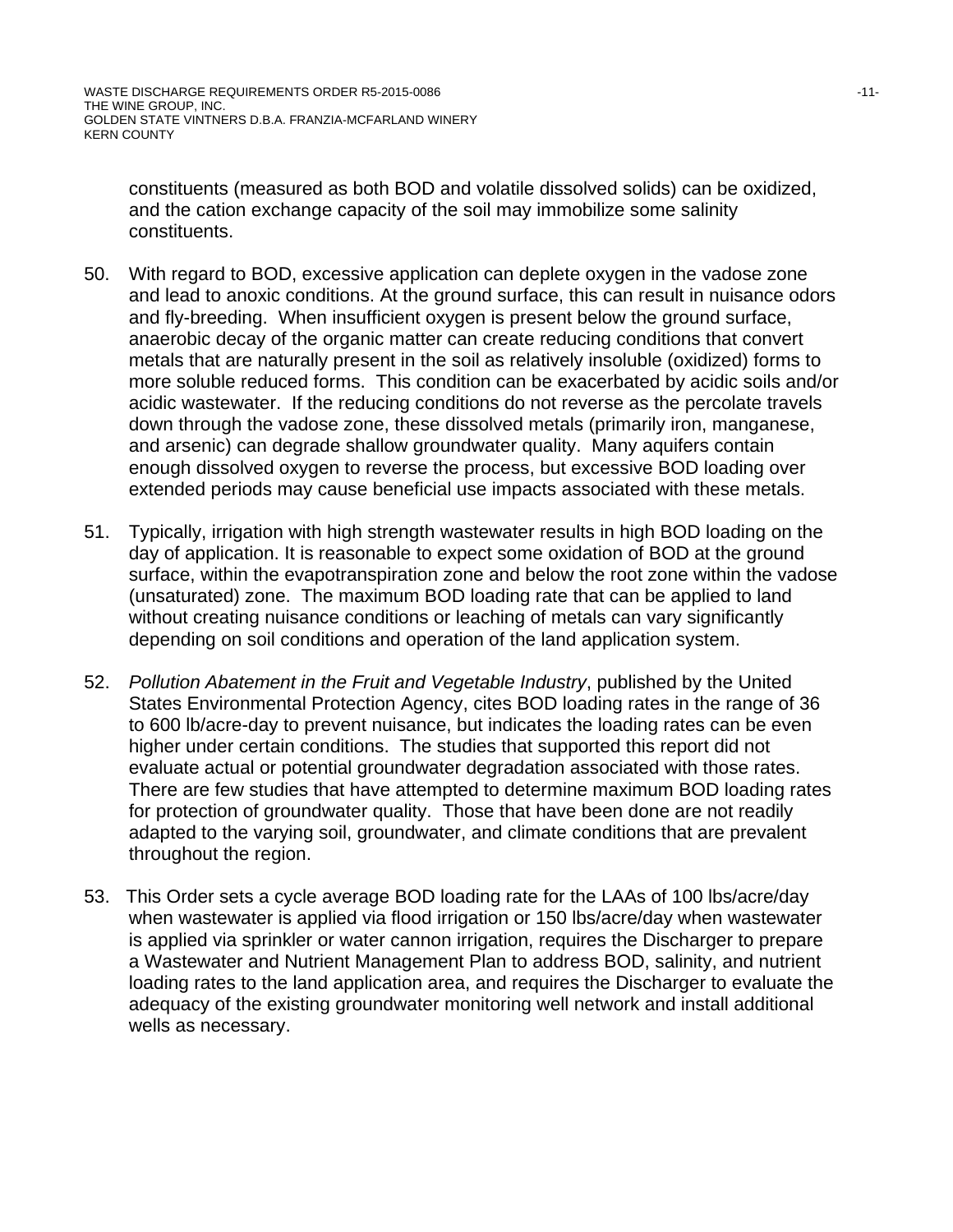WASTE DISCHARGE REQUIREMENTS ORDER R5-2015-0086 41 -11-THE WINE GROUP, INC. GOLDEN STATE VINTNERS D.B.A. FRANZIA-MCFARLAND WINERY KERN COUNTY

constituents (measured as both BOD and volatile dissolved solids) can be oxidized, and the cation exchange capacity of the soil may immobilize some salinity constituents.

- 50. With regard to BOD, excessive application can deplete oxygen in the vadose zone and lead to anoxic conditions. At the ground surface, this can result in nuisance odors and fly-breeding. When insufficient oxygen is present below the ground surface, anaerobic decay of the organic matter can create reducing conditions that convert metals that are naturally present in the soil as relatively insoluble (oxidized) forms to more soluble reduced forms. This condition can be exacerbated by acidic soils and/or acidic wastewater. If the reducing conditions do not reverse as the percolate travels down through the vadose zone, these dissolved metals (primarily iron, manganese, and arsenic) can degrade shallow groundwater quality. Many aquifers contain enough dissolved oxygen to reverse the process, but excessive BOD loading over extended periods may cause beneficial use impacts associated with these metals.
- 51. Typically, irrigation with high strength wastewater results in high BOD loading on the day of application. It is reasonable to expect some oxidation of BOD at the ground surface, within the evapotranspiration zone and below the root zone within the vadose (unsaturated) zone. The maximum BOD loading rate that can be applied to land without creating nuisance conditions or leaching of metals can vary significantly depending on soil conditions and operation of the land application system.
- 52. *Pollution Abatement in the Fruit and Vegetable Industry*, published by the United States Environmental Protection Agency, cites BOD loading rates in the range of 36 to 600 lb/acre-day to prevent nuisance, but indicates the loading rates can be even higher under certain conditions. The studies that supported this report did not evaluate actual or potential groundwater degradation associated with those rates. There are few studies that have attempted to determine maximum BOD loading rates for protection of groundwater quality. Those that have been done are not readily adapted to the varying soil, groundwater, and climate conditions that are prevalent throughout the region.
- 53. This Order sets a cycle average BOD loading rate for the LAAs of 100 lbs/acre/day when wastewater is applied via flood irrigation or 150 lbs/acre/day when wastewater is applied via sprinkler or water cannon irrigation, requires the Discharger to prepare a Wastewater and Nutrient Management Plan to address BOD, salinity, and nutrient loading rates to the land application area, and requires the Discharger to evaluate the adequacy of the existing groundwater monitoring well network and install additional wells as necessary.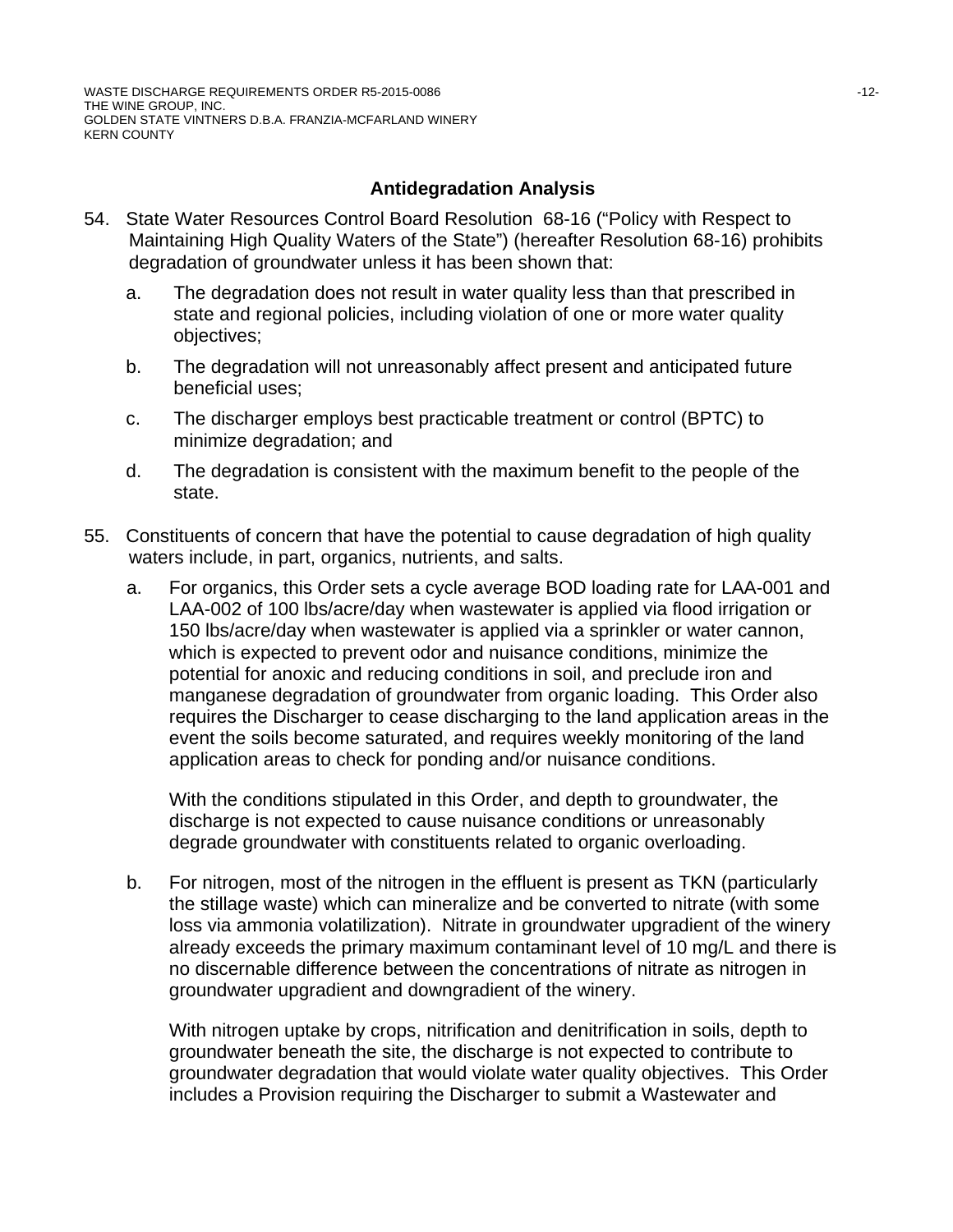# **Antidegradation Analysis**

- 54. State Water Resources Control Board Resolution 68-16 ("Policy with Respect to Maintaining High Quality Waters of the State") (hereafter Resolution 68-16) prohibits degradation of groundwater unless it has been shown that:
	- a. The degradation does not result in water quality less than that prescribed in state and regional policies, including violation of one or more water quality objectives;
	- b. The degradation will not unreasonably affect present and anticipated future beneficial uses;
	- c. The discharger employs best practicable treatment or control (BPTC) to minimize degradation; and
	- d. The degradation is consistent with the maximum benefit to the people of the state.
- 55. Constituents of concern that have the potential to cause degradation of high quality waters include, in part, organics, nutrients, and salts.
	- a. For organics, this Order sets a cycle average BOD loading rate for LAA-001 and LAA-002 of 100 lbs/acre/day when wastewater is applied via flood irrigation or 150 lbs/acre/day when wastewater is applied via a sprinkler or water cannon, which is expected to prevent odor and nuisance conditions, minimize the potential for anoxic and reducing conditions in soil, and preclude iron and manganese degradation of groundwater from organic loading. This Order also requires the Discharger to cease discharging to the land application areas in the event the soils become saturated, and requires weekly monitoring of the land application areas to check for ponding and/or nuisance conditions.

With the conditions stipulated in this Order, and depth to groundwater, the discharge is not expected to cause nuisance conditions or unreasonably degrade groundwater with constituents related to organic overloading.

b. For nitrogen, most of the nitrogen in the effluent is present as TKN (particularly the stillage waste) which can mineralize and be converted to nitrate (with some loss via ammonia volatilization). Nitrate in groundwater upgradient of the winery already exceeds the primary maximum contaminant level of 10 mg/L and there is no discernable difference between the concentrations of nitrate as nitrogen in groundwater upgradient and downgradient of the winery.

With nitrogen uptake by crops, nitrification and denitrification in soils, depth to groundwater beneath the site, the discharge is not expected to contribute to groundwater degradation that would violate water quality objectives. This Order includes a Provision requiring the Discharger to submit a Wastewater and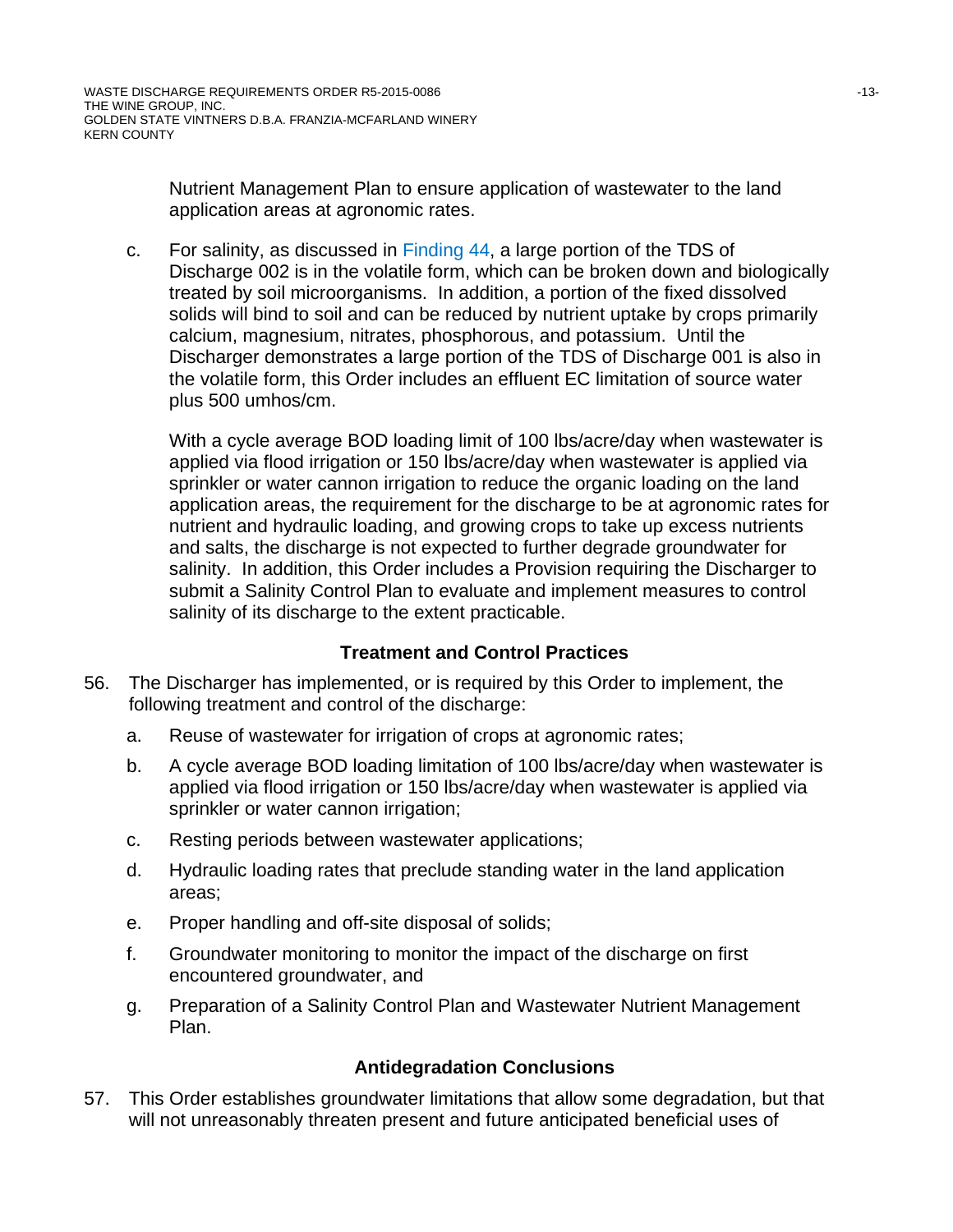Nutrient Management Plan to ensure application of wastewater to the land application areas at agronomic rates.

c. For salinity, as discussed in Finding 44, a large portion of the TDS of Discharge 002 is in the volatile form, which can be broken down and biologically treated by soil microorganisms. In addition, a portion of the fixed dissolved solids will bind to soil and can be reduced by nutrient uptake by crops primarily calcium, magnesium, nitrates, phosphorous, and potassium. Until the Discharger demonstrates a large portion of the TDS of Discharge 001 is also in the volatile form, this Order includes an effluent EC limitation of source water plus 500 umhos/cm.

With a cycle average BOD loading limit of 100 lbs/acre/day when wastewater is applied via flood irrigation or 150 lbs/acre/day when wastewater is applied via sprinkler or water cannon irrigation to reduce the organic loading on the land application areas, the requirement for the discharge to be at agronomic rates for nutrient and hydraulic loading, and growing crops to take up excess nutrients and salts, the discharge is not expected to further degrade groundwater for salinity. In addition, this Order includes a Provision requiring the Discharger to submit a Salinity Control Plan to evaluate and implement measures to control salinity of its discharge to the extent practicable.

# **Treatment and Control Practices**

- 56. The Discharger has implemented, or is required by this Order to implement, the following treatment and control of the discharge:
	- a. Reuse of wastewater for irrigation of crops at agronomic rates;
	- b. A cycle average BOD loading limitation of 100 lbs/acre/day when wastewater is applied via flood irrigation or 150 lbs/acre/day when wastewater is applied via sprinkler or water cannon irrigation;
	- c. Resting periods between wastewater applications;
	- d. Hydraulic loading rates that preclude standing water in the land application areas;
	- e. Proper handling and off-site disposal of solids;
	- f. Groundwater monitoring to monitor the impact of the discharge on first encountered groundwater, and
	- g. Preparation of a Salinity Control Plan and Wastewater Nutrient Management Plan.

# **Antidegradation Conclusions**

57. This Order establishes groundwater limitations that allow some degradation, but that will not unreasonably threaten present and future anticipated beneficial uses of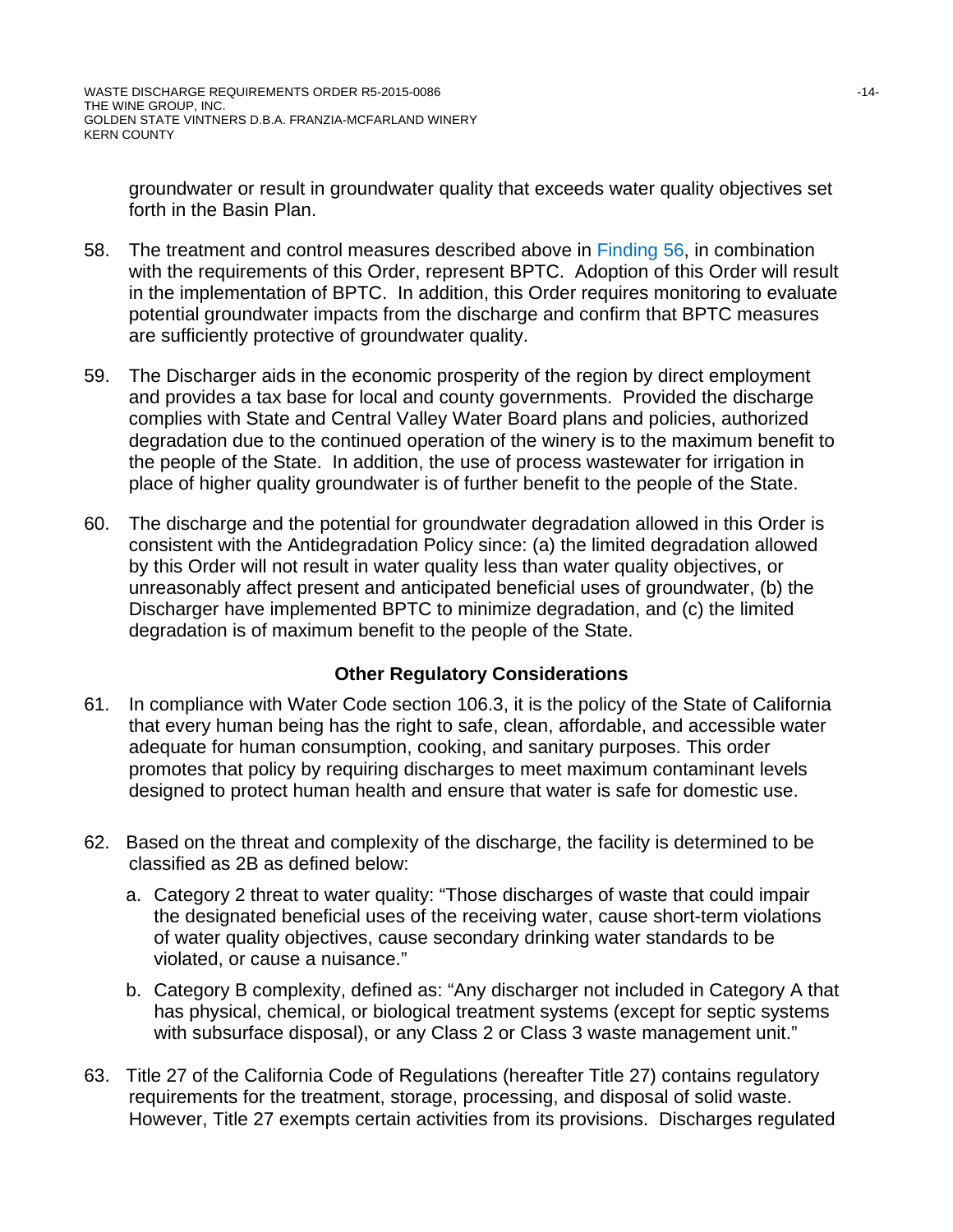groundwater or result in groundwater quality that exceeds water quality objectives set forth in the Basin Plan.

- 58. The treatment and control measures described above in Finding 56, in combination with the requirements of this Order, represent BPTC. Adoption of this Order will result in the implementation of BPTC. In addition, this Order requires monitoring to evaluate potential groundwater impacts from the discharge and confirm that BPTC measures are sufficiently protective of groundwater quality.
- 59. The Discharger aids in the economic prosperity of the region by direct employment and provides a tax base for local and county governments. Provided the discharge complies with State and Central Valley Water Board plans and policies, authorized degradation due to the continued operation of the winery is to the maximum benefit to the people of the State. In addition, the use of process wastewater for irrigation in place of higher quality groundwater is of further benefit to the people of the State.
- 60. The discharge and the potential for groundwater degradation allowed in this Order is consistent with the Antidegradation Policy since: (a) the limited degradation allowed by this Order will not result in water quality less than water quality objectives, or unreasonably affect present and anticipated beneficial uses of groundwater, (b) the Discharger have implemented BPTC to minimize degradation, and (c) the limited degradation is of maximum benefit to the people of the State.

# **Other Regulatory Considerations**

- 61. In compliance with Water Code section 106.3, it is the policy of the State of California that every human being has the right to safe, clean, affordable, and accessible water adequate for human consumption, cooking, and sanitary purposes. This order promotes that policy by requiring discharges to meet maximum contaminant levels designed to protect human health and ensure that water is safe for domestic use.
- 62. Based on the threat and complexity of the discharge, the facility is determined to be classified as 2B as defined below:
	- a. Category 2 threat to water quality: "Those discharges of waste that could impair the designated beneficial uses of the receiving water, cause short-term violations of water quality objectives, cause secondary drinking water standards to be violated, or cause a nuisance."
	- b. Category B complexity, defined as: "Any discharger not included in Category A that has physical, chemical, or biological treatment systems (except for septic systems with subsurface disposal), or any Class 2 or Class 3 waste management unit."
- 63. Title 27 of the California Code of Regulations (hereafter Title 27) contains regulatory requirements for the treatment, storage, processing, and disposal of solid waste. However, Title 27 exempts certain activities from its provisions. Discharges regulated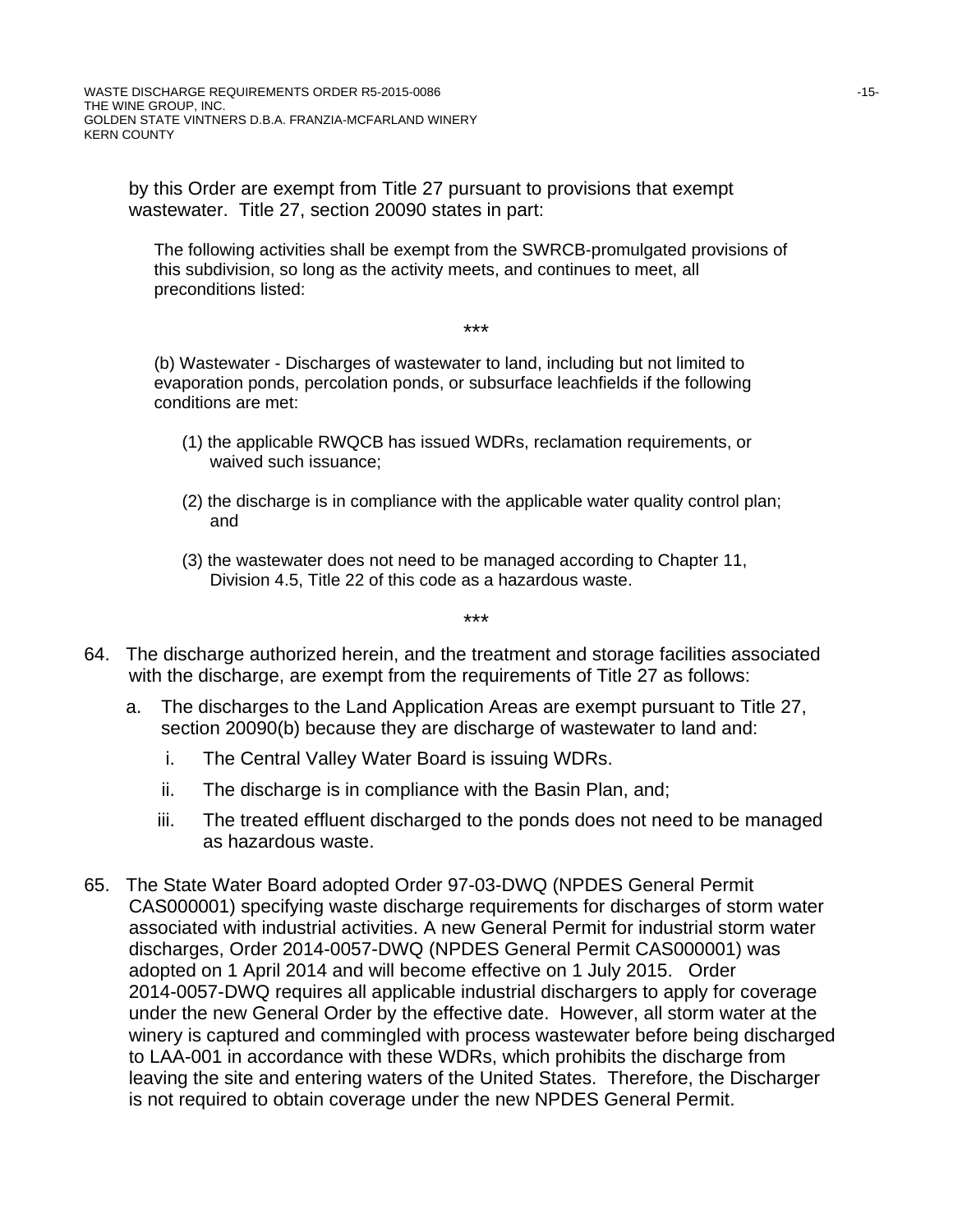WASTE DISCHARGE REQUIREMENTS ORDER R5-2015-0086 45-15-15-15-15-15-15-15-15-15-15-THE WINE GROUP, INC. GOLDEN STATE VINTNERS D.B.A. FRANZIA-MCFARLAND WINERY KERN COUNTY

by this Order are exempt from Title 27 pursuant to provisions that exempt wastewater. Title 27, section 20090 states in part:

The following activities shall be exempt from the SWRCB-promulgated provisions of this subdivision, so long as the activity meets, and continues to meet, all preconditions listed:

#### \*\*\*

(b) Wastewater - Discharges of wastewater to land, including but not limited to evaporation ponds, percolation ponds, or subsurface leachfields if the following conditions are met:

- (1) the applicable RWQCB has issued WDRs, reclamation requirements, or waived such issuance;
- (2) the discharge is in compliance with the applicable water quality control plan; and
- (3) the wastewater does not need to be managed according to Chapter 11, Division 4.5, Title 22 of this code as a hazardous waste.

\*\*\*

- 64. The discharge authorized herein, and the treatment and storage facilities associated with the discharge, are exempt from the requirements of Title 27 as follows:
	- a. The discharges to the Land Application Areas are exempt pursuant to Title 27, section 20090(b) because they are discharge of wastewater to land and:
		- i. The Central Valley Water Board is issuing WDRs.
		- ii. The discharge is in compliance with the Basin Plan, and;
		- iii. The treated effluent discharged to the ponds does not need to be managed as hazardous waste.
- 65. The State Water Board adopted Order 97-03-DWQ (NPDES General Permit CAS000001) specifying waste discharge requirements for discharges of storm water associated with industrial activities. A new General Permit for industrial storm water discharges, Order 2014-0057-DWQ (NPDES General Permit CAS000001) was adopted on 1 April 2014 and will become effective on 1 July 2015. Order 2014-0057-DWQ requires all applicable industrial dischargers to apply for coverage under the new General Order by the effective date. However, all storm water at the winery is captured and commingled with process wastewater before being discharged to LAA-001 in accordance with these WDRs, which prohibits the discharge from leaving the site and entering waters of the United States. Therefore, the Discharger is not required to obtain coverage under the new NPDES General Permit.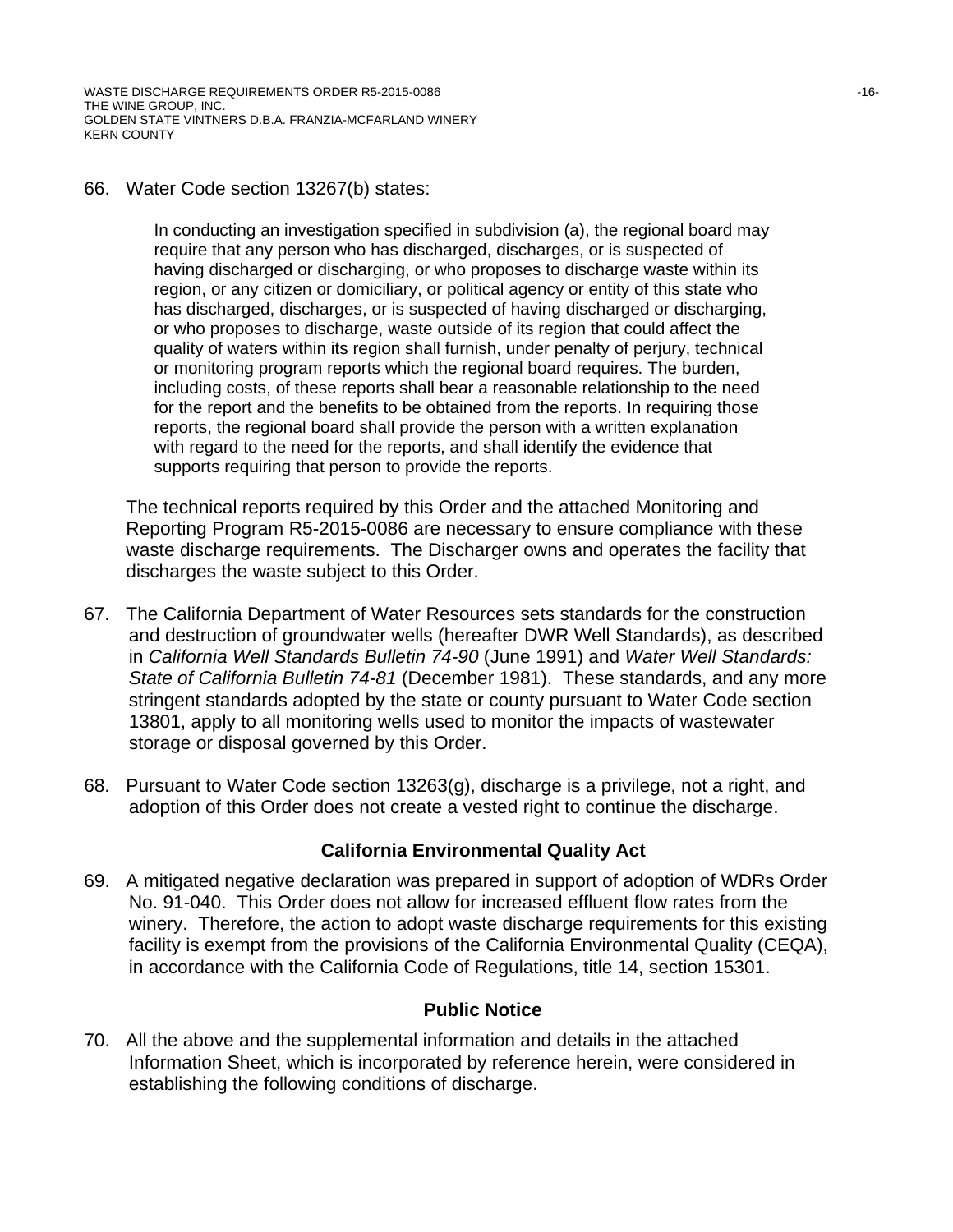WASTE DISCHARGE REQUIREMENTS ORDER R5-2015-0086 46-16-16-16-16-16-16-16-16-16-16-THE WINE GROUP, INC. GOLDEN STATE VINTNERS D.B.A. FRANZIA-MCFARLAND WINERY KERN COUNTY

#### 66. Water Code section 13267(b) states:

In conducting an investigation specified in subdivision (a), the regional board may require that any person who has discharged, discharges, or is suspected of having discharged or discharging, or who proposes to discharge waste within its region, or any citizen or domiciliary, or political agency or entity of this state who has discharged, discharges, or is suspected of having discharged or discharging, or who proposes to discharge, waste outside of its region that could affect the quality of waters within its region shall furnish, under penalty of perjury, technical or monitoring program reports which the regional board requires. The burden, including costs, of these reports shall bear a reasonable relationship to the need for the report and the benefits to be obtained from the reports. In requiring those reports, the regional board shall provide the person with a written explanation with regard to the need for the reports, and shall identify the evidence that supports requiring that person to provide the reports.

The technical reports required by this Order and the attached Monitoring and Reporting Program R5-2015-0086 are necessary to ensure compliance with these waste discharge requirements. The Discharger owns and operates the facility that discharges the waste subject to this Order.

- 67. The California Department of Water Resources sets standards for the construction and destruction of groundwater wells (hereafter DWR Well Standards), as described in *California Well Standards Bulletin 74-90* (June 1991) and *Water Well Standards: State of California Bulletin 74-81* (December 1981). These standards, and any more stringent standards adopted by the state or county pursuant to Water Code section 13801, apply to all monitoring wells used to monitor the impacts of wastewater storage or disposal governed by this Order.
- 68. Pursuant to Water Code section 13263(g), discharge is a privilege, not a right, and adoption of this Order does not create a vested right to continue the discharge.

#### **California Environmental Quality Act**

69. A mitigated negative declaration was prepared in support of adoption of WDRs Order No. 91-040. This Order does not allow for increased effluent flow rates from the winery. Therefore, the action to adopt waste discharge requirements for this existing facility is exempt from the provisions of the California Environmental Quality (CEQA), in accordance with the California Code of Regulations, title 14, section 15301.

#### **Public Notice**

70. All the above and the supplemental information and details in the attached Information Sheet, which is incorporated by reference herein, were considered in establishing the following conditions of discharge.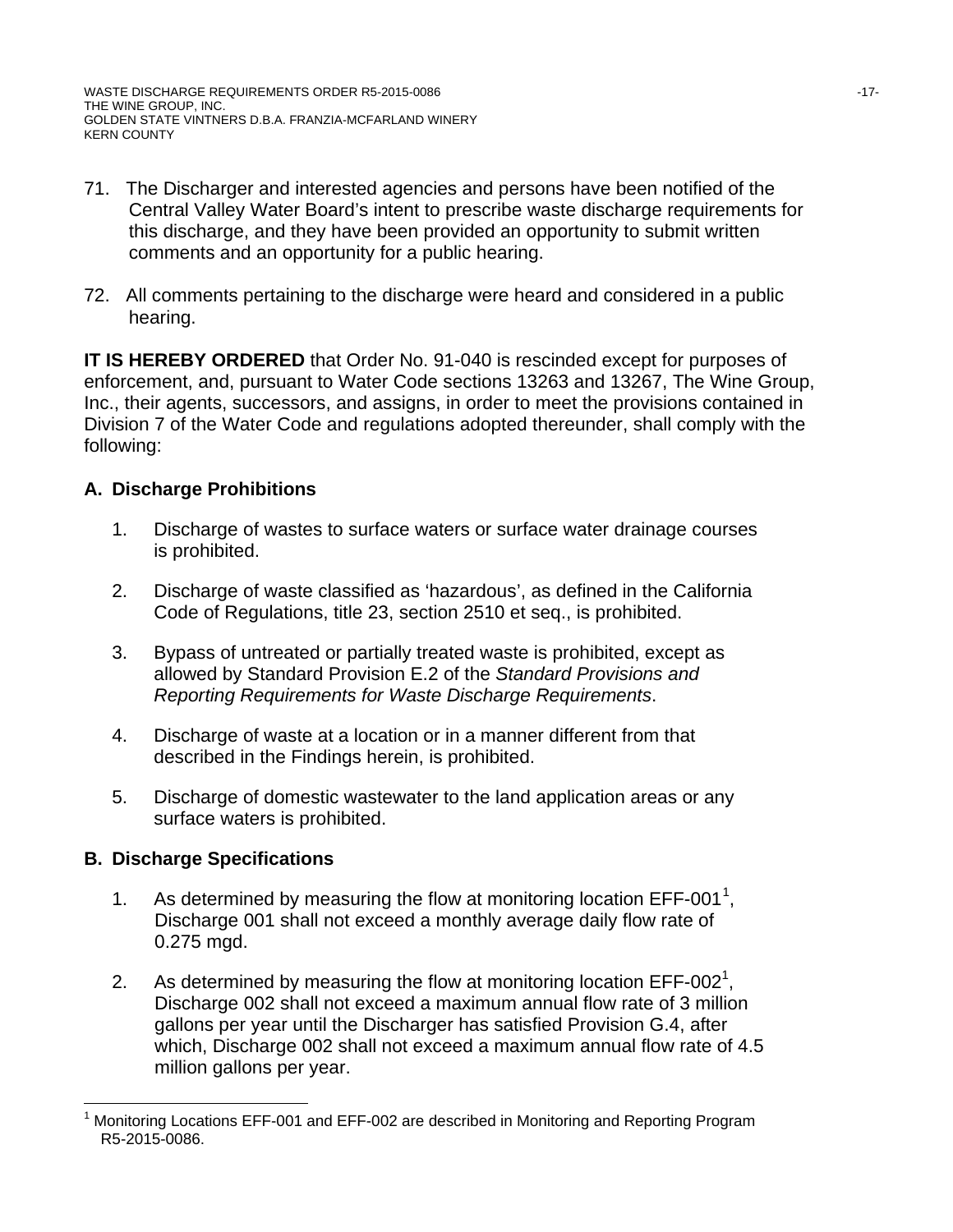- 71. The Discharger and interested agencies and persons have been notified of the Central Valley Water Board's intent to prescribe waste discharge requirements for this discharge, and they have been provided an opportunity to submit written comments and an opportunity for a public hearing.
- 72. All comments pertaining to the discharge were heard and considered in a public hearing.

**IT IS HEREBY ORDERED** that Order No. 91-040 is rescinded except for purposes of enforcement, and, pursuant to Water Code sections 13263 and 13267, The Wine Group, Inc., their agents, successors, and assigns, in order to meet the provisions contained in Division 7 of the Water Code and regulations adopted thereunder, shall comply with the following:

# **A. Discharge Prohibitions**

- 1. Discharge of wastes to surface waters or surface water drainage courses is prohibited.
- 2. Discharge of waste classified as 'hazardous', as defined in the California Code of Regulations, title 23, section 2510 et seq., is prohibited.
- 3. Bypass of untreated or partially treated waste is prohibited, except as allowed by Standard Provision E.2 of the *Standard Provisions and Reporting Requirements for Waste Discharge Requirements*.
- 4. Discharge of waste at a location or in a manner different from that described in the Findings herein, is prohibited.
- 5. Discharge of domestic wastewater to the land application areas or any surface waters is prohibited.

# **B. Discharge Specifications**

- [1](#page-16-0). As determined by measuring the flow at monitoring location  $EFF-001^1$ , Discharge 001 shall not exceed a monthly average daily flow rate of 0.275 mgd.
- 2. As determined by measuring the flow at monitoring location EFF-002<sup>1</sup>, Discharge 002 shall not exceed a maximum annual flow rate of 3 million gallons per year until the Discharger has satisfied Provision G.4, after which, Discharge 002 shall not exceed a maximum annual flow rate of 4.5 million gallons per year.

<span id="page-16-0"></span>Monitoring Locations EFF-001 and EFF-002 are described in Monitoring and Reporting Program R5-2015-0086.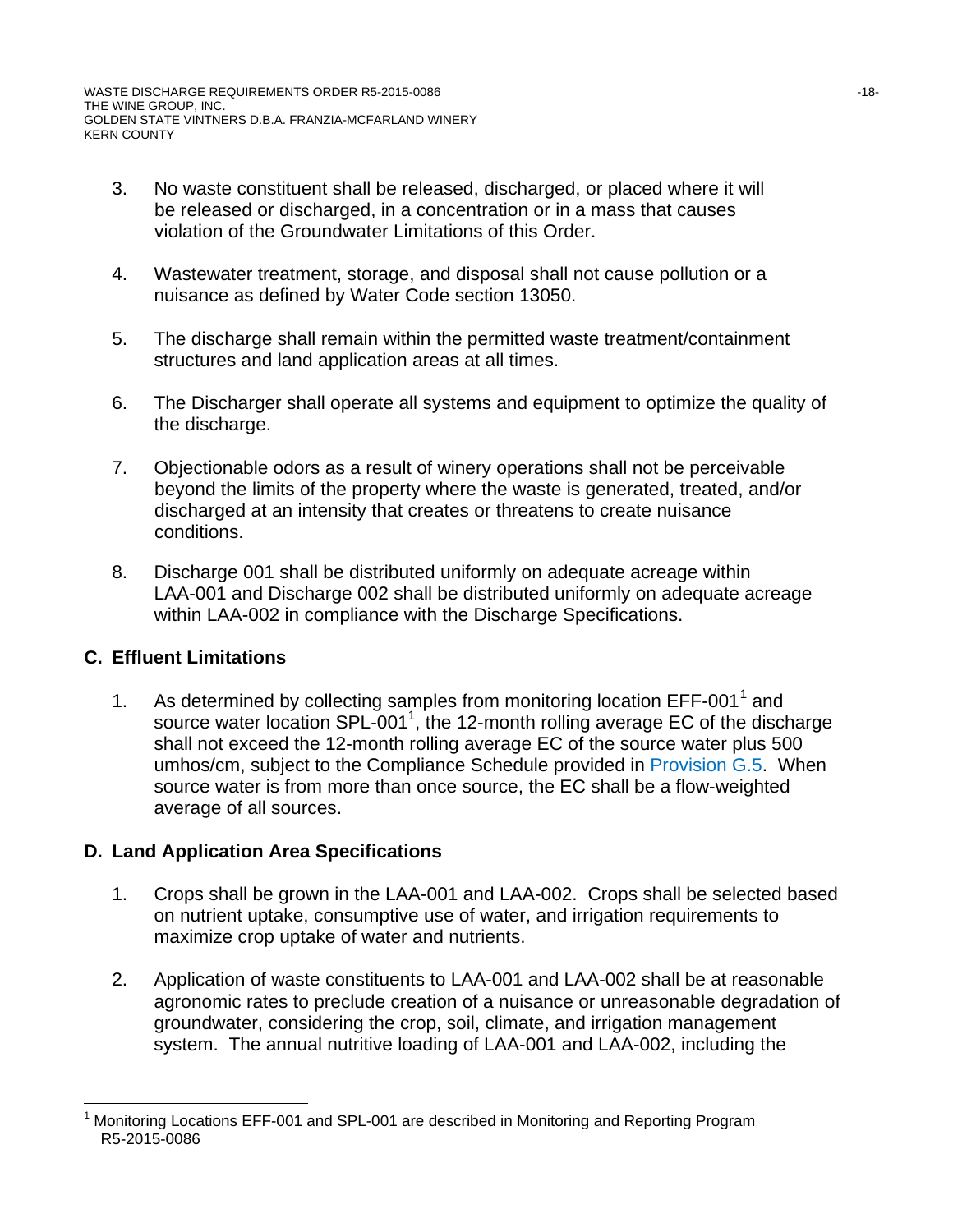- 3. No waste constituent shall be released, discharged, or placed where it will be released or discharged, in a concentration or in a mass that causes violation of the Groundwater Limitations of this Order.
- 4. Wastewater treatment, storage, and disposal shall not cause pollution or a nuisance as defined by Water Code section 13050.
- 5. The discharge shall remain within the permitted waste treatment/containment structures and land application areas at all times.
- 6. The Discharger shall operate all systems and equipment to optimize the quality of the discharge.
- 7. Objectionable odors as a result of winery operations shall not be perceivable beyond the limits of the property where the waste is generated, treated, and/or discharged at an intensity that creates or threatens to create nuisance conditions.
- 8. Discharge 001 shall be distributed uniformly on adequate acreage within LAA-001 and Discharge 002 shall be distributed uniformly on adequate acreage within LAA-002 in compliance with the Discharge Specifications.

# **C. Effluent Limitations**

[1](#page-17-0). As determined by collecting samples from monitoring location  $EFF-001<sup>1</sup>$  and source water location SPL-001<sup>1</sup>, the 12-month rolling average EC of the discharge shall not exceed the 12-month rolling average EC of the source water plus 500 umhos/cm, subject to the Compliance Schedule provided in Provision G.5. When source water is from more than once source, the EC shall be a flow-weighted average of all sources.

# **D. Land Application Area Specifications**

- 1. Crops shall be grown in the LAA-001 and LAA-002. Crops shall be selected based on nutrient uptake, consumptive use of water, and irrigation requirements to maximize crop uptake of water and nutrients.
- 2. Application of waste constituents to LAA-001 and LAA-002 shall be at reasonable agronomic rates to preclude creation of a nuisance or unreasonable degradation of groundwater, considering the crop, soil, climate, and irrigation management system. The annual nutritive loading of LAA-001 and LAA-002, including the

<span id="page-17-0"></span>Monitoring Locations EFF-001 and SPL-001 are described in Monitoring and Reporting Program R5-2015-0086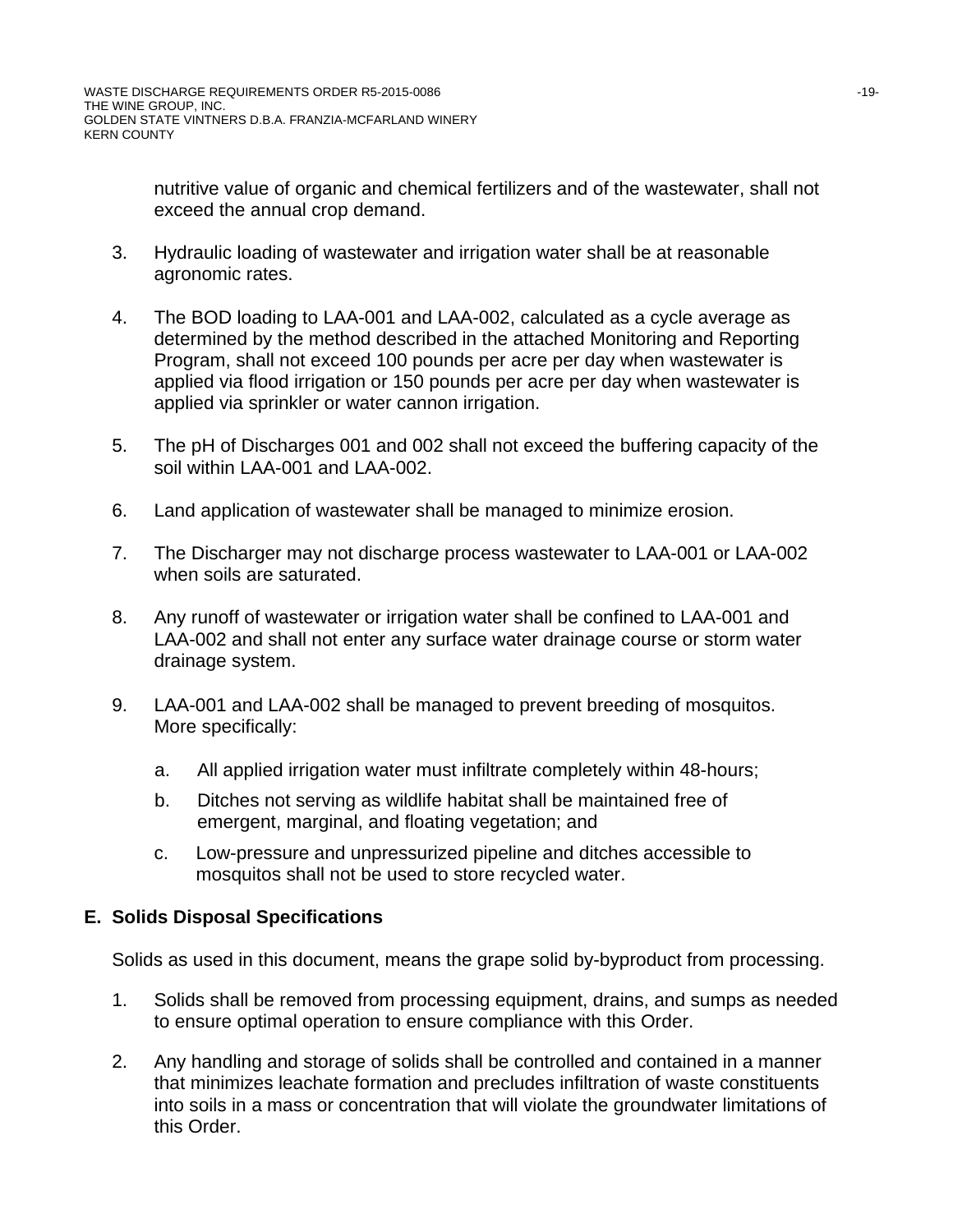nutritive value of organic and chemical fertilizers and of the wastewater, shall not exceed the annual crop demand.

- 3. Hydraulic loading of wastewater and irrigation water shall be at reasonable agronomic rates.
- 4. The BOD loading to LAA-001 and LAA-002, calculated as a cycle average as determined by the method described in the attached Monitoring and Reporting Program, shall not exceed 100 pounds per acre per day when wastewater is applied via flood irrigation or 150 pounds per acre per day when wastewater is applied via sprinkler or water cannon irrigation.
- 5. The pH of Discharges 001 and 002 shall not exceed the buffering capacity of the soil within LAA-001 and LAA-002.
- 6. Land application of wastewater shall be managed to minimize erosion.
- 7. The Discharger may not discharge process wastewater to LAA-001 or LAA-002 when soils are saturated.
- 8. Any runoff of wastewater or irrigation water shall be confined to LAA-001 and LAA-002 and shall not enter any surface water drainage course or storm water drainage system.
- 9. LAA-001 and LAA-002 shall be managed to prevent breeding of mosquitos. More specifically:
	- a. All applied irrigation water must infiltrate completely within 48-hours;
	- b. Ditches not serving as wildlife habitat shall be maintained free of emergent, marginal, and floating vegetation; and
	- c. Low-pressure and unpressurized pipeline and ditches accessible to mosquitos shall not be used to store recycled water.

# **E. Solids Disposal Specifications**

Solids as used in this document, means the grape solid by-byproduct from processing.

- 1. Solids shall be removed from processing equipment, drains, and sumps as needed to ensure optimal operation to ensure compliance with this Order.
- 2. Any handling and storage of solids shall be controlled and contained in a manner that minimizes leachate formation and precludes infiltration of waste constituents into soils in a mass or concentration that will violate the groundwater limitations of this Order.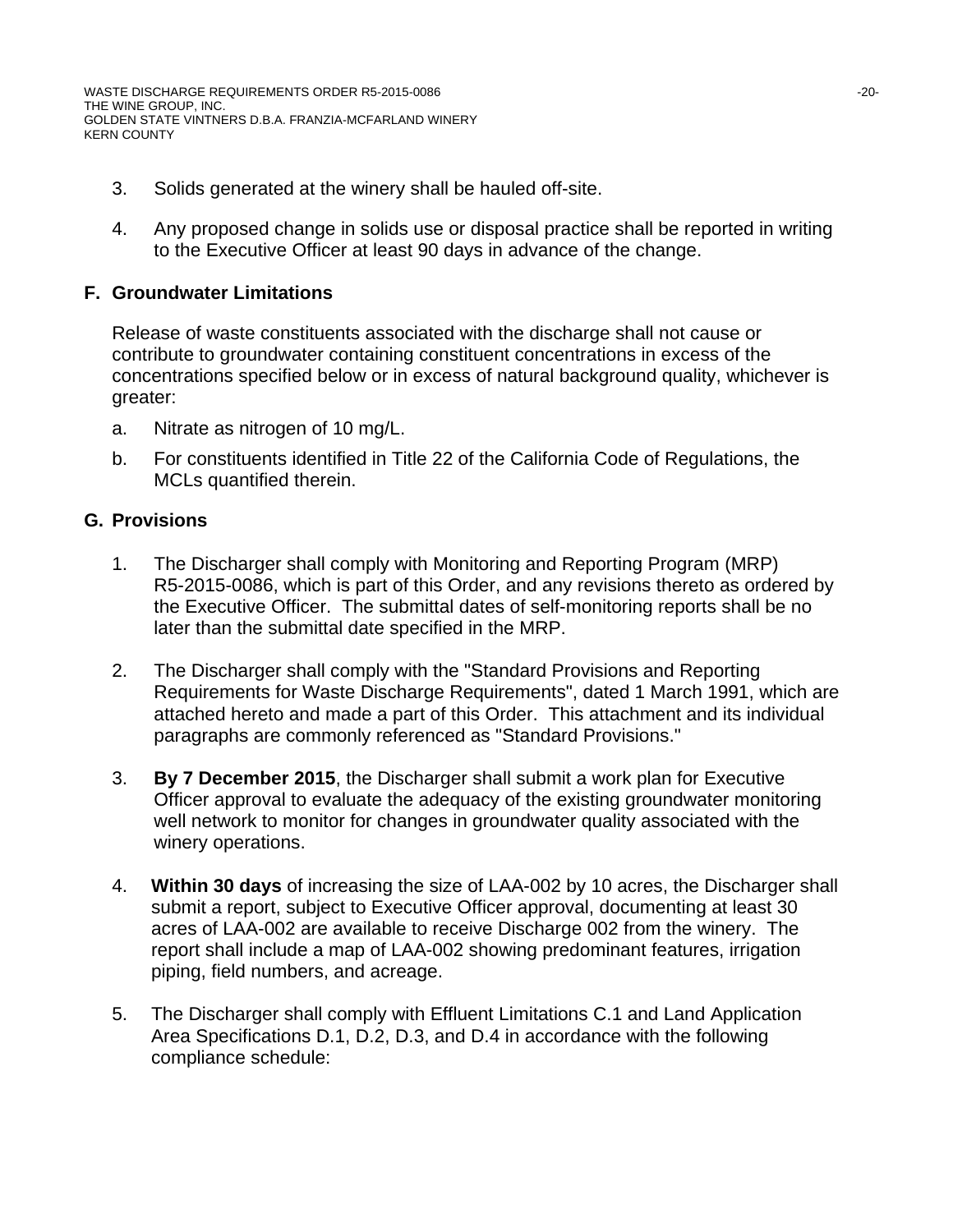WASTE DISCHARGE REQUIREMENTS ORDER R5-2015-0086 -20- THE WINE GROUP, INC. GOLDEN STATE VINTNERS D.B.A. FRANZIA-MCFARLAND WINERY KERN COUNTY

- 3. Solids generated at the winery shall be hauled off-site.
- 4. Any proposed change in solids use or disposal practice shall be reported in writing to the Executive Officer at least 90 days in advance of the change.

# **F. Groundwater Limitations**

Release of waste constituents associated with the discharge shall not cause or contribute to groundwater containing constituent concentrations in excess of the concentrations specified below or in excess of natural background quality, whichever is greater:

- a. Nitrate as nitrogen of 10 mg/L.
- b. For constituents identified in Title 22 of the California Code of Regulations, the MCLs quantified therein.

# **G. Provisions**

- 1. The Discharger shall comply with Monitoring and Reporting Program (MRP) R5-2015-0086, which is part of this Order, and any revisions thereto as ordered by the Executive Officer. The submittal dates of self-monitoring reports shall be no later than the submittal date specified in the MRP.
- 2. The Discharger shall comply with the "Standard Provisions and Reporting Requirements for Waste Discharge Requirements", dated 1 March 1991, which are attached hereto and made a part of this Order. This attachment and its individual paragraphs are commonly referenced as "Standard Provisions."
- 3. **By 7 December 2015**, the Discharger shall submit a work plan for Executive Officer approval to evaluate the adequacy of the existing groundwater monitoring well network to monitor for changes in groundwater quality associated with the winery operations.
- 4. **Within 30 days** of increasing the size of LAA-002 by 10 acres, the Discharger shall submit a report, subject to Executive Officer approval, documenting at least 30 acres of LAA-002 are available to receive Discharge 002 from the winery. The report shall include a map of LAA-002 showing predominant features, irrigation piping, field numbers, and acreage.
- 5. The Discharger shall comply with Effluent Limitations C.1 and Land Application Area Specifications D.1, D.2, D.3, and D.4 in accordance with the following compliance schedule: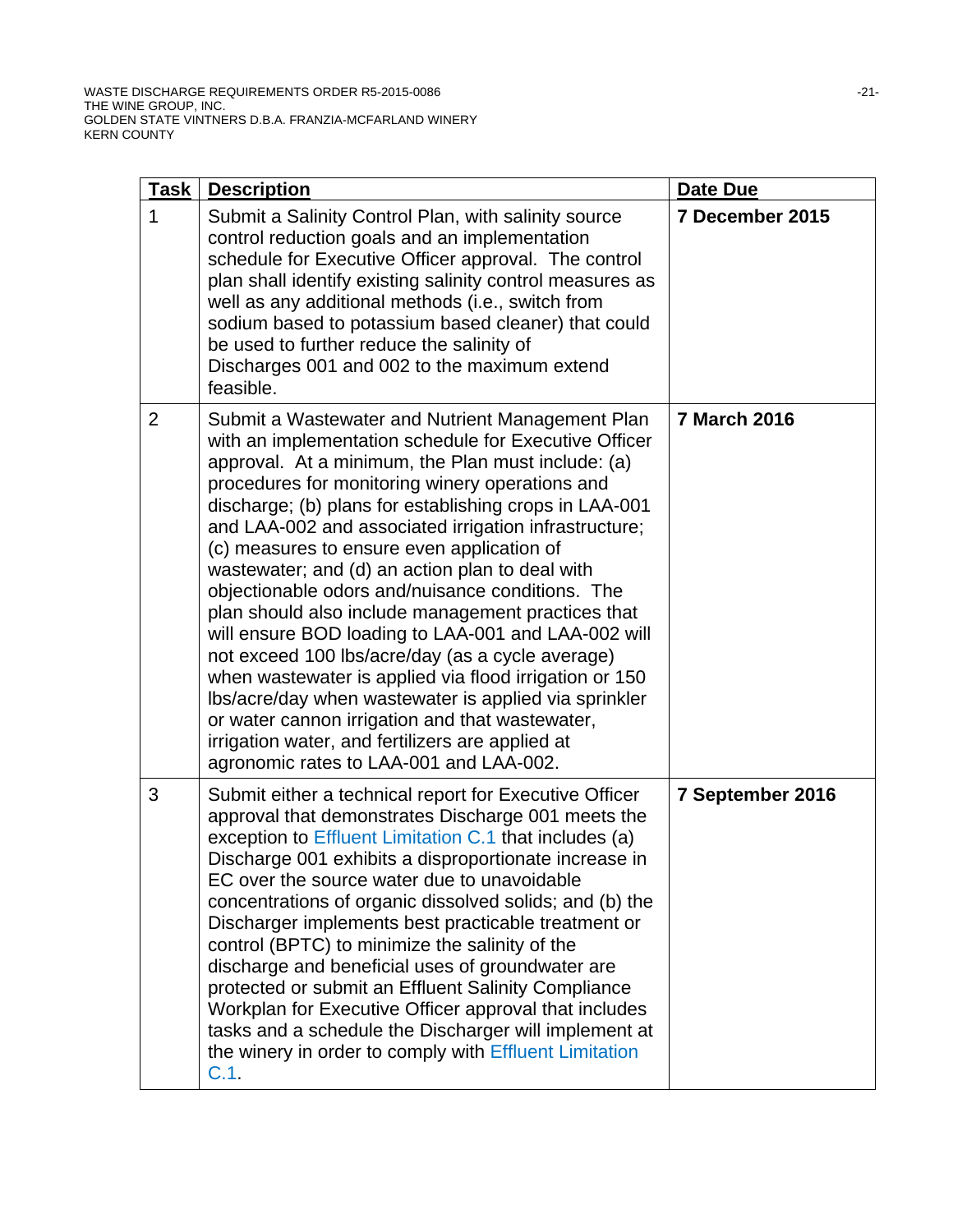| <u>Task</u>    | <b>Description</b>                                                                                                                                                                                                                                                                                                                                                                                                                                                                                                                                                                                                                                                                                                                                                                                                                                                                                                               | Date Due            |
|----------------|----------------------------------------------------------------------------------------------------------------------------------------------------------------------------------------------------------------------------------------------------------------------------------------------------------------------------------------------------------------------------------------------------------------------------------------------------------------------------------------------------------------------------------------------------------------------------------------------------------------------------------------------------------------------------------------------------------------------------------------------------------------------------------------------------------------------------------------------------------------------------------------------------------------------------------|---------------------|
| 1              | Submit a Salinity Control Plan, with salinity source<br>control reduction goals and an implementation<br>schedule for Executive Officer approval. The control<br>plan shall identify existing salinity control measures as<br>well as any additional methods (i.e., switch from<br>sodium based to potassium based cleaner) that could<br>be used to further reduce the salinity of<br>Discharges 001 and 002 to the maximum extend<br>feasible.                                                                                                                                                                                                                                                                                                                                                                                                                                                                                 | 7 December 2015     |
| $\overline{2}$ | Submit a Wastewater and Nutrient Management Plan<br>with an implementation schedule for Executive Officer<br>approval. At a minimum, the Plan must include: (a)<br>procedures for monitoring winery operations and<br>discharge; (b) plans for establishing crops in LAA-001<br>and LAA-002 and associated irrigation infrastructure;<br>(c) measures to ensure even application of<br>wastewater; and (d) an action plan to deal with<br>objectionable odors and/nuisance conditions. The<br>plan should also include management practices that<br>will ensure BOD loading to LAA-001 and LAA-002 will<br>not exceed 100 lbs/acre/day (as a cycle average)<br>when wastewater is applied via flood irrigation or 150<br>Ibs/acre/day when wastewater is applied via sprinkler<br>or water cannon irrigation and that wastewater,<br>irrigation water, and fertilizers are applied at<br>agronomic rates to LAA-001 and LAA-002. | <b>7 March 2016</b> |
| 3              | Submit either a technical report for Executive Officer<br>approval that demonstrates Discharge 001 meets the<br>exception to Effluent Limitation C.1 that includes (a)<br>Discharge 001 exhibits a disproportionate increase in<br>EC over the source water due to unavoidable<br>concentrations of organic dissolved solids; and (b) the<br>Discharger implements best practicable treatment or<br>control (BPTC) to minimize the salinity of the<br>discharge and beneficial uses of groundwater are<br>protected or submit an Effluent Salinity Compliance<br>Workplan for Executive Officer approval that includes<br>tasks and a schedule the Discharger will implement at<br>the winery in order to comply with Effluent Limitation<br>C.1.                                                                                                                                                                                | 7 September 2016    |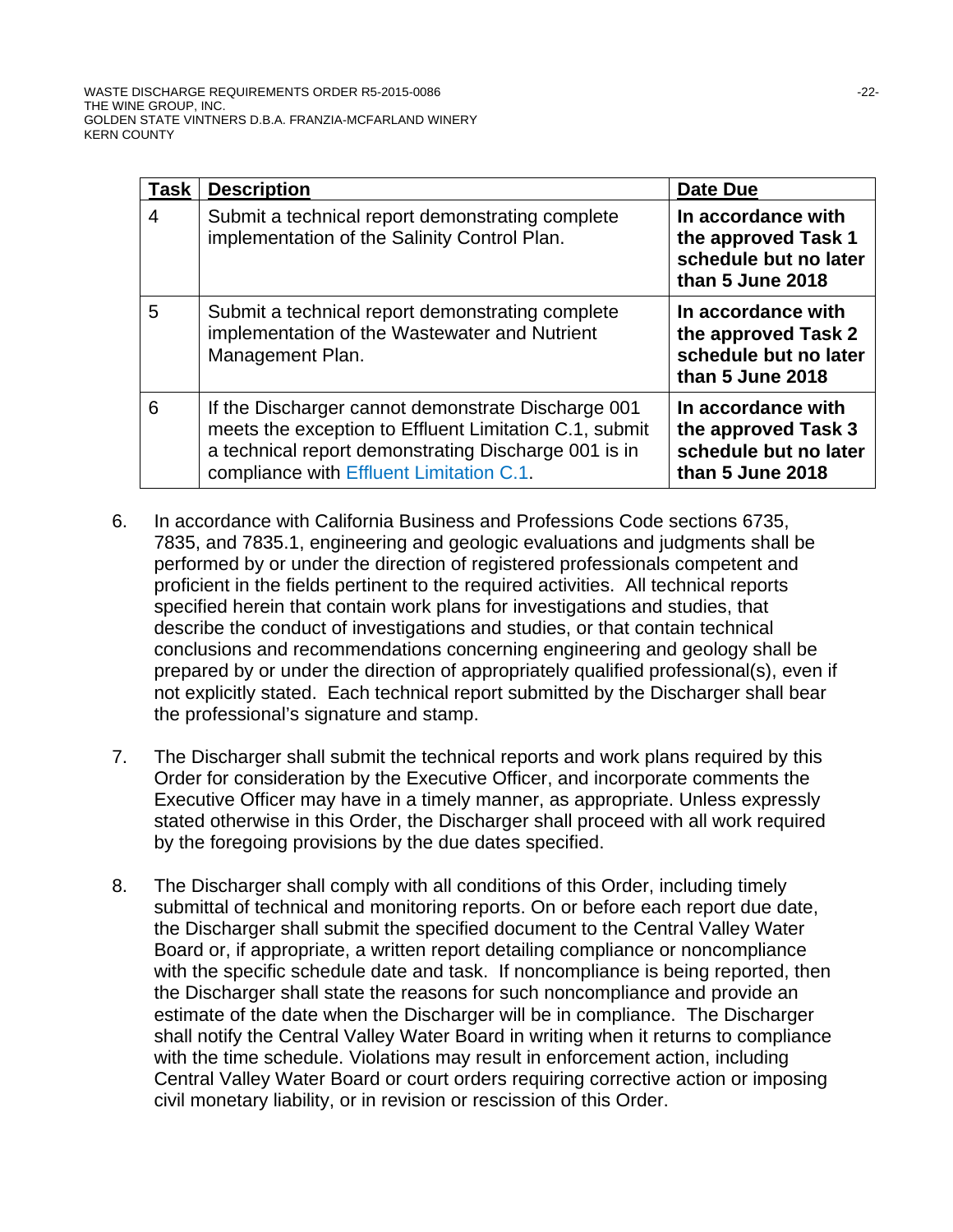| Task | <b>Description</b>                                                                                                                                                                                               | Date Due                                                                               |
|------|------------------------------------------------------------------------------------------------------------------------------------------------------------------------------------------------------------------|----------------------------------------------------------------------------------------|
| 4    | Submit a technical report demonstrating complete<br>implementation of the Salinity Control Plan.                                                                                                                 | In accordance with<br>the approved Task 1<br>schedule but no later<br>than 5 June 2018 |
| 5    | Submit a technical report demonstrating complete<br>implementation of the Wastewater and Nutrient<br>Management Plan.                                                                                            | In accordance with<br>the approved Task 2<br>schedule but no later<br>than 5 June 2018 |
| 6    | If the Discharger cannot demonstrate Discharge 001<br>meets the exception to Effluent Limitation C.1, submit<br>a technical report demonstrating Discharge 001 is in<br>compliance with Effluent Limitation C.1. | In accordance with<br>the approved Task 3<br>schedule but no later<br>than 5 June 2018 |

- 6. In accordance with California Business and Professions Code sections 6735, 7835, and 7835.1, engineering and geologic evaluations and judgments shall be performed by or under the direction of registered professionals competent and proficient in the fields pertinent to the required activities. All technical reports specified herein that contain work plans for investigations and studies, that describe the conduct of investigations and studies, or that contain technical conclusions and recommendations concerning engineering and geology shall be prepared by or under the direction of appropriately qualified professional(s), even if not explicitly stated. Each technical report submitted by the Discharger shall bear the professional's signature and stamp.
- 7. The Discharger shall submit the technical reports and work plans required by this Order for consideration by the Executive Officer, and incorporate comments the Executive Officer may have in a timely manner, as appropriate. Unless expressly stated otherwise in this Order, the Discharger shall proceed with all work required by the foregoing provisions by the due dates specified.
- 8. The Discharger shall comply with all conditions of this Order, including timely submittal of technical and monitoring reports. On or before each report due date, the Discharger shall submit the specified document to the Central Valley Water Board or, if appropriate, a written report detailing compliance or noncompliance with the specific schedule date and task. If noncompliance is being reported, then the Discharger shall state the reasons for such noncompliance and provide an estimate of the date when the Discharger will be in compliance. The Discharger shall notify the Central Valley Water Board in writing when it returns to compliance with the time schedule. Violations may result in enforcement action, including Central Valley Water Board or court orders requiring corrective action or imposing civil monetary liability, or in revision or rescission of this Order.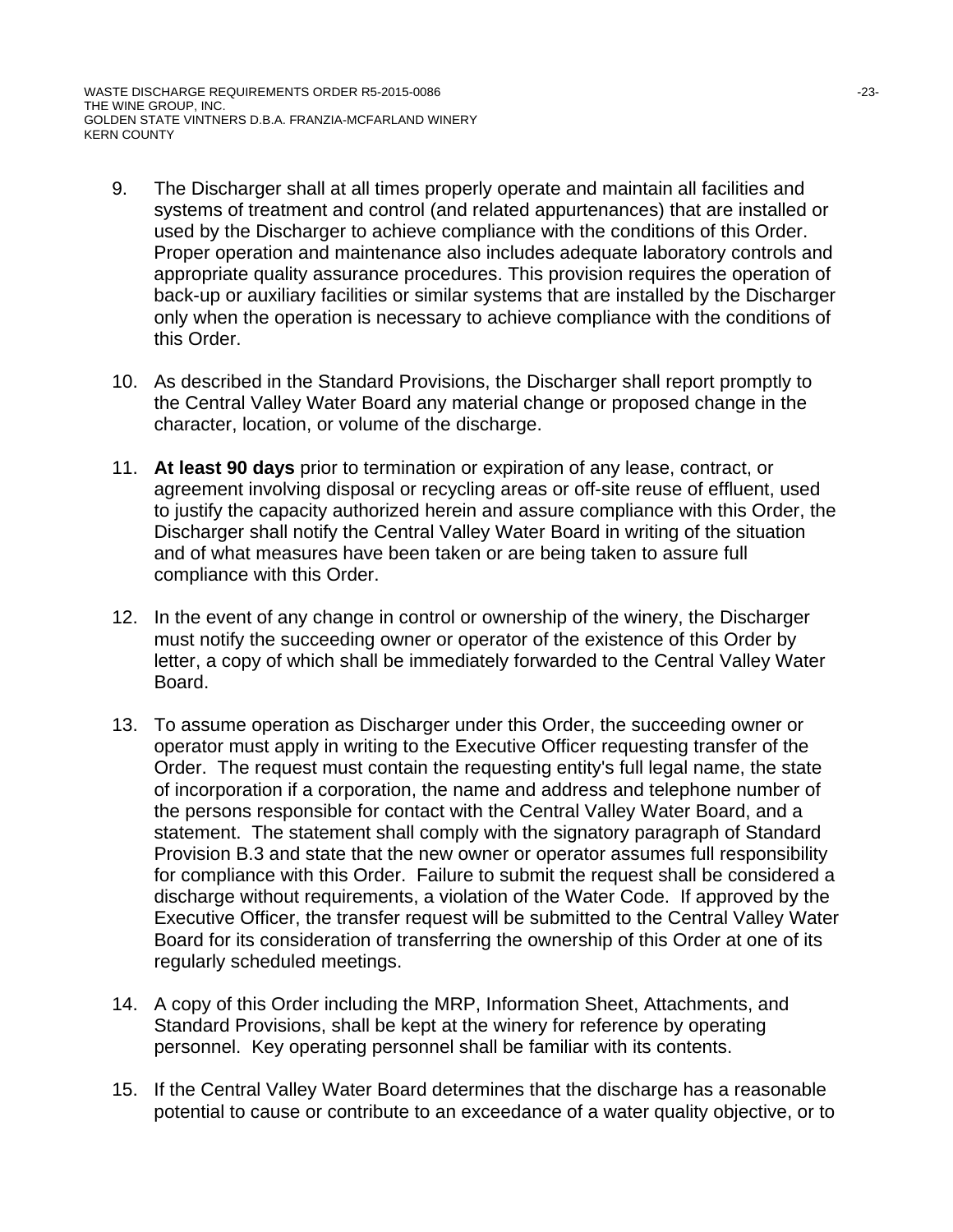WASTE DISCHARGE REQUIREMENTS ORDER R5-2015-0086 -23- THE WINE GROUP, INC. GOLDEN STATE VINTNERS D.B.A. FRANZIA-MCFARLAND WINERY KERN COUNTY

- 9. The Discharger shall at all times properly operate and maintain all facilities and systems of treatment and control (and related appurtenances) that are installed or used by the Discharger to achieve compliance with the conditions of this Order. Proper operation and maintenance also includes adequate laboratory controls and appropriate quality assurance procedures. This provision requires the operation of back-up or auxiliary facilities or similar systems that are installed by the Discharger only when the operation is necessary to achieve compliance with the conditions of this Order.
- 10. As described in the Standard Provisions, the Discharger shall report promptly to the Central Valley Water Board any material change or proposed change in the character, location, or volume of the discharge.
- 11. **At least 90 days** prior to termination or expiration of any lease, contract, or agreement involving disposal or recycling areas or off-site reuse of effluent, used to justify the capacity authorized herein and assure compliance with this Order, the Discharger shall notify the Central Valley Water Board in writing of the situation and of what measures have been taken or are being taken to assure full compliance with this Order.
- 12. In the event of any change in control or ownership of the winery, the Discharger must notify the succeeding owner or operator of the existence of this Order by letter, a copy of which shall be immediately forwarded to the Central Valley Water Board.
- 13. To assume operation as Discharger under this Order, the succeeding owner or operator must apply in writing to the Executive Officer requesting transfer of the Order. The request must contain the requesting entity's full legal name, the state of incorporation if a corporation, the name and address and telephone number of the persons responsible for contact with the Central Valley Water Board, and a statement. The statement shall comply with the signatory paragraph of Standard Provision B.3 and state that the new owner or operator assumes full responsibility for compliance with this Order. Failure to submit the request shall be considered a discharge without requirements, a violation of the Water Code. If approved by the Executive Officer, the transfer request will be submitted to the Central Valley Water Board for its consideration of transferring the ownership of this Order at one of its regularly scheduled meetings.
- 14. A copy of this Order including the MRP, Information Sheet, Attachments, and Standard Provisions, shall be kept at the winery for reference by operating personnel. Key operating personnel shall be familiar with its contents.
- 15. If the Central Valley Water Board determines that the discharge has a reasonable potential to cause or contribute to an exceedance of a water quality objective, or to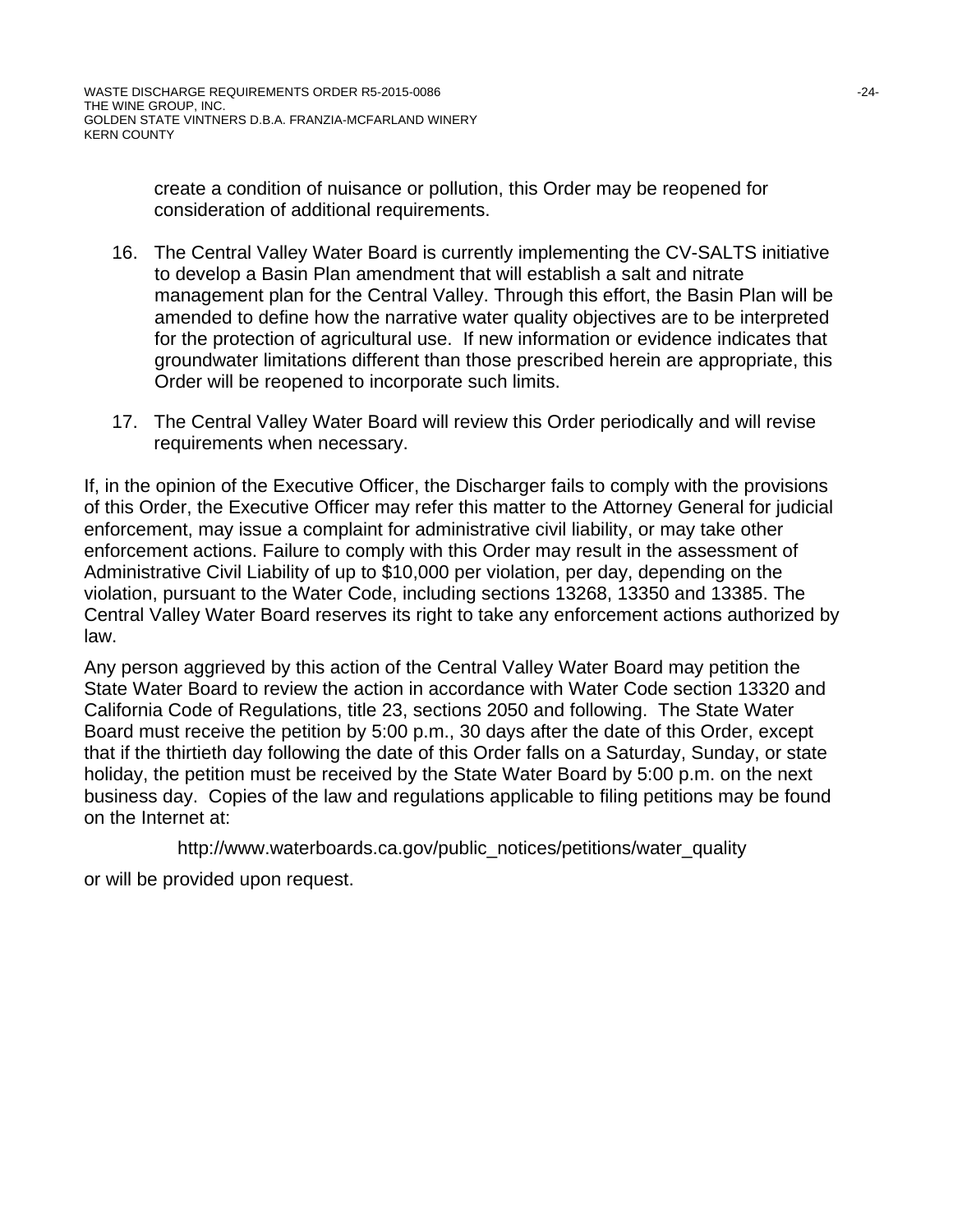create a condition of nuisance or pollution, this Order may be reopened for consideration of additional requirements.

- 16. The Central Valley Water Board is currently implementing the CV-SALTS initiative to develop a Basin Plan amendment that will establish a salt and nitrate management plan for the Central Valley. Through this effort, the Basin Plan will be amended to define how the narrative water quality objectives are to be interpreted for the protection of agricultural use. If new information or evidence indicates that groundwater limitations different than those prescribed herein are appropriate, this Order will be reopened to incorporate such limits.
- 17. The Central Valley Water Board will review this Order periodically and will revise requirements when necessary.

If, in the opinion of the Executive Officer, the Discharger fails to comply with the provisions of this Order, the Executive Officer may refer this matter to the Attorney General for judicial enforcement, may issue a complaint for administrative civil liability, or may take other enforcement actions. Failure to comply with this Order may result in the assessment of Administrative Civil Liability of up to \$10,000 per violation, per day, depending on the violation, pursuant to the Water Code, including sections 13268, 13350 and 13385. The Central Valley Water Board reserves its right to take any enforcement actions authorized by law.

Any person aggrieved by this action of the Central Valley Water Board may petition the State Water Board to review the action in accordance with Water Code section 13320 and California Code of Regulations, title 23, sections 2050 and following. The State Water Board must receive the petition by 5:00 p.m., 30 days after the date of this Order, except that if the thirtieth day following the date of this Order falls on a Saturday, Sunday, or state holiday, the petition must be received by the State Water Board by 5:00 p.m. on the next business day. Copies of the law and regulations applicable to filing petitions may be found on the Internet at:

http://www.waterboards.ca.gov/public\_notices/petitions/water\_quality

or will be provided upon request.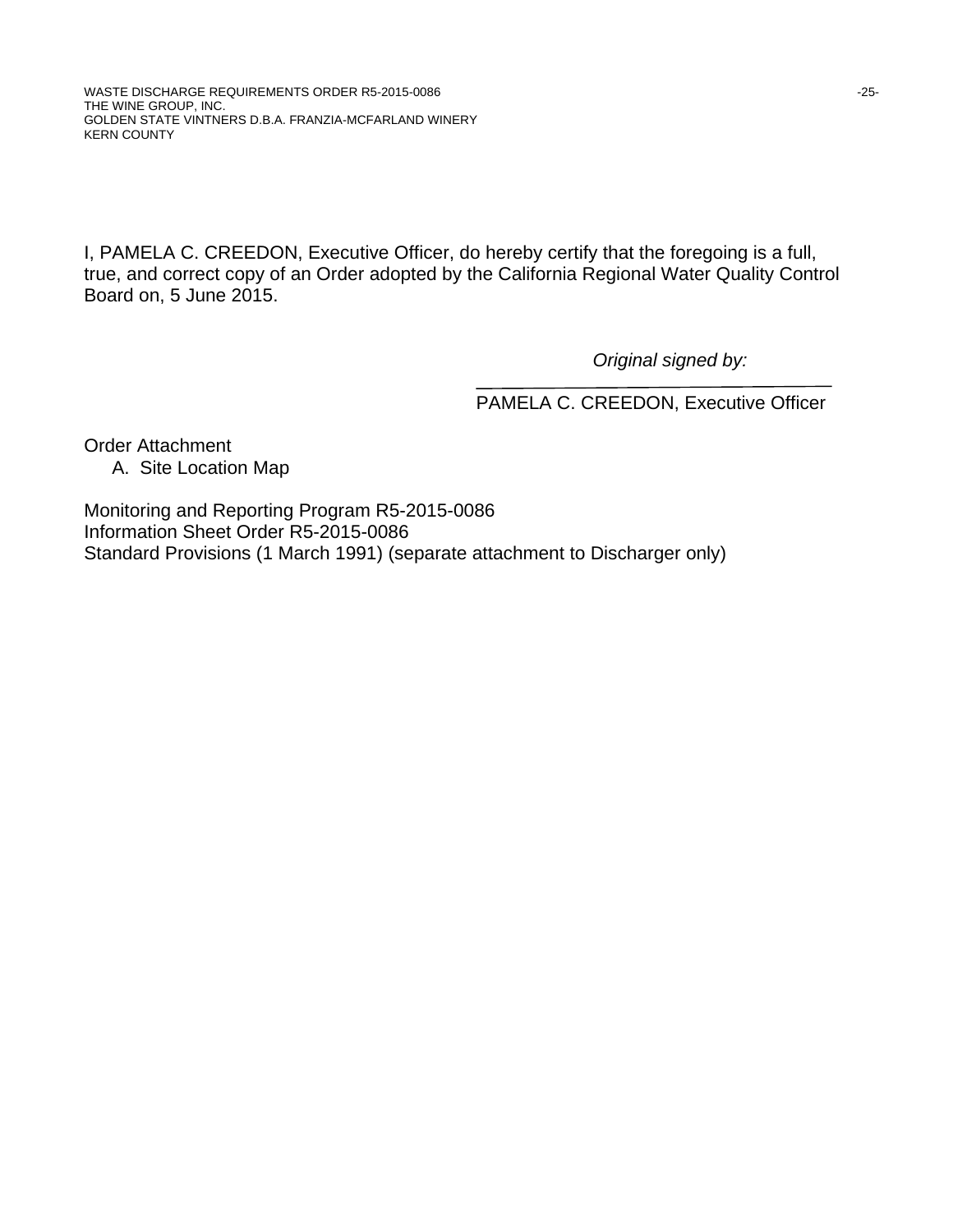I, PAMELA C. CREEDON, Executive Officer, do hereby certify that the foregoing is a full, true, and correct copy of an Order adopted by the California Regional Water Quality Control Board on, 5 June 2015.

*Original signed by:*

PAMELA C. CREEDON, Executive Officer

Order Attachment A. Site Location Map

Monitoring and Reporting Program R5-2015-0086 Information Sheet Order R5-2015-0086 Standard Provisions (1 March 1991) (separate attachment to Discharger only)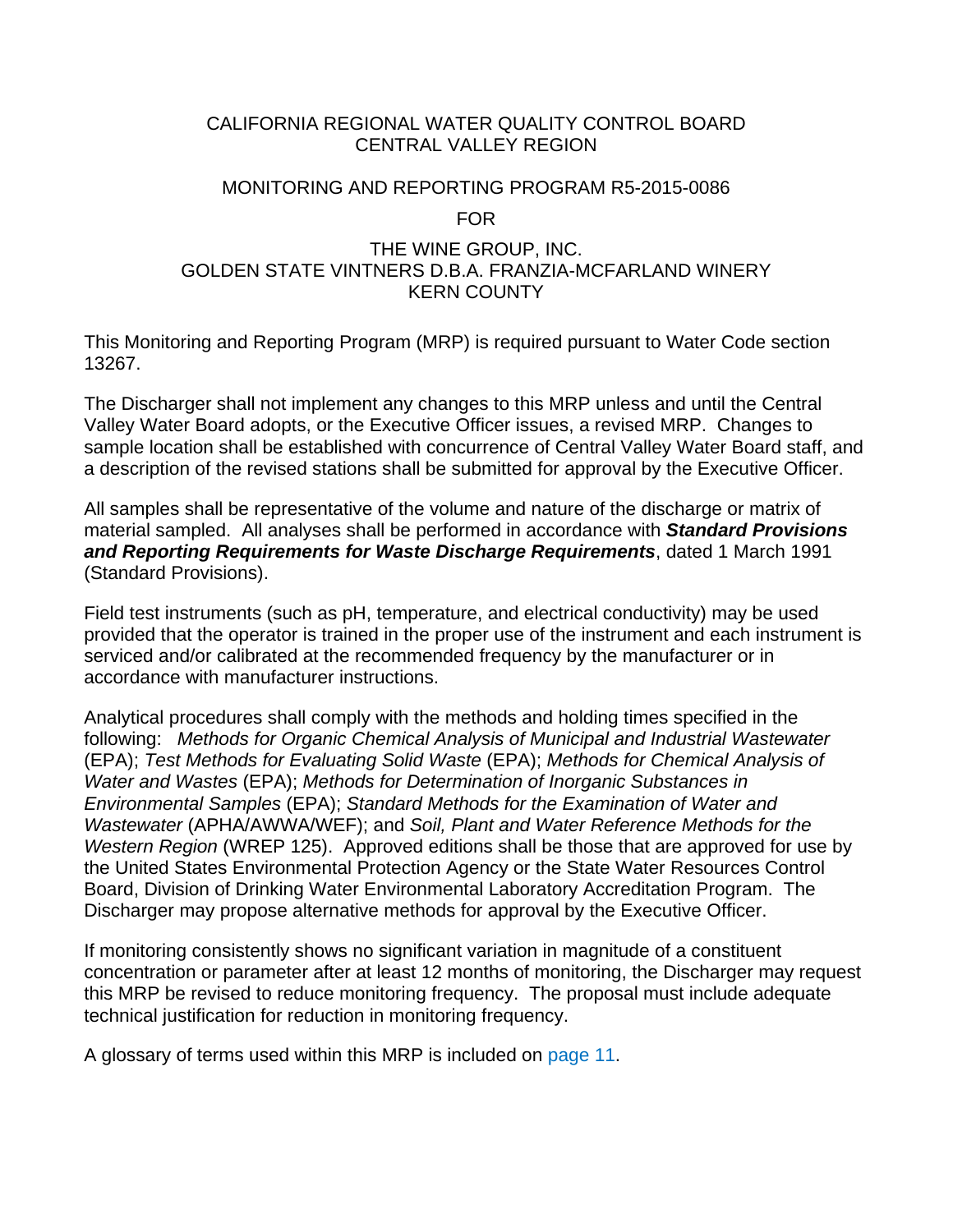# CALIFORNIA REGIONAL WATER QUALITY CONTROL BOARD CENTRAL VALLEY REGION

# MONITORING AND REPORTING PROGRAM R5-2015-0086 FOR

# THE WINE GROUP, INC. GOLDEN STATE VINTNERS D.B.A. FRANZIA-MCFARLAND WINERY KERN COUNTY

This Monitoring and Reporting Program (MRP) is required pursuant to Water Code section 13267.

The Discharger shall not implement any changes to this MRP unless and until the Central Valley Water Board adopts, or the Executive Officer issues, a revised MRP. Changes to sample location shall be established with concurrence of Central Valley Water Board staff, and a description of the revised stations shall be submitted for approval by the Executive Officer.

All samples shall be representative of the volume and nature of the discharge or matrix of material sampled. All analyses shall be performed in accordance with *Standard Provisions and Reporting Requirements for Waste Discharge Requirements*, dated 1 March 1991 (Standard Provisions).

Field test instruments (such as pH, temperature, and electrical conductivity) may be used provided that the operator is trained in the proper use of the instrument and each instrument is serviced and/or calibrated at the recommended frequency by the manufacturer or in accordance with manufacturer instructions.

Analytical procedures shall comply with the methods and holding times specified in the following: *Methods for Organic Chemical Analysis of Municipal and Industrial Wastewater* (EPA); *Test Methods for Evaluating Solid Waste* (EPA); *Methods for Chemical Analysis of Water and Wastes* (EPA); *Methods for Determination of Inorganic Substances in Environmental Samples* (EPA); *Standard Methods for the Examination of Water and Wastewater* (APHA/AWWA/WEF); and *Soil, Plant and Water Reference Methods for the Western Region* (WREP 125). Approved editions shall be those that are approved for use by the United States Environmental Protection Agency or the State Water Resources Control Board, Division of Drinking Water Environmental Laboratory Accreditation Program. The Discharger may propose alternative methods for approval by the Executive Officer.

If monitoring consistently shows no significant variation in magnitude of a constituent concentration or parameter after at least 12 months of monitoring, the Discharger may request this MRP be revised to reduce monitoring frequency. The proposal must include adequate technical justification for reduction in monitoring frequency.

A glossary of terms used within this MRP is included on page 11.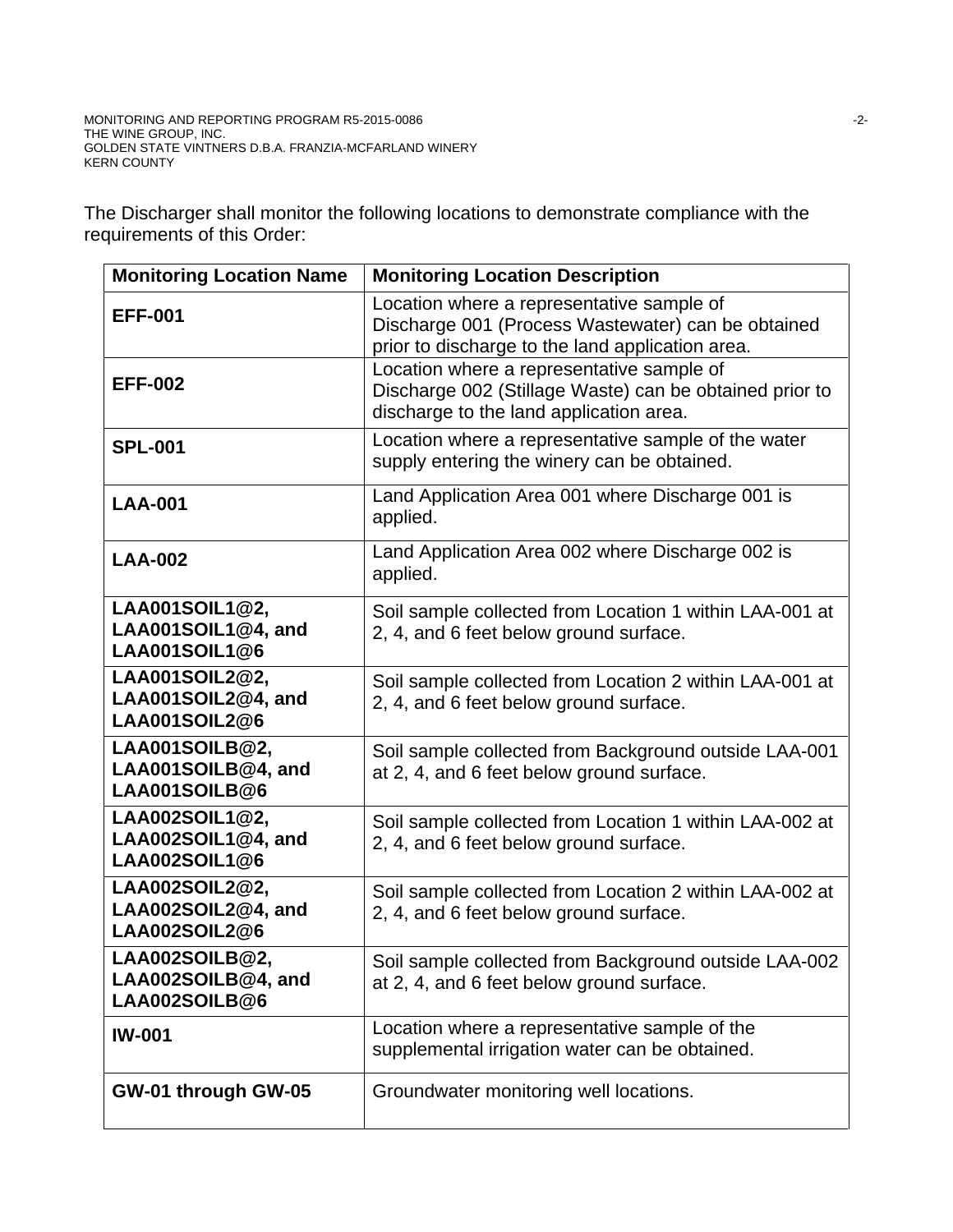The Discharger shall monitor the following locations to demonstrate compliance with the requirements of this Order:

| <b>Monitoring Location Name</b>                              | <b>Monitoring Location Description</b>                                                                                                              |
|--------------------------------------------------------------|-----------------------------------------------------------------------------------------------------------------------------------------------------|
| <b>EFF-001</b>                                               | Location where a representative sample of<br>Discharge 001 (Process Wastewater) can be obtained<br>prior to discharge to the land application area. |
| <b>EFF-002</b>                                               | Location where a representative sample of<br>Discharge 002 (Stillage Waste) can be obtained prior to<br>discharge to the land application area.     |
| <b>SPL-001</b>                                               | Location where a representative sample of the water<br>supply entering the winery can be obtained.                                                  |
| <b>LAA-001</b>                                               | Land Application Area 001 where Discharge 001 is<br>applied.                                                                                        |
| <b>LAA-002</b>                                               | Land Application Area 002 where Discharge 002 is<br>applied.                                                                                        |
| LAA001SOIL1@2,<br>LAA001SOIL1@4, and<br><b>LAA001SOIL1@6</b> | Soil sample collected from Location 1 within LAA-001 at<br>2, 4, and 6 feet below ground surface.                                                   |
| LAA001SOIL2@2,<br>LAA001SOIL2@4, and<br>LAA001SOIL2@6        | Soil sample collected from Location 2 within LAA-001 at<br>2, 4, and 6 feet below ground surface.                                                   |
| LAA001SOILB@2,<br>LAA001SOILB@4, and<br>LAA001SOILB@6        | Soil sample collected from Background outside LAA-001<br>at 2, 4, and 6 feet below ground surface.                                                  |
| LAA002SOIL1@2,<br>LAA002SOIL1@4, and<br>LAA002SOIL1@6        | Soil sample collected from Location 1 within LAA-002 at<br>2, 4, and 6 feet below ground surface.                                                   |
| LAA002SOIL2@2,<br>LAA002SOIL2@4, and<br>LAA002SOIL2@6        | Soil sample collected from Location 2 within LAA-002 at<br>2, 4, and 6 feet below ground surface.                                                   |
| LAA002SOILB@2,<br>LAA002SOILB@4, and<br>LAA002SOILB@6        | Soil sample collected from Background outside LAA-002<br>at 2, 4, and 6 feet below ground surface.                                                  |
| <b>IW-001</b>                                                | Location where a representative sample of the<br>supplemental irrigation water can be obtained.                                                     |
| GW-01 through GW-05                                          | Groundwater monitoring well locations.                                                                                                              |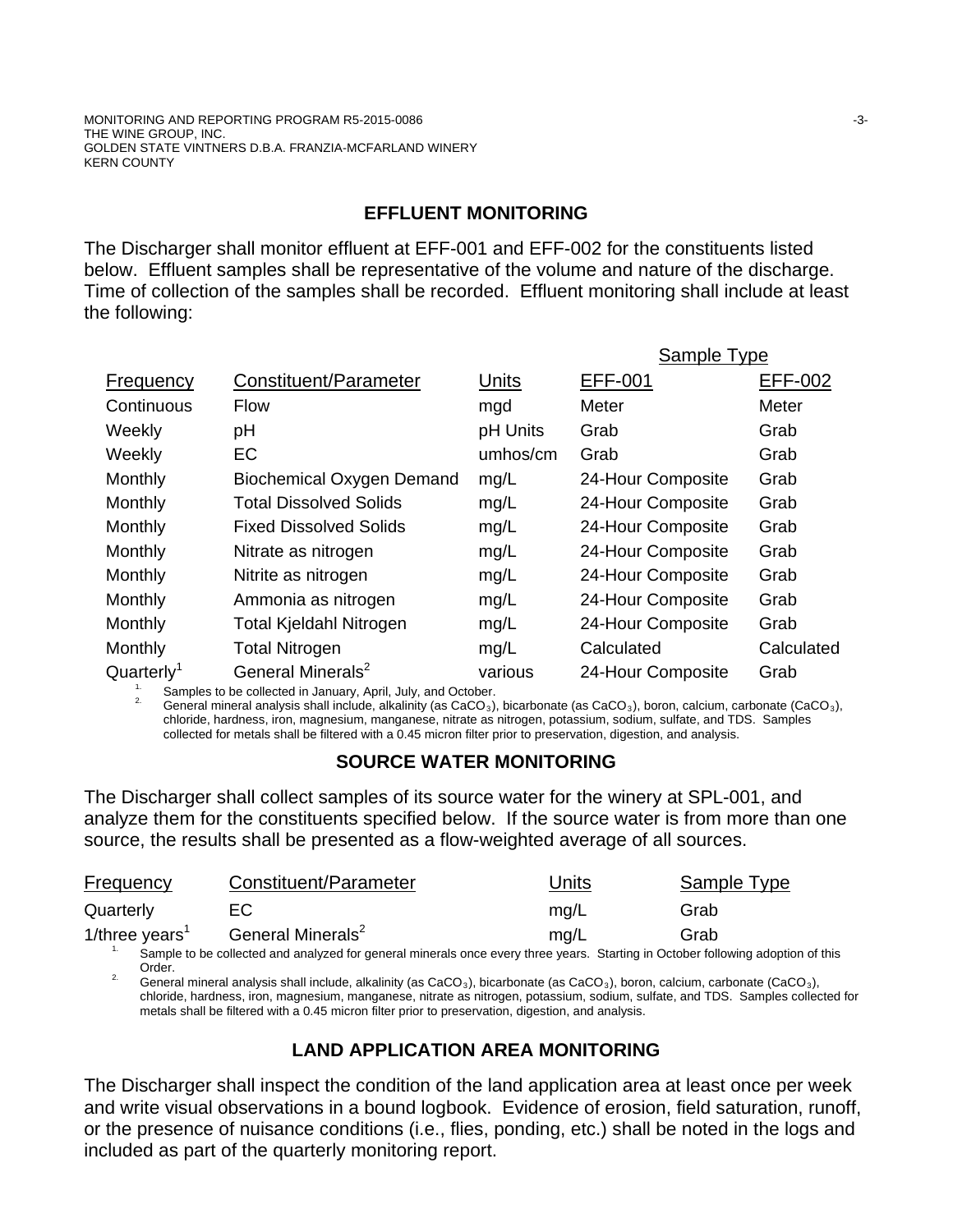# **EFFLUENT MONITORING**

The Discharger shall monitor effluent at EFF-001 and EFF-002 for the constituents listed below. Effluent samples shall be representative of the volume and nature of the discharge. Time of collection of the samples shall be recorded. Effluent monitoring shall include at least the following:

|                      |                                  |          | Sample Type       |                |
|----------------------|----------------------------------|----------|-------------------|----------------|
| Frequency            | Constituent/Parameter            | Units    | <b>EFF-001</b>    | <b>EFF-002</b> |
| Continuous           | <b>Flow</b>                      | mgd      | Meter             | Meter          |
| Weekly               | рH                               | pH Units | Grab              | Grab           |
| Weekly               | EC                               | umhos/cm | Grab              | Grab           |
| Monthly              | <b>Biochemical Oxygen Demand</b> | mg/L     | 24-Hour Composite | Grab           |
| Monthly              | <b>Total Dissolved Solids</b>    | mg/L     | 24-Hour Composite | Grab           |
| Monthly              | <b>Fixed Dissolved Solids</b>    | mg/L     | 24-Hour Composite | Grab           |
| Monthly              | Nitrate as nitrogen              | mg/L     | 24-Hour Composite | Grab           |
| Monthly              | Nitrite as nitrogen              | mg/L     | 24-Hour Composite | Grab           |
| Monthly              | Ammonia as nitrogen              | mg/L     | 24-Hour Composite | Grab           |
| Monthly              | Total Kjeldahl Nitrogen          | mg/L     | 24-Hour Composite | Grab           |
| Monthly              | <b>Total Nitrogen</b>            | mg/L     | Calculated        | Calculated     |
| Quarter <sup>1</sup> | General Minerals <sup>2</sup>    | various  | 24-Hour Composite | Grab           |

<sup>1.</sup> Samples to be collected in January, April, July, and October. 2. General analysis of analysis shall include, alkalinity (as CaCO<sub>3</sub>), bicarbonate (as CaCO<sub>3</sub>), boron, calcium, carbonate (CaCO<sub>3</sub>), <sup>2.</sup> chloride, hardness, iron, magnesium, manganese, nitrate as nitrogen, potassium, sodium, sulfate, and TDS. Samples collected for metals shall be filtered with a 0.45 micron filter prior to preservation, digestion, and analysis.

# **SOURCE WATER MONITORING**

The Discharger shall collect samples of its source water for the winery at SPL-001, and analyze them for the constituents specified below. If the source water is from more than one source, the results shall be presented as a flow-weighted average of all sources.

| <b>Frequency</b>           | Constituent/Parameter                                                                                                      | ال Units | Sample Type |  |
|----------------------------|----------------------------------------------------------------------------------------------------------------------------|----------|-------------|--|
| Quarterly                  | EC.                                                                                                                        | ma/L     | Grab        |  |
| 1/three years <sup>1</sup> | General Minerals <sup>2</sup>                                                                                              | ma/L     | Grab        |  |
|                            | Sample to be collected and analyzed for general minerals once every three years. Starting in October following adoption of |          |             |  |

collected and analyzed for general minerals once every three years. Starting in October following adoption of this Order. Order. Corder. **2.** General mineral analysis shall include, alkalinity (as CaCO<sub>3</sub>), bicarbonate (as CaCO<sub>3</sub>), boron, calcium, carbonate (CaCO<sub>3</sub>),

chloride, hardness, iron, magnesium, manganese, nitrate as nitrogen, potassium, sodium, sulfate, and TDS. Samples collected for metals shall be filtered with a 0.45 micron filter prior to preservation, digestion, and analysis.

# **LAND APPLICATION AREA MONITORING**

The Discharger shall inspect the condition of the land application area at least once per week and write visual observations in a bound logbook. Evidence of erosion, field saturation, runoff, or the presence of nuisance conditions (i.e., flies, ponding, etc.) shall be noted in the logs and included as part of the quarterly monitoring report.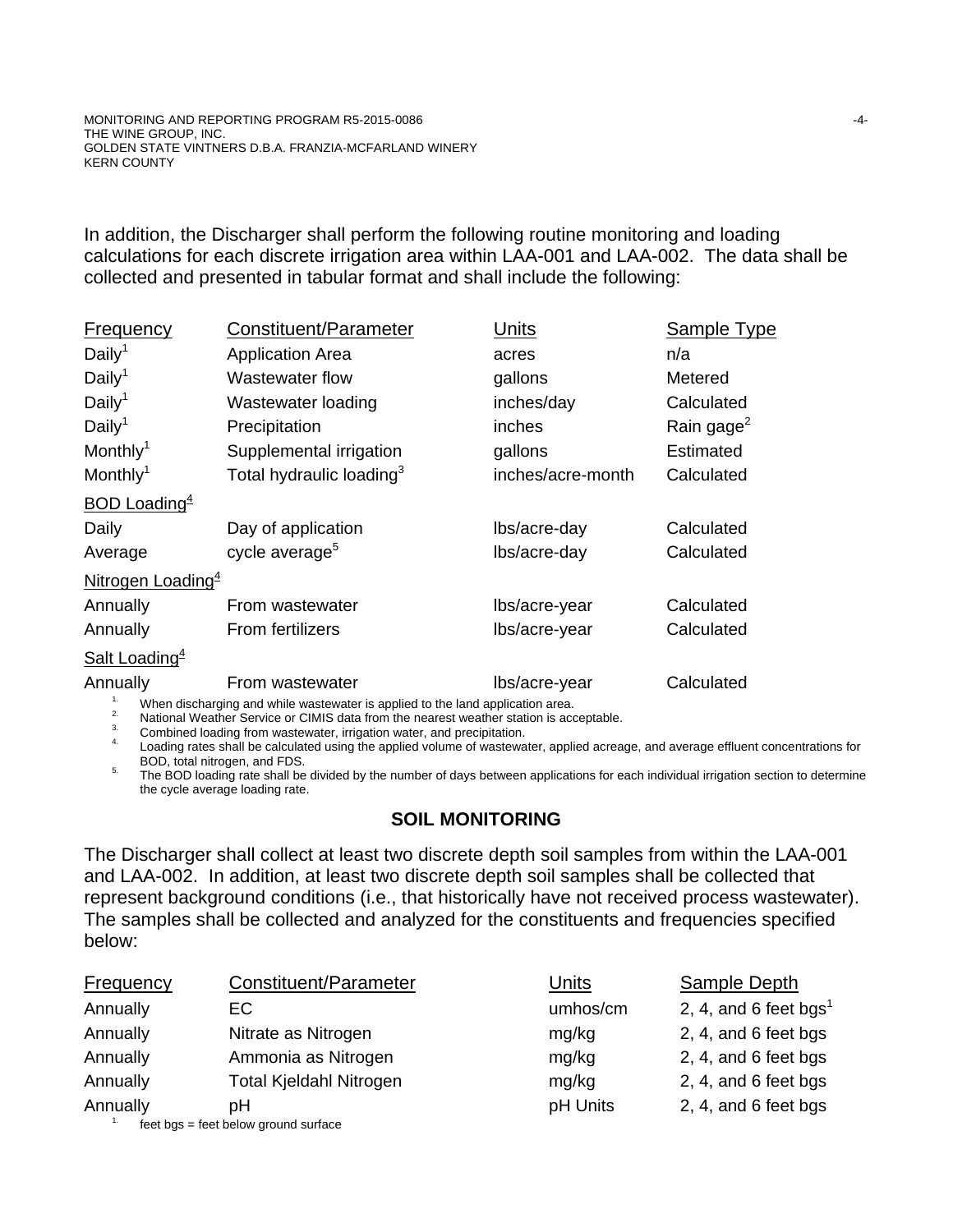In addition, the Discharger shall perform the following routine monitoring and loading calculations for each discrete irrigation area within LAA-001 and LAA-002. The data shall be collected and presented in tabular format and shall include the following:

| Frequency                       | Constituent/Parameter                | Units             | Sample Type            |
|---------------------------------|--------------------------------------|-------------------|------------------------|
| Daily <sup>1</sup>              | <b>Application Area</b>              | acres             | n/a                    |
| Daily <sup>1</sup>              | Wastewater flow                      | gallons           | Metered                |
| Daily <sup>1</sup>              | Wastewater loading                   | inches/day        | Calculated             |
| Daily <sup>1</sup>              | Precipitation                        | inches            | Rain gage <sup>2</sup> |
| Monthly <sup>1</sup>            | Supplemental irrigation              | gallons           | <b>Estimated</b>       |
| Monthly <sup>1</sup>            | Total hydraulic loading <sup>3</sup> | inches/acre-month | Calculated             |
| <b>BOD Loading</b> <sup>4</sup> |                                      |                   |                        |
| Daily                           | Day of application                   | lbs/acre-day      | Calculated             |
| Average                         | cycle average <sup>5</sup>           | lbs/acre-day      | Calculated             |
| Nitrogen Loading <sup>4</sup>   |                                      |                   |                        |
| Annually                        | From wastewater                      | lbs/acre-year     | Calculated             |
| Annually                        | <b>From fertilizers</b>              | lbs/acre-year     | Calculated             |
| Salt Loading <sup>4</sup>       |                                      |                   |                        |
| Annually                        | From wastewater                      | lbs/acre-year     | Calculated             |
|                                 |                                      |                   |                        |

When discharging and while wastewater is applied to the land application area.<br>
2. National Weather Service or CIMIS data from the nearest weather station is acceptable.<br>
3. Combined loading from wastewater, irrigation wat

BOD, total mitrogen, and FDS. The divided by the number of days between applications for each individual irrigation section to determine the cycle average loading rate.

# **SOIL MONITORING**

The Discharger shall collect at least two discrete depth soil samples from within the LAA-001 and LAA-002. In addition, at least two discrete depth soil samples shall be collected that represent background conditions (i.e., that historically have not received process wastewater). The samples shall be collected and analyzed for the constituents and frequencies specified below:

| <b>Frequency</b> | Constituent/Parameter                | Units    | <b>Sample Depth</b>               |
|------------------|--------------------------------------|----------|-----------------------------------|
| Annually         | EC.                                  | umhos/cm | 2, 4, and 6 feet bgs <sup>1</sup> |
| Annually         | Nitrate as Nitrogen                  | mg/kg    | 2, 4, and 6 feet bgs              |
| Annually         | Ammonia as Nitrogen                  | mg/kg    | 2, 4, and 6 feet bgs              |
| Annually         | <b>Total Kjeldahl Nitrogen</b>       | mg/kg    | 2, 4, and 6 feet bgs              |
| Annually         | pН                                   | pH Units | 2, 4, and 6 feet bgs              |
| 1.               | feet bgs = feet below ground surface |          |                                   |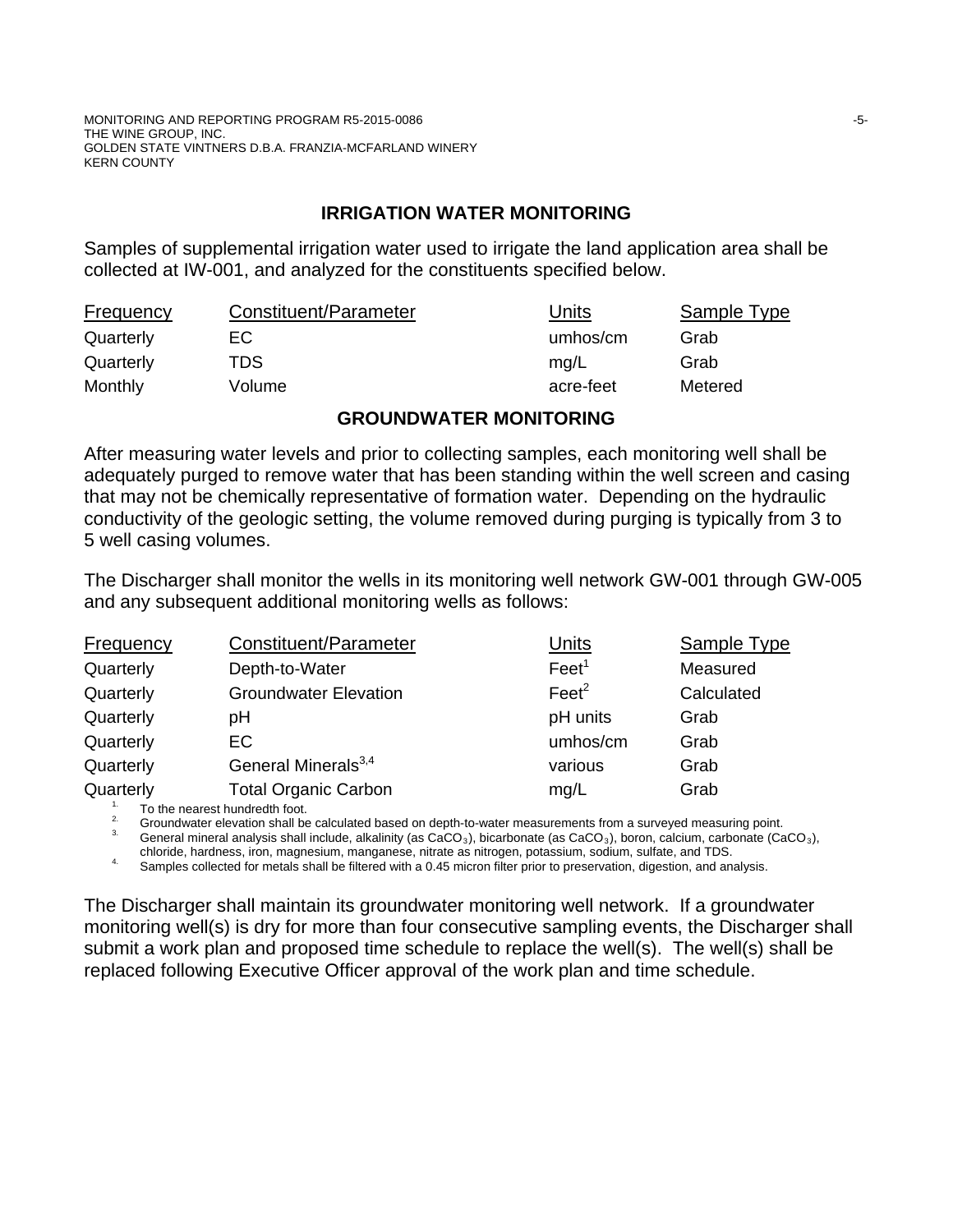MONITORING AND REPORTING PROGRAM R5-2015-0086 **FOUR SET AND REPORTING AND REPORTING PROGRAM** R5-2015-0086 THE WINE GROUP, INC. GOLDEN STATE VINTNERS D.B.A. FRANZIA-MCFARLAND WINERY KERN COUNTY

# **IRRIGATION WATER MONITORING**

Samples of supplemental irrigation water used to irrigate the land application area shall be collected at IW-001, and analyzed for the constituents specified below.

| <b>Frequency</b> | Constituent/Parameter | Units     | Sample Type |
|------------------|-----------------------|-----------|-------------|
| Quarterly        | EC.                   | umhos/cm  | Grab        |
| Quarterly        | TDS                   | mg/L      | Grab        |
| Monthly          | Volume                | acre-feet | Metered     |

#### **GROUNDWATER MONITORING**

After measuring water levels and prior to collecting samples, each monitoring well shall be adequately purged to remove water that has been standing within the well screen and casing that may not be chemically representative of formation water. Depending on the hydraulic conductivity of the geologic setting, the volume removed during purging is typically from 3 to 5 well casing volumes.

The Discharger shall monitor the wells in its monitoring well network GW-001 through GW-005 and any subsequent additional monitoring wells as follows:

| <b>Frequency</b> | Constituent/Parameter           | Units             | <b>Sample Type</b> |
|------------------|---------------------------------|-------------------|--------------------|
| Quarterly        | Depth-to-Water                  | Feet <sup>1</sup> | Measured           |
| Quarterly        | <b>Groundwater Elevation</b>    | $\text{Feet}^2$   | Calculated         |
| Quarterly        | рH                              | pH units          | Grab               |
| Quarterly        | EC                              | umhos/cm          | Grab               |
| Quarterly        | General Minerals <sup>3,4</sup> | various           | Grab               |
| Quarterly        | <b>Total Organic Carbon</b>     | mg/L              | Grab               |
|                  | To the nearest bundredth feet   |                   |                    |

<sup>2.</sup> Groundwater elevation shall be calculated based on depth-to-water measurements from a surveyed measuring point.<br><sup>3.</sup> General mineral analysis shall include, alkalinity (as CaCO<sub>3</sub>), bicarbonate (as CaCO<sub>3</sub>), boron, ca

chloride, hardness, iron, magnesium, manganese, nitrate as nitrogen, potassium, sodium, sulfate, and TDS.<br><sup>4.</sup> Samples collected for metals shall be filtered with a 0.45 micron filter prior to preservation, digestion, and

The Discharger shall maintain its groundwater monitoring well network. If a groundwater monitoring well(s) is dry for more than four consecutive sampling events, the Discharger shall submit a work plan and proposed time schedule to replace the well(s). The well(s) shall be replaced following Executive Officer approval of the work plan and time schedule.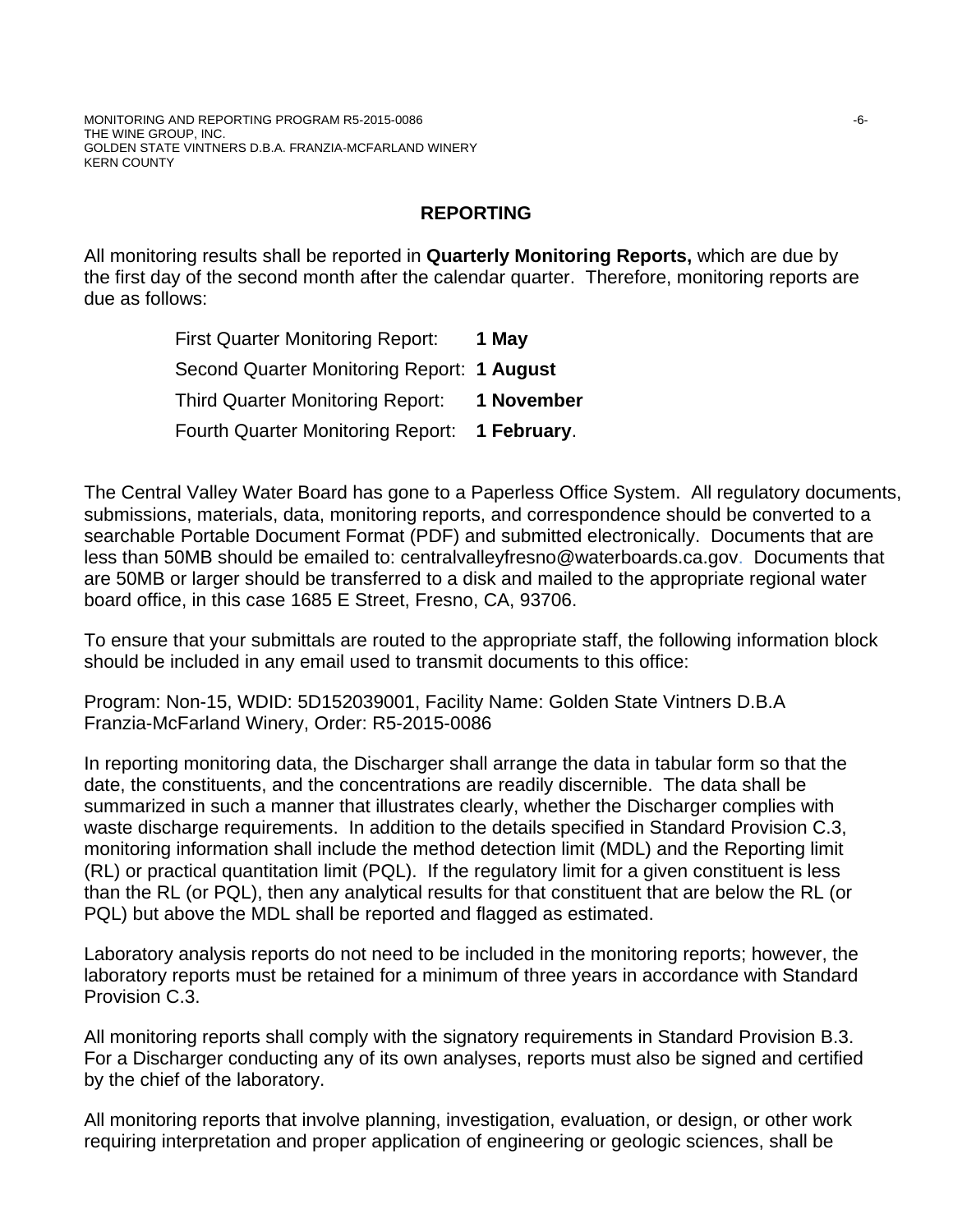# **REPORTING**

All monitoring results shall be reported in **Quarterly Monitoring Reports,** which are due by the first day of the second month after the calendar quarter. Therefore, monitoring reports are due as follows:

> First Quarter Monitoring Report: **1 May** Second Quarter Monitoring Report: **1 August** Third Quarter Monitoring Report: **1 November** Fourth Quarter Monitoring Report: **1 February**.

The Central Valley Water Board has gone to a Paperless Office System. All regulatory documents, submissions, materials, data, monitoring reports, and correspondence should be converted to a searchable Portable Document Format (PDF) and submitted electronically. Documents that are less than 50MB should be emailed to: centralvalleyfresno@waterboards.ca.gov. Documents that are 50MB or larger should be transferred to a disk and mailed to the appropriate regional water board office, in this case 1685 E Street, Fresno, CA, 93706.

To ensure that your submittals are routed to the appropriate staff, the following information block should be included in any email used to transmit documents to this office:

Program: Non-15, WDID: 5D152039001, Facility Name: Golden State Vintners D.B.A Franzia-McFarland Winery, Order: R5-2015-0086

In reporting monitoring data, the Discharger shall arrange the data in tabular form so that the date, the constituents, and the concentrations are readily discernible. The data shall be summarized in such a manner that illustrates clearly, whether the Discharger complies with waste discharge requirements. In addition to the details specified in Standard Provision C.3, monitoring information shall include the method detection limit (MDL) and the Reporting limit (RL) or practical quantitation limit (PQL). If the regulatory limit for a given constituent is less than the RL (or PQL), then any analytical results for that constituent that are below the RL (or PQL) but above the MDL shall be reported and flagged as estimated.

Laboratory analysis reports do not need to be included in the monitoring reports; however, the laboratory reports must be retained for a minimum of three years in accordance with Standard Provision C.3.

All monitoring reports shall comply with the signatory requirements in Standard Provision B.3. For a Discharger conducting any of its own analyses, reports must also be signed and certified by the chief of the laboratory.

All monitoring reports that involve planning, investigation, evaluation, or design, or other work requiring interpretation and proper application of engineering or geologic sciences, shall be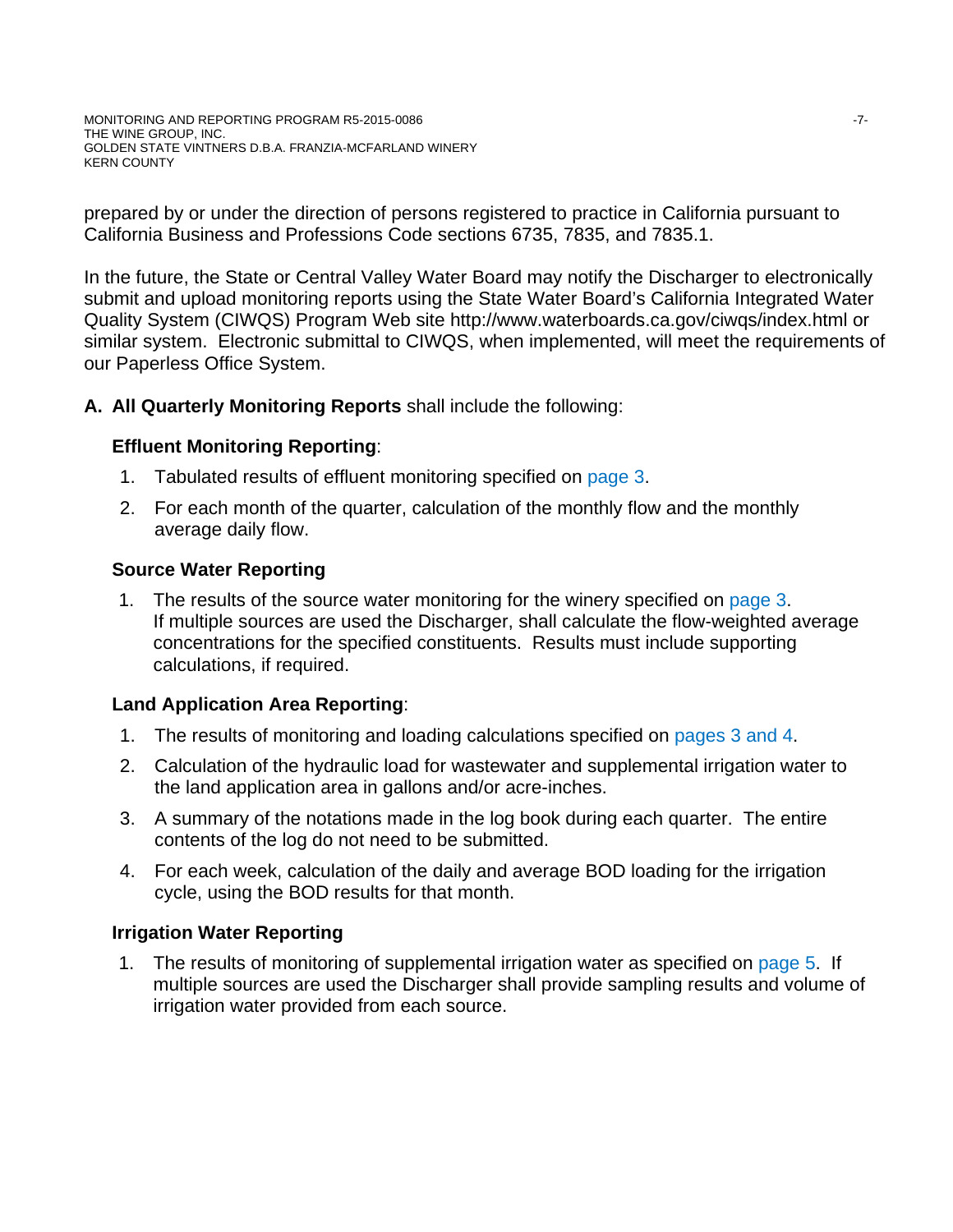prepared by or under the direction of persons registered to practice in California pursuant to California Business and Professions Code sections 6735, 7835, and 7835.1.

In the future, the State or Central Valley Water Board may notify the Discharger to electronically submit and upload monitoring reports using the State Water Board's California Integrated Water Quality System (CIWQS) Program Web site http://www.waterboards.ca.gov/ciwqs/index.html or similar system. Electronic submittal to CIWQS, when implemented, will meet the requirements of our Paperless Office System.

# **A. All Quarterly Monitoring Reports** shall include the following:

# **Effluent Monitoring Reporting**:

- 1. Tabulated results of effluent monitoring specified on page 3.
- 2. For each month of the quarter, calculation of the monthly flow and the monthly average daily flow.

# **Source Water Reporting**

1. The results of the source water monitoring for the winery specified on page 3. If multiple sources are used the Discharger, shall calculate the flow-weighted average concentrations for the specified constituents. Results must include supporting calculations, if required.

# **Land Application Area Reporting**:

- 1. The results of monitoring and loading calculations specified on pages 3 and 4.
- 2. Calculation of the hydraulic load for wastewater and supplemental irrigation water to the land application area in gallons and/or acre-inches.
- 3. A summary of the notations made in the log book during each quarter. The entire contents of the log do not need to be submitted.
- 4. For each week, calculation of the daily and average BOD loading for the irrigation cycle, using the BOD results for that month.

# **Irrigation Water Reporting**

1. The results of monitoring of supplemental irrigation water as specified on page 5. If multiple sources are used the Discharger shall provide sampling results and volume of irrigation water provided from each source.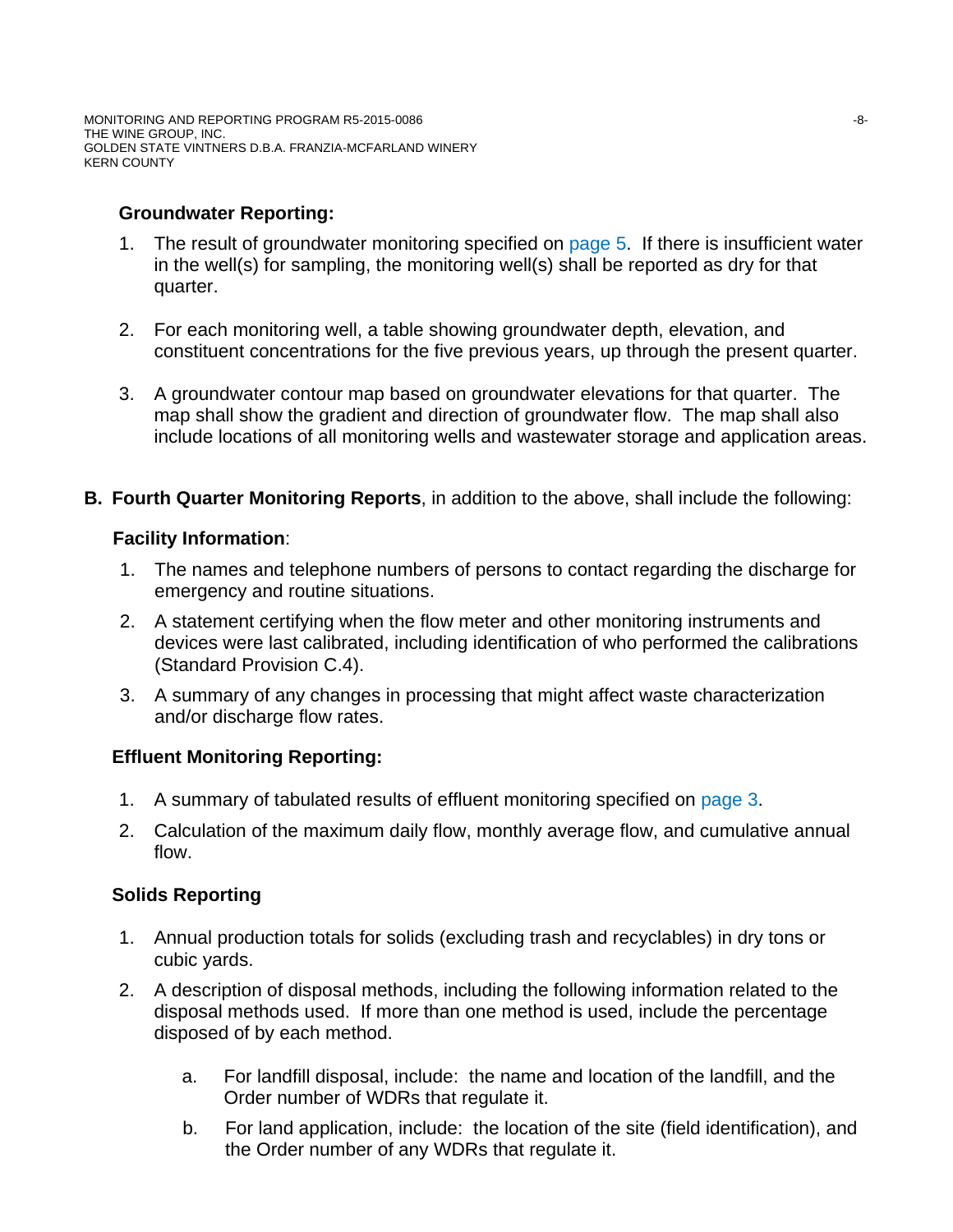MONITORING AND REPORTING PROGRAM R5-2015-0086  $-8-$ THE WINE GROUP, INC. GOLDEN STATE VINTNERS D.B.A. FRANZIA-MCFARLAND WINERY KERN COUNTY

# **Groundwater Reporting:**

- 1. The result of groundwater monitoring specified on page 5. If there is insufficient water in the well(s) for sampling, the monitoring well(s) shall be reported as dry for that quarter.
- 2. For each monitoring well, a table showing groundwater depth, elevation, and constituent concentrations for the five previous years, up through the present quarter.
- 3. A groundwater contour map based on groundwater elevations for that quarter. The map shall show the gradient and direction of groundwater flow. The map shall also include locations of all monitoring wells and wastewater storage and application areas.
- **B. Fourth Quarter Monitoring Reports**, in addition to the above, shall include the following:

#### **Facility Information**:

- 1. The names and telephone numbers of persons to contact regarding the discharge for emergency and routine situations.
- 2. A statement certifying when the flow meter and other monitoring instruments and devices were last calibrated, including identification of who performed the calibrations (Standard Provision C.4).
- 3. A summary of any changes in processing that might affect waste characterization and/or discharge flow rates.

# **Effluent Monitoring Reporting:**

- 1. A summary of tabulated results of effluent monitoring specified on page 3.
- 2. Calculation of the maximum daily flow, monthly average flow, and cumulative annual flow.

# **Solids Reporting**

- 1. Annual production totals for solids (excluding trash and recyclables) in dry tons or cubic yards.
- 2. A description of disposal methods, including the following information related to the disposal methods used. If more than one method is used, include the percentage disposed of by each method.
	- a. For landfill disposal, include: the name and location of the landfill, and the Order number of WDRs that regulate it.
	- b. For land application, include: the location of the site (field identification), and the Order number of any WDRs that regulate it.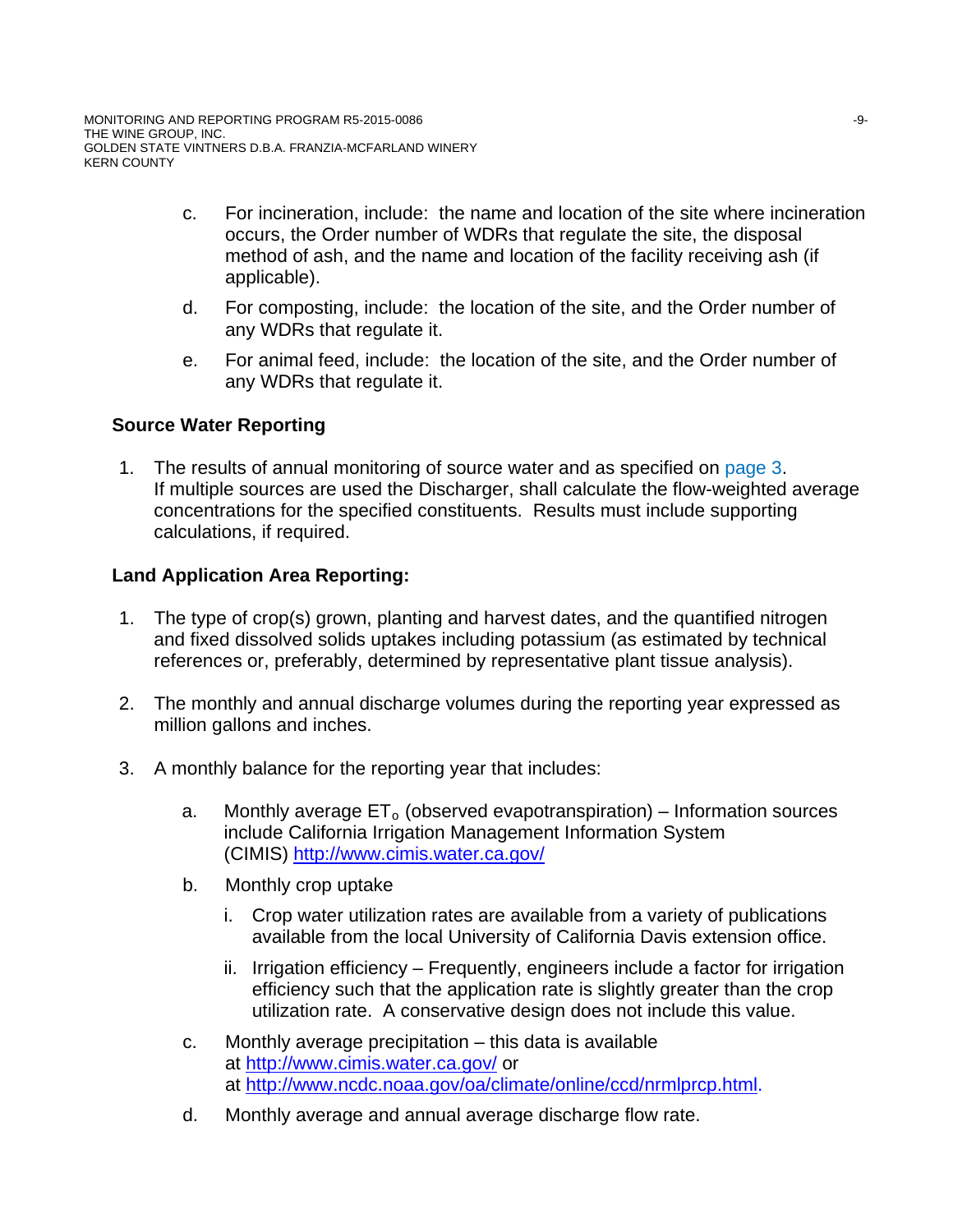- c. For incineration, include: the name and location of the site where incineration occurs, the Order number of WDRs that regulate the site, the disposal method of ash, and the name and location of the facility receiving ash (if applicable).
- d. For composting, include: the location of the site, and the Order number of any WDRs that regulate it.
- e. For animal feed, include: the location of the site, and the Order number of any WDRs that regulate it.

# **Source Water Reporting**

1. The results of annual monitoring of source water and as specified on page 3. If multiple sources are used the Discharger, shall calculate the flow-weighted average concentrations for the specified constituents. Results must include supporting calculations, if required.

# **Land Application Area Reporting:**

- 1. The type of crop(s) grown, planting and harvest dates, and the quantified nitrogen and fixed dissolved solids uptakes including potassium (as estimated by technical references or, preferably, determined by representative plant tissue analysis).
- 2. The monthly and annual discharge volumes during the reporting year expressed as million gallons and inches.
- 3. A monthly balance for the reporting year that includes:
	- a. Monthly average  $ET_0$  (observed evapotranspiration) Information sources include California Irrigation Management Information System (CIMIS) http://www.cimis.water.ca.gov/
	- b. Monthly crop uptake
		- i. Crop water utilization rates are available from a variety of publications available from the local University of California Davis extension office.
		- ii. Irrigation efficiency Frequently, engineers include a factor for irrigation efficiency such that the application rate is slightly greater than the crop utilization rate. A conservative design does not include this value.
	- c. Monthly average precipitation this data is available at http://www.cimis.water.ca.gov/ or at http://www.ncdc.noaa.gov/oa/climate/online/ccd/nrmlprcp.html.
	- d. Monthly average and annual average discharge flow rate.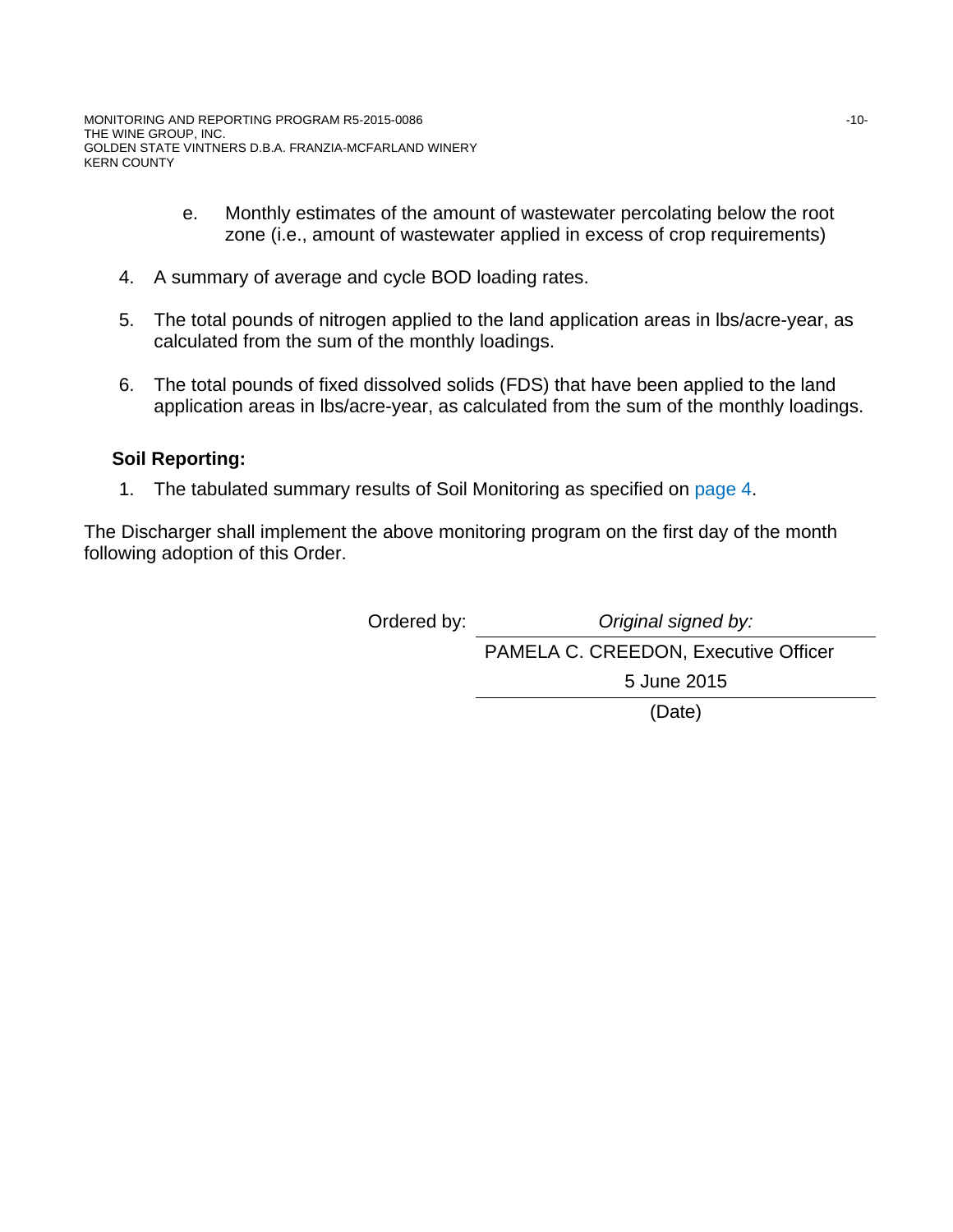- e. Monthly estimates of the amount of wastewater percolating below the root zone (i.e., amount of wastewater applied in excess of crop requirements)
- 4. A summary of average and cycle BOD loading rates.
- 5. The total pounds of nitrogen applied to the land application areas in lbs/acre-year, as calculated from the sum of the monthly loadings.
- 6. The total pounds of fixed dissolved solids (FDS) that have been applied to the land application areas in lbs/acre-year, as calculated from the sum of the monthly loadings.

# **Soil Reporting:**

1. The tabulated summary results of Soil Monitoring as specified on page 4.

The Discharger shall implement the above monitoring program on the first day of the month following adoption of this Order.

> Ordered by: *Original signed by:* PAMELA C. CREEDON, Executive Officer 5 June 2015 (Date)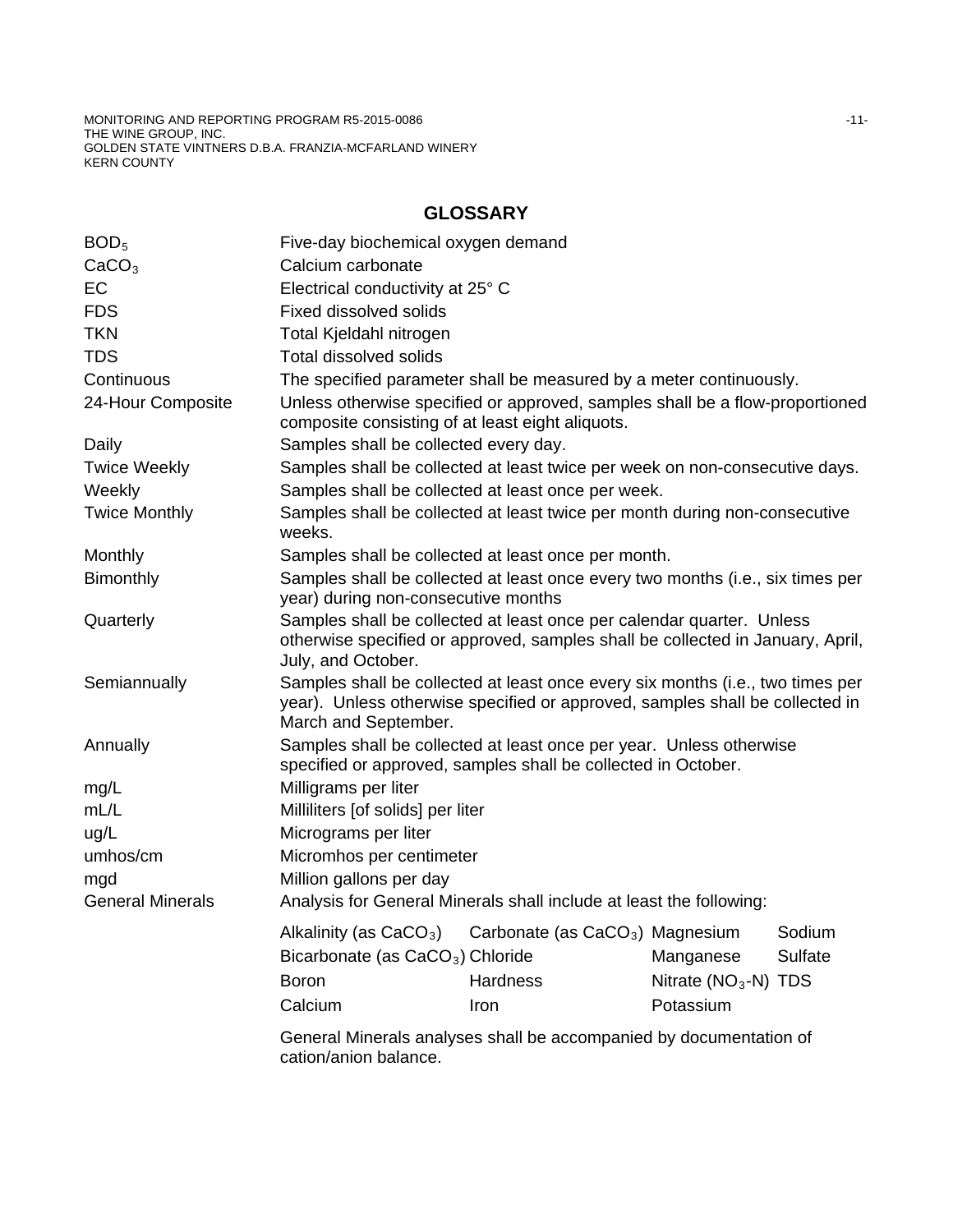MONITORING AND REPORTING PROGRAM R5-2015-0086 **and the end of the end of the end of the end of the end of the end** THE WINE GROUP, INC. GOLDEN STATE VINTNERS D.B.A. FRANZIA-MCFARLAND WINERY KERN COUNTY

# **GLOSSARY**

| BOD <sub>5</sub>        | Five-day biochemical oxygen demand                                                                                                                                                     |          |                       |         |
|-------------------------|----------------------------------------------------------------------------------------------------------------------------------------------------------------------------------------|----------|-----------------------|---------|
| CaCO <sub>3</sub>       | Calcium carbonate                                                                                                                                                                      |          |                       |         |
| <b>EC</b>               | Electrical conductivity at 25° C                                                                                                                                                       |          |                       |         |
| <b>FDS</b>              | <b>Fixed dissolved solids</b>                                                                                                                                                          |          |                       |         |
| <b>TKN</b>              | Total Kjeldahl nitrogen                                                                                                                                                                |          |                       |         |
| <b>TDS</b>              | <b>Total dissolved solids</b>                                                                                                                                                          |          |                       |         |
| Continuous              | The specified parameter shall be measured by a meter continuously.                                                                                                                     |          |                       |         |
| 24-Hour Composite       | Unless otherwise specified or approved, samples shall be a flow-proportioned<br>composite consisting of at least eight aliquots.                                                       |          |                       |         |
| Daily                   | Samples shall be collected every day.                                                                                                                                                  |          |                       |         |
| <b>Twice Weekly</b>     | Samples shall be collected at least twice per week on non-consecutive days.                                                                                                            |          |                       |         |
| Weekly                  | Samples shall be collected at least once per week.                                                                                                                                     |          |                       |         |
| <b>Twice Monthly</b>    | Samples shall be collected at least twice per month during non-consecutive<br>weeks.                                                                                                   |          |                       |         |
| Monthly                 | Samples shall be collected at least once per month.                                                                                                                                    |          |                       |         |
| Bimonthly               | Samples shall be collected at least once every two months (i.e., six times per<br>year) during non-consecutive months                                                                  |          |                       |         |
| Quarterly               | Samples shall be collected at least once per calendar quarter. Unless<br>otherwise specified or approved, samples shall be collected in January, April,<br>July, and October.          |          |                       |         |
| Semiannually            | Samples shall be collected at least once every six months (i.e., two times per<br>year). Unless otherwise specified or approved, samples shall be collected in<br>March and September. |          |                       |         |
| Annually                | Samples shall be collected at least once per year. Unless otherwise<br>specified or approved, samples shall be collected in October.                                                   |          |                       |         |
| mg/L                    | Milligrams per liter                                                                                                                                                                   |          |                       |         |
| mL/L                    | Milliliters [of solids] per liter                                                                                                                                                      |          |                       |         |
| ug/L                    | Micrograms per liter                                                                                                                                                                   |          |                       |         |
| umhos/cm                | Micromhos per centimeter                                                                                                                                                               |          |                       |         |
| mgd                     | Million gallons per day                                                                                                                                                                |          |                       |         |
| <b>General Minerals</b> | Analysis for General Minerals shall include at least the following:                                                                                                                    |          |                       |         |
|                         | Alkalinity (as $CaCO3$ ) Carbonate (as $CaCO3$ ) Magnesium Sodium                                                                                                                      |          |                       |         |
|                         | Bicarbonate (as CaCO <sub>3</sub> ) Chloride                                                                                                                                           |          | Manganese             | Sulfate |
|                         | <b>Boron</b>                                                                                                                                                                           | Hardness | Nitrate $(NO3-N) TDS$ |         |
|                         | Calcium                                                                                                                                                                                | Iron     | Potassium             |         |
|                         |                                                                                                                                                                                        |          |                       |         |
|                         | General Minerals analyses shall be accompanied by documentation of                                                                                                                     |          |                       |         |

cation/anion balance.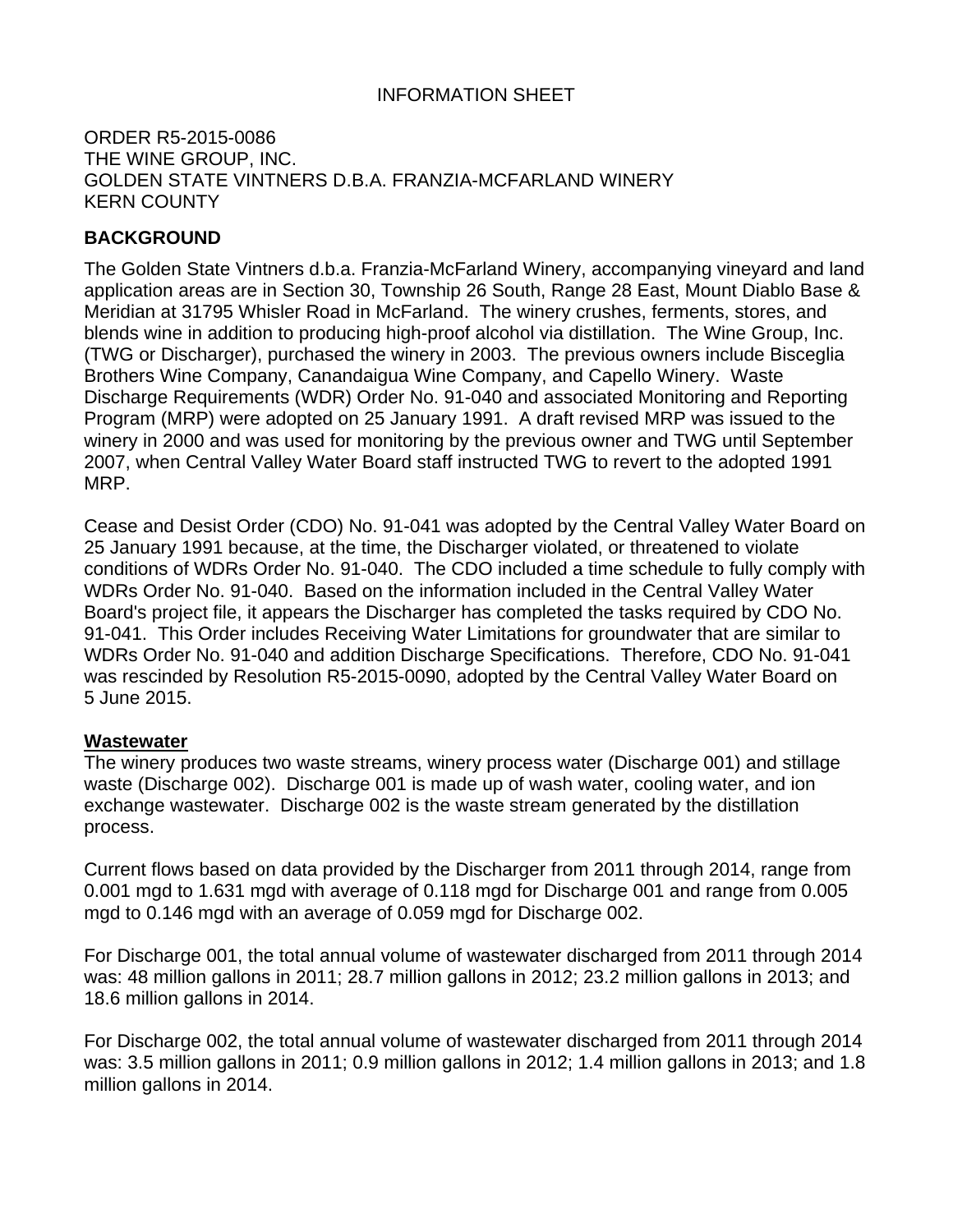# INFORMATION SHEET

# ORDER R5-2015-0086 THE WINE GROUP, INC. GOLDEN STATE VINTNERS D.B.A. FRANZIA-MCFARLAND WINERY KERN COUNTY

# **BACKGROUND**

The Golden State Vintners d.b.a. Franzia-McFarland Winery, accompanying vineyard and land application areas are in Section 30, Township 26 South, Range 28 East, Mount Diablo Base & Meridian at 31795 Whisler Road in McFarland. The winery crushes, ferments, stores, and blends wine in addition to producing high-proof alcohol via distillation. The Wine Group, Inc. (TWG or Discharger), purchased the winery in 2003. The previous owners include Bisceglia Brothers Wine Company, Canandaigua Wine Company, and Capello Winery. Waste Discharge Requirements (WDR) Order No. 91-040 and associated Monitoring and Reporting Program (MRP) were adopted on 25 January 1991. A draft revised MRP was issued to the winery in 2000 and was used for monitoring by the previous owner and TWG until September 2007, when Central Valley Water Board staff instructed TWG to revert to the adopted 1991 MRP.

Cease and Desist Order (CDO) No. 91-041 was adopted by the Central Valley Water Board on 25 January 1991 because, at the time, the Discharger violated, or threatened to violate conditions of WDRs Order No. 91-040. The CDO included a time schedule to fully comply with WDRs Order No. 91-040. Based on the information included in the Central Valley Water Board's project file, it appears the Discharger has completed the tasks required by CDO No. 91-041. This Order includes Receiving Water Limitations for groundwater that are similar to WDRs Order No. 91-040 and addition Discharge Specifications. Therefore, CDO No. 91-041 was rescinded by Resolution R5-2015-0090, adopted by the Central Valley Water Board on 5 June 2015.

#### **Wastewater**

The winery produces two waste streams, winery process water (Discharge 001) and stillage waste (Discharge 002). Discharge 001 is made up of wash water, cooling water, and ion exchange wastewater. Discharge 002 is the waste stream generated by the distillation process.

Current flows based on data provided by the Discharger from 2011 through 2014, range from 0.001 mgd to 1.631 mgd with average of 0.118 mgd for Discharge 001 and range from 0.005 mgd to 0.146 mgd with an average of 0.059 mgd for Discharge 002.

For Discharge 001, the total annual volume of wastewater discharged from 2011 through 2014 was: 48 million gallons in 2011; 28.7 million gallons in 2012; 23.2 million gallons in 2013; and 18.6 million gallons in 2014.

For Discharge 002, the total annual volume of wastewater discharged from 2011 through 2014 was: 3.5 million gallons in 2011; 0.9 million gallons in 2012; 1.4 million gallons in 2013; and 1.8 million gallons in 2014.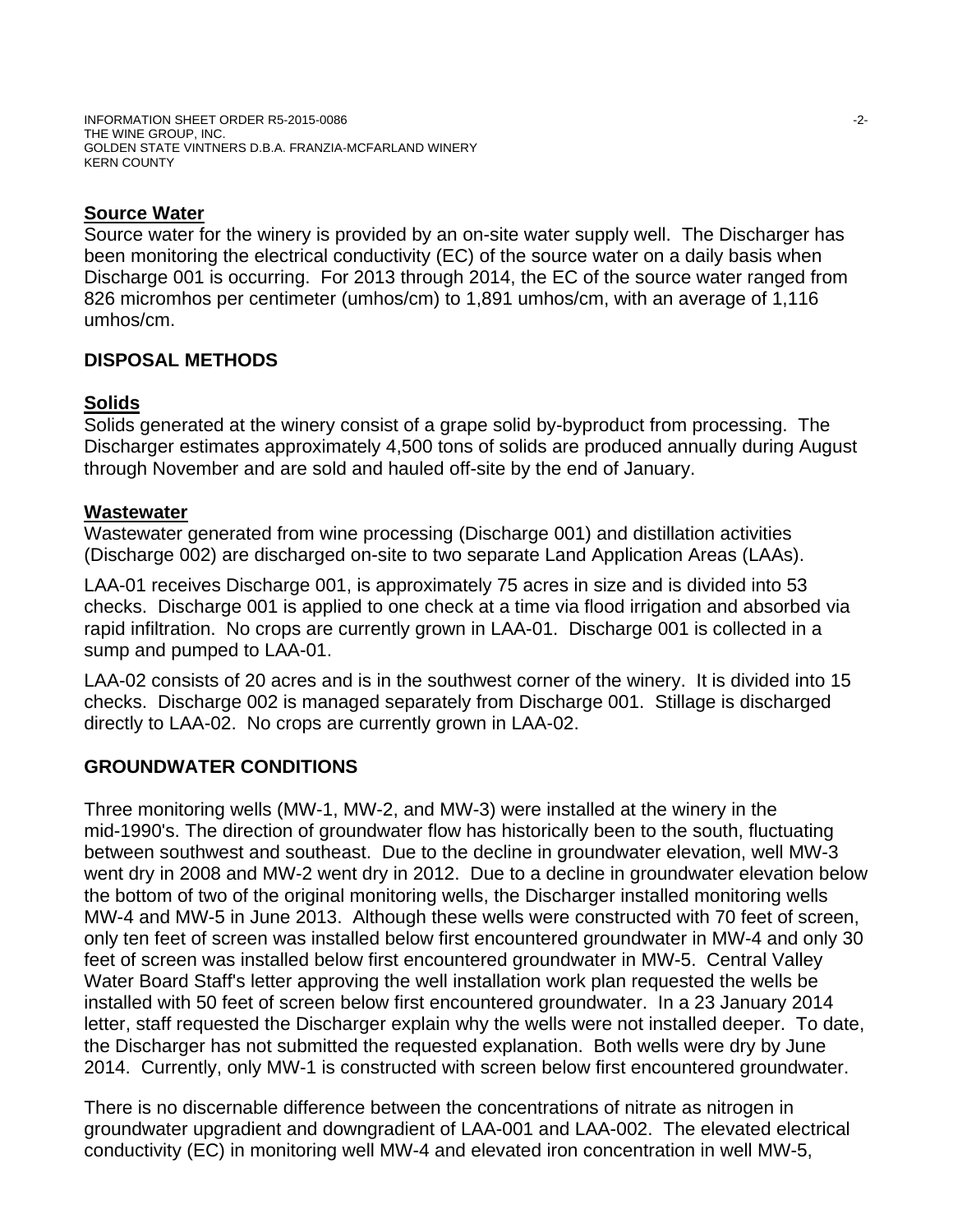INFORMATION SHEET ORDER R5-2015-0086 -2- THE WINE GROUP, INC. GOLDEN STATE VINTNERS D.B.A. FRANZIA-MCFARLAND WINERY KERN COUNTY

# **Source Water**

Source water for the winery is provided by an on-site water supply well. The Discharger has been monitoring the electrical conductivity (EC) of the source water on a daily basis when Discharge 001 is occurring. For 2013 through 2014, the EC of the source water ranged from 826 micromhos per centimeter (umhos/cm) to 1,891 umhos/cm, with an average of 1,116 umhos/cm.

# **DISPOSAL METHODS**

# **Solids**

Solids generated at the winery consist of a grape solid by-byproduct from processing. The Discharger estimates approximately 4,500 tons of solids are produced annually during August through November and are sold and hauled off-site by the end of January.

# **Wastewater**

Wastewater generated from wine processing (Discharge 001) and distillation activities (Discharge 002) are discharged on-site to two separate Land Application Areas (LAAs).

LAA-01 receives Discharge 001, is approximately 75 acres in size and is divided into 53 checks. Discharge 001 is applied to one check at a time via flood irrigation and absorbed via rapid infiltration. No crops are currently grown in LAA-01. Discharge 001 is collected in a sump and pumped to LAA-01.

LAA-02 consists of 20 acres and is in the southwest corner of the winery. It is divided into 15 checks. Discharge 002 is managed separately from Discharge 001. Stillage is discharged directly to LAA-02. No crops are currently grown in LAA-02.

# **GROUNDWATER CONDITIONS**

Three monitoring wells (MW-1, MW-2, and MW-3) were installed at the winery in the mid-1990's. The direction of groundwater flow has historically been to the south, fluctuating between southwest and southeast. Due to the decline in groundwater elevation, well MW-3 went dry in 2008 and MW-2 went dry in 2012. Due to a decline in groundwater elevation below the bottom of two of the original monitoring wells, the Discharger installed monitoring wells MW-4 and MW-5 in June 2013. Although these wells were constructed with 70 feet of screen, only ten feet of screen was installed below first encountered groundwater in MW-4 and only 30 feet of screen was installed below first encountered groundwater in MW-5. Central Valley Water Board Staff's letter approving the well installation work plan requested the wells be installed with 50 feet of screen below first encountered groundwater. In a 23 January 2014 letter, staff requested the Discharger explain why the wells were not installed deeper. To date, the Discharger has not submitted the requested explanation. Both wells were dry by June 2014. Currently, only MW-1 is constructed with screen below first encountered groundwater.

There is no discernable difference between the concentrations of nitrate as nitrogen in groundwater upgradient and downgradient of LAA-001 and LAA-002. The elevated electrical conductivity (EC) in monitoring well MW-4 and elevated iron concentration in well MW-5,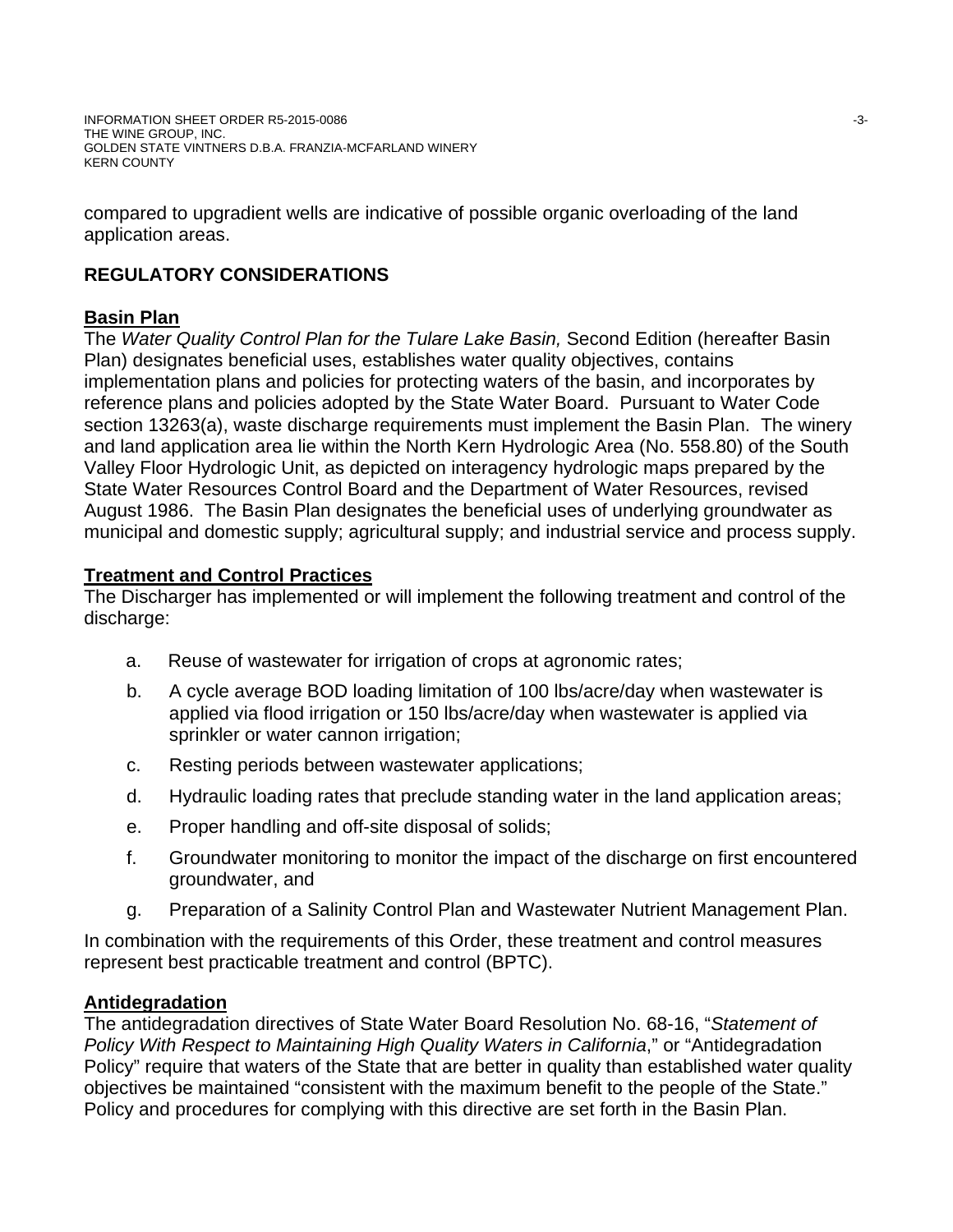compared to upgradient wells are indicative of possible organic overloading of the land application areas.

# **REGULATORY CONSIDERATIONS**

# **Basin Plan**

The *Water Quality Control Plan for the Tulare Lake Basin,* Second Edition (hereafter Basin Plan) designates beneficial uses, establishes water quality objectives, contains implementation plans and policies for protecting waters of the basin, and incorporates by reference plans and policies adopted by the State Water Board. Pursuant to Water Code section 13263(a), waste discharge requirements must implement the Basin Plan. The winery and land application area lie within the North Kern Hydrologic Area (No. 558.80) of the South Valley Floor Hydrologic Unit, as depicted on interagency hydrologic maps prepared by the State Water Resources Control Board and the Department of Water Resources, revised August 1986. The Basin Plan designates the beneficial uses of underlying groundwater as municipal and domestic supply; agricultural supply; and industrial service and process supply.

# **Treatment and Control Practices**

The Discharger has implemented or will implement the following treatment and control of the discharge:

- a. Reuse of wastewater for irrigation of crops at agronomic rates;
- b. A cycle average BOD loading limitation of 100 lbs/acre/day when wastewater is applied via flood irrigation or 150 lbs/acre/day when wastewater is applied via sprinkler or water cannon irrigation;
- c. Resting periods between wastewater applications;
- d. Hydraulic loading rates that preclude standing water in the land application areas;
- e. Proper handling and off-site disposal of solids;
- f. Groundwater monitoring to monitor the impact of the discharge on first encountered groundwater, and
- g. Preparation of a Salinity Control Plan and Wastewater Nutrient Management Plan.

In combination with the requirements of this Order, these treatment and control measures represent best practicable treatment and control (BPTC).

# **Antidegradation**

The antidegradation directives of State Water Board Resolution No. 68-16, "*Statement of Policy With Respect to Maintaining High Quality Waters in California*," or "Antidegradation Policy" require that waters of the State that are better in quality than established water quality objectives be maintained "consistent with the maximum benefit to the people of the State." Policy and procedures for complying with this directive are set forth in the Basin Plan.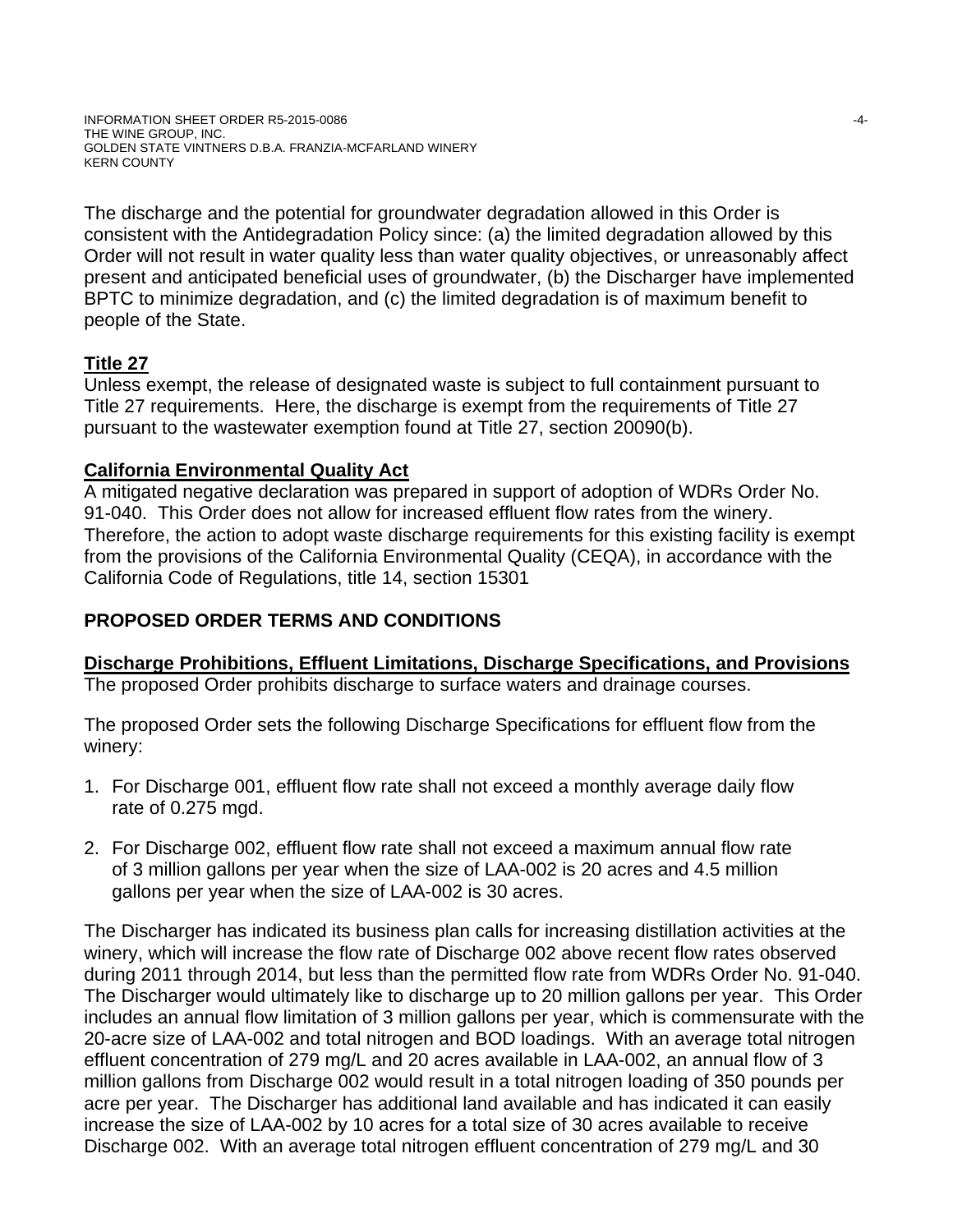INFORMATION SHEET ORDER R5-2015-0086 -4- THE WINE GROUP, INC. GOLDEN STATE VINTNERS D.B.A. FRANZIA-MCFARLAND WINERY KERN COUNTY

The discharge and the potential for groundwater degradation allowed in this Order is consistent with the Antidegradation Policy since: (a) the limited degradation allowed by this Order will not result in water quality less than water quality objectives, or unreasonably affect present and anticipated beneficial uses of groundwater, (b) the Discharger have implemented BPTC to minimize degradation, and (c) the limited degradation is of maximum benefit to people of the State.

# **Title 27**

Unless exempt, the release of designated waste is subject to full containment pursuant to Title 27 requirements. Here, the discharge is exempt from the requirements of Title 27 pursuant to the wastewater exemption found at Title 27, section 20090(b).

# **California Environmental Quality Act**

A mitigated negative declaration was prepared in support of adoption of WDRs Order No. 91-040. This Order does not allow for increased effluent flow rates from the winery. Therefore, the action to adopt waste discharge requirements for this existing facility is exempt from the provisions of the California Environmental Quality (CEQA), in accordance with the California Code of Regulations, title 14, section 15301

# **PROPOSED ORDER TERMS AND CONDITIONS**

# **Discharge Prohibitions, Effluent Limitations, Discharge Specifications, and Provisions**

The proposed Order prohibits discharge to surface waters and drainage courses.

The proposed Order sets the following Discharge Specifications for effluent flow from the winery:

- 1. For Discharge 001, effluent flow rate shall not exceed a monthly average daily flow rate of 0.275 mgd.
- 2. For Discharge 002, effluent flow rate shall not exceed a maximum annual flow rate of 3 million gallons per year when the size of LAA-002 is 20 acres and 4.5 million gallons per year when the size of LAA-002 is 30 acres.

The Discharger has indicated its business plan calls for increasing distillation activities at the winery, which will increase the flow rate of Discharge 002 above recent flow rates observed during 2011 through 2014, but less than the permitted flow rate from WDRs Order No. 91-040. The Discharger would ultimately like to discharge up to 20 million gallons per year. This Order includes an annual flow limitation of 3 million gallons per year, which is commensurate with the 20-acre size of LAA-002 and total nitrogen and BOD loadings. With an average total nitrogen effluent concentration of 279 mg/L and 20 acres available in LAA-002, an annual flow of 3 million gallons from Discharge 002 would result in a total nitrogen loading of 350 pounds per acre per year. The Discharger has additional land available and has indicated it can easily increase the size of LAA-002 by 10 acres for a total size of 30 acres available to receive Discharge 002. With an average total nitrogen effluent concentration of 279 mg/L and 30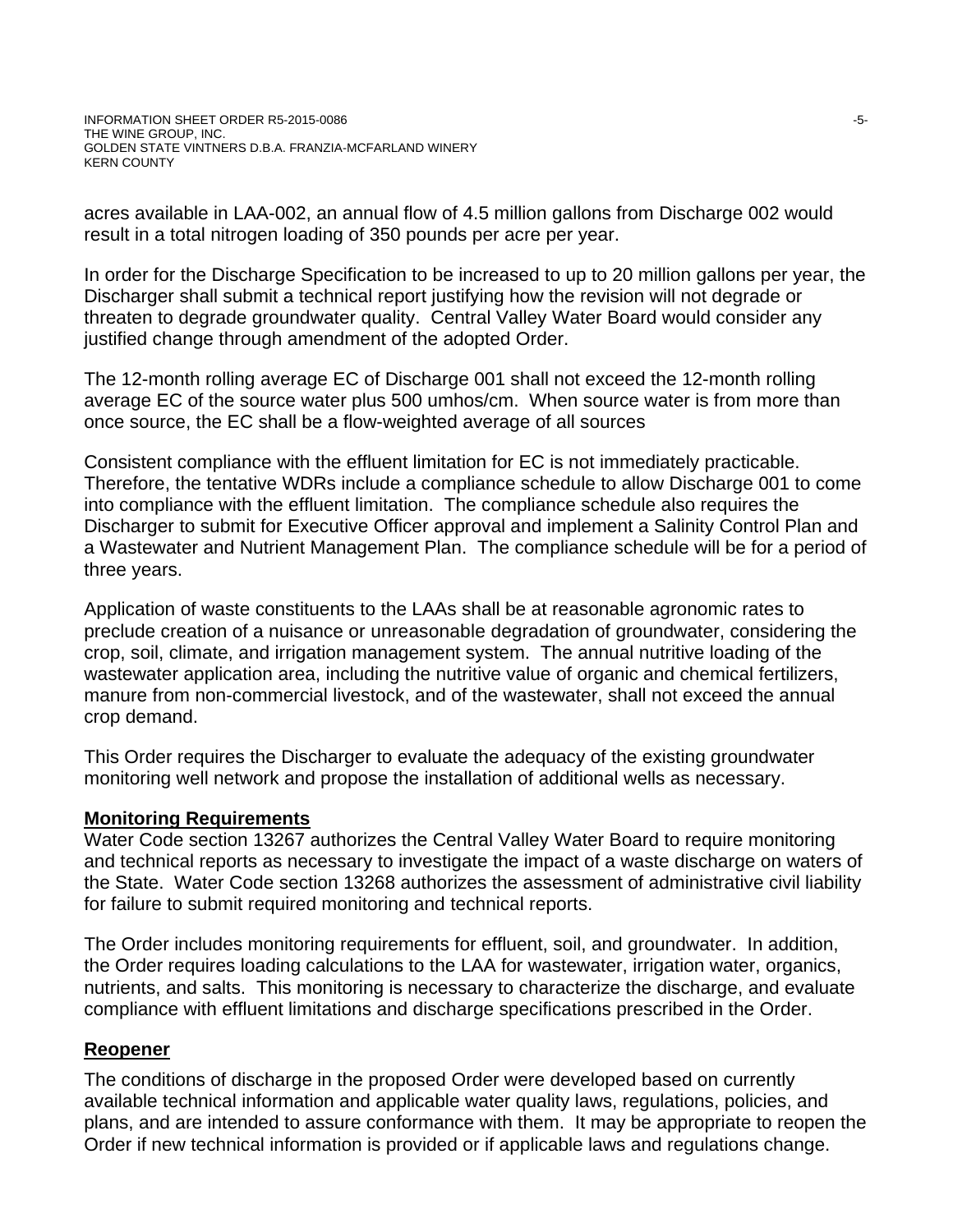acres available in LAA-002, an annual flow of 4.5 million gallons from Discharge 002 would result in a total nitrogen loading of 350 pounds per acre per year.

In order for the Discharge Specification to be increased to up to 20 million gallons per year, the Discharger shall submit a technical report justifying how the revision will not degrade or threaten to degrade groundwater quality. Central Valley Water Board would consider any justified change through amendment of the adopted Order.

The 12-month rolling average EC of Discharge 001 shall not exceed the 12-month rolling average EC of the source water plus 500 umhos/cm. When source water is from more than once source, the EC shall be a flow-weighted average of all sources

Consistent compliance with the effluent limitation for EC is not immediately practicable. Therefore, the tentative WDRs include a compliance schedule to allow Discharge 001 to come into compliance with the effluent limitation. The compliance schedule also requires the Discharger to submit for Executive Officer approval and implement a Salinity Control Plan and a Wastewater and Nutrient Management Plan. The compliance schedule will be for a period of three years.

Application of waste constituents to the LAAs shall be at reasonable agronomic rates to preclude creation of a nuisance or unreasonable degradation of groundwater, considering the crop, soil, climate, and irrigation management system. The annual nutritive loading of the wastewater application area, including the nutritive value of organic and chemical fertilizers, manure from non-commercial livestock, and of the wastewater, shall not exceed the annual crop demand.

This Order requires the Discharger to evaluate the adequacy of the existing groundwater monitoring well network and propose the installation of additional wells as necessary.

# **Monitoring Requirements**

Water Code section 13267 authorizes the Central Valley Water Board to require monitoring and technical reports as necessary to investigate the impact of a waste discharge on waters of the State. Water Code section 13268 authorizes the assessment of administrative civil liability for failure to submit required monitoring and technical reports.

The Order includes monitoring requirements for effluent, soil, and groundwater. In addition, the Order requires loading calculations to the LAA for wastewater, irrigation water, organics, nutrients, and salts. This monitoring is necessary to characterize the discharge, and evaluate compliance with effluent limitations and discharge specifications prescribed in the Order.

# **Reopener**

The conditions of discharge in the proposed Order were developed based on currently available technical information and applicable water quality laws, regulations, policies, and plans, and are intended to assure conformance with them. It may be appropriate to reopen the Order if new technical information is provided or if applicable laws and regulations change.